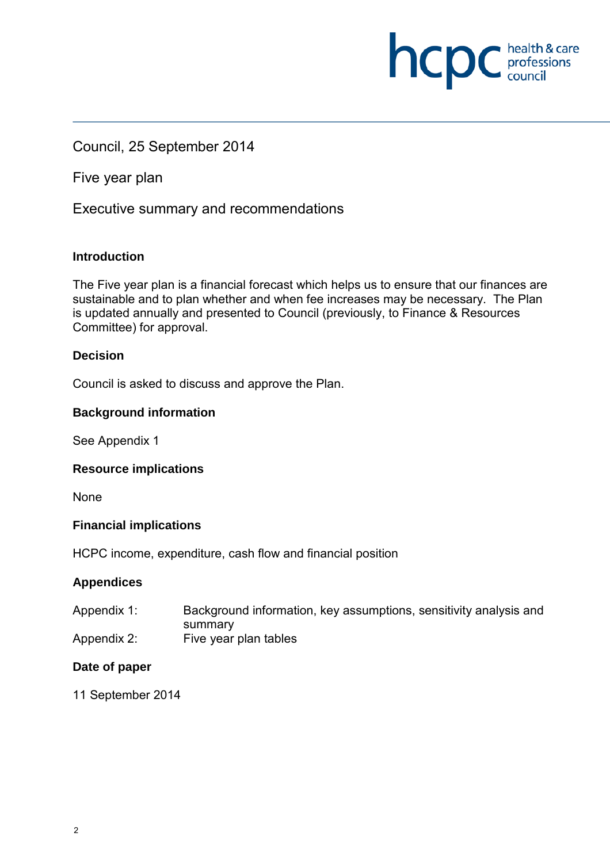### Council, 25 September 2014

Five year plan

Executive summary and recommendations

### **Introduction**

The Five year plan is a financial forecast which helps us to ensure that our finances are sustainable and to plan whether and when fee increases may be necessary. The Plan is updated annually and presented to Council (previously, to Finance & Resources Committee) for approval.

**NCDC** *health & care*<br>council

### **Decision**

Council is asked to discuss and approve the Plan.

### **Background information**

See Appendix 1

### **Resource implications**

None

### **Financial implications**

HCPC income, expenditure, cash flow and financial position

### **Appendices**

- Appendix 1: Background information, key assumptions, sensitivity analysis and summary
- Appendix 2: Five year plan tables

### **Date of paper**

11 September 2014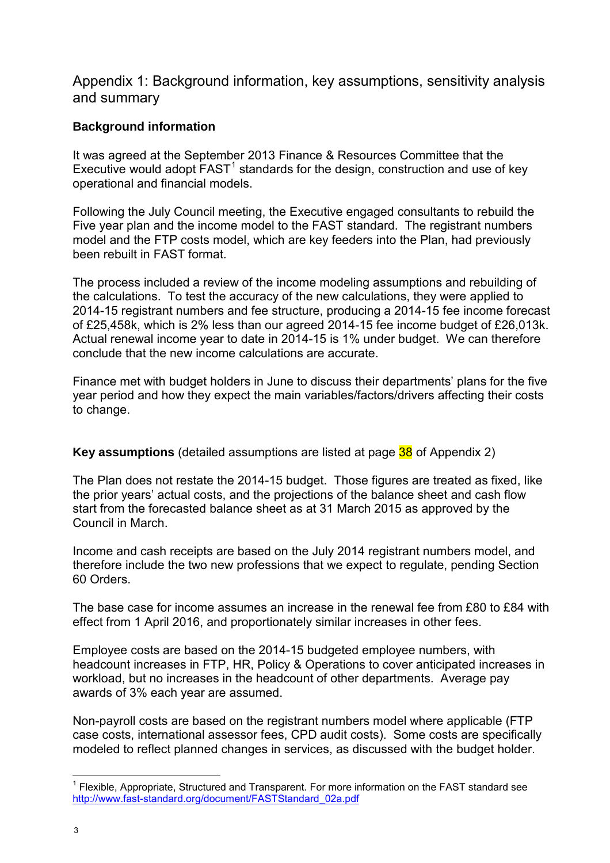Appendix 1: Background information, key assumptions, sensitivity analysis and summary

### **Background information**

It was agreed at the September 2013 Finance & Resources Committee that the Executive would adopt  $FAST<sup>1</sup>$  standards for the design, construction and use of key operational and financial models.

Following the July Council meeting, the Executive engaged consultants to rebuild the Five year plan and the income model to the FAST standard. The registrant numbers model and the FTP costs model, which are key feeders into the Plan, had previously been rebuilt in FAST format.

The process included a review of the income modeling assumptions and rebuilding of the calculations. To test the accuracy of the new calculations, they were applied to 2014-15 registrant numbers and fee structure, producing a 2014-15 fee income forecast of £25,458k, which is 2% less than our agreed 2014-15 fee income budget of £26,013k. Actual renewal income year to date in 2014-15 is 1% under budget. We can therefore conclude that the new income calculations are accurate.

Finance met with budget holders in June to discuss their departments' plans for the five year period and how they expect the main variables/factors/drivers affecting their costs to change.

**Key assumptions** (detailed assumptions are listed at page 38 of Appendix 2)

The Plan does not restate the 2014-15 budget. Those figures are treated as fixed, like the prior years' actual costs, and the projections of the balance sheet and cash flow start from the forecasted balance sheet as at 31 March 2015 as approved by the Council in March.

Income and cash receipts are based on the July 2014 registrant numbers model, and therefore include the two new professions that we expect to regulate, pending Section 60 Orders.

The base case for income assumes an increase in the renewal fee from £80 to £84 with effect from 1 April 2016, and proportionately similar increases in other fees.

Employee costs are based on the 2014-15 budgeted employee numbers, with headcount increases in FTP, HR, Policy & Operations to cover anticipated increases in workload, but no increases in the headcount of other departments. Average pay awards of 3% each year are assumed.

Non-payroll costs are based on the registrant numbers model where applicable (FTP case costs, international assessor fees, CPD audit costs). Some costs are specifically modeled to reflect planned changes in services, as discussed with the budget holder.

 $\overline{1}$  $1$  Flexible, Appropriate, Structured and Transparent. For more information on the FAST standard see http://www.fast-standard.org/document/FASTStandard\_02a.pdf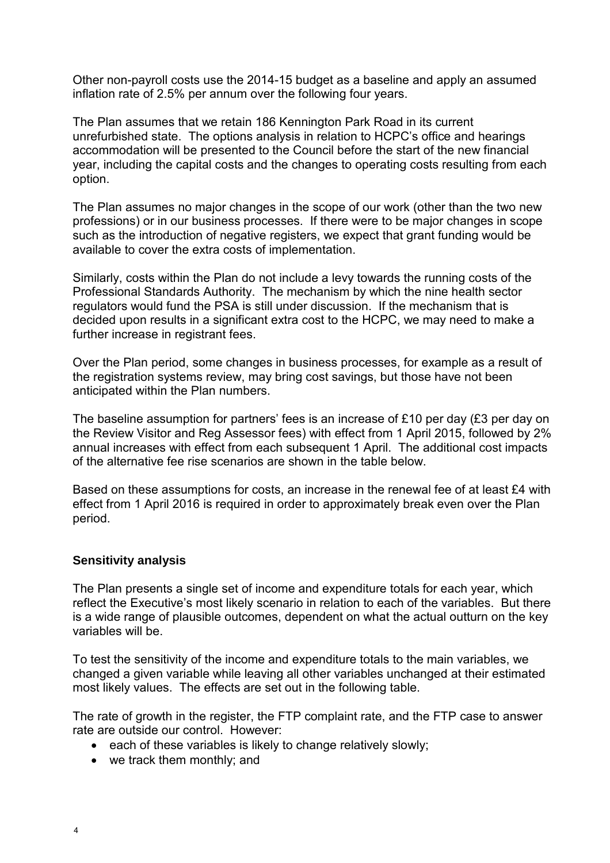Other non-payroll costs use the 2014-15 budget as a baseline and apply an assumed inflation rate of 2.5% per annum over the following four years.

The Plan assumes that we retain 186 Kennington Park Road in its current unrefurbished state. The options analysis in relation to HCPC's office and hearings accommodation will be presented to the Council before the start of the new financial year, including the capital costs and the changes to operating costs resulting from each option.

The Plan assumes no major changes in the scope of our work (other than the two new professions) or in our business processes. If there were to be major changes in scope such as the introduction of negative registers, we expect that grant funding would be available to cover the extra costs of implementation.

Similarly, costs within the Plan do not include a levy towards the running costs of the Professional Standards Authority. The mechanism by which the nine health sector regulators would fund the PSA is still under discussion. If the mechanism that is decided upon results in a significant extra cost to the HCPC, we may need to make a further increase in registrant fees.

Over the Plan period, some changes in business processes, for example as a result of the registration systems review, may bring cost savings, but those have not been anticipated within the Plan numbers.

The baseline assumption for partners' fees is an increase of £10 per day (£3 per day on the Review Visitor and Reg Assessor fees) with effect from 1 April 2015, followed by 2% annual increases with effect from each subsequent 1 April. The additional cost impacts of the alternative fee rise scenarios are shown in the table below.

Based on these assumptions for costs, an increase in the renewal fee of at least £4 with effect from 1 April 2016 is required in order to approximately break even over the Plan period.

### **Sensitivity analysis**

The Plan presents a single set of income and expenditure totals for each year, which reflect the Executive's most likely scenario in relation to each of the variables. But there is a wide range of plausible outcomes, dependent on what the actual outturn on the key variables will be.

To test the sensitivity of the income and expenditure totals to the main variables, we changed a given variable while leaving all other variables unchanged at their estimated most likely values. The effects are set out in the following table.

The rate of growth in the register, the FTP complaint rate, and the FTP case to answer rate are outside our control. However:

- each of these variables is likely to change relatively slowly;
- we track them monthly; and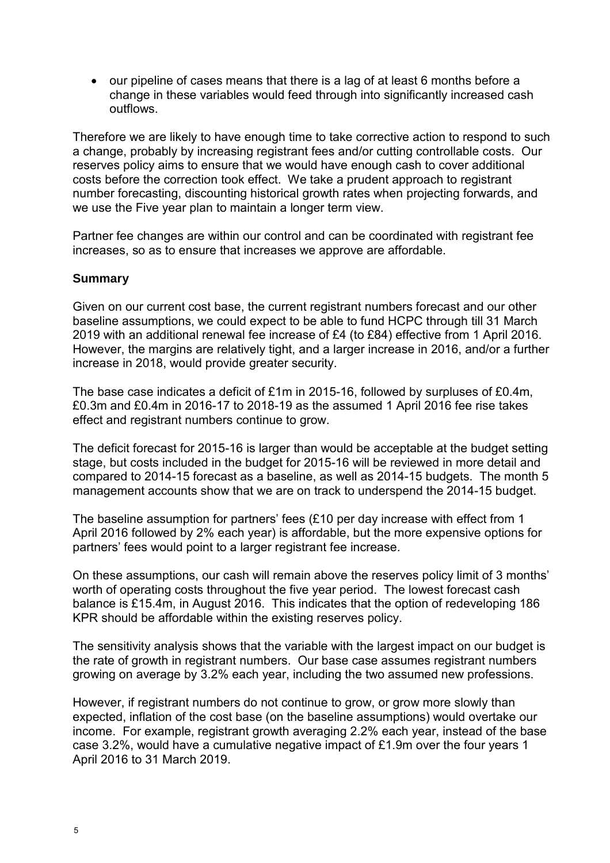• our pipeline of cases means that there is a lag of at least 6 months before a change in these variables would feed through into significantly increased cash outflows.

Therefore we are likely to have enough time to take corrective action to respond to such a change, probably by increasing registrant fees and/or cutting controllable costs. Our reserves policy aims to ensure that we would have enough cash to cover additional costs before the correction took effect. We take a prudent approach to registrant number forecasting, discounting historical growth rates when projecting forwards, and we use the Five year plan to maintain a longer term view.

Partner fee changes are within our control and can be coordinated with registrant fee increases, so as to ensure that increases we approve are affordable.

### **Summary**

Given on our current cost base, the current registrant numbers forecast and our other baseline assumptions, we could expect to be able to fund HCPC through till 31 March 2019 with an additional renewal fee increase of £4 (to £84) effective from 1 April 2016. However, the margins are relatively tight, and a larger increase in 2016, and/or a further increase in 2018, would provide greater security.

The base case indicates a deficit of £1m in 2015-16, followed by surpluses of £0.4m, £0.3m and £0.4m in 2016-17 to 2018-19 as the assumed 1 April 2016 fee rise takes effect and registrant numbers continue to grow.

The deficit forecast for 2015-16 is larger than would be acceptable at the budget setting stage, but costs included in the budget for 2015-16 will be reviewed in more detail and compared to 2014-15 forecast as a baseline, as well as 2014-15 budgets. The month 5 management accounts show that we are on track to underspend the 2014-15 budget.

The baseline assumption for partners' fees (£10 per day increase with effect from 1 April 2016 followed by 2% each year) is affordable, but the more expensive options for partners' fees would point to a larger registrant fee increase.

On these assumptions, our cash will remain above the reserves policy limit of 3 months' worth of operating costs throughout the five year period. The lowest forecast cash balance is £15.4m, in August 2016. This indicates that the option of redeveloping 186 KPR should be affordable within the existing reserves policy.

The sensitivity analysis shows that the variable with the largest impact on our budget is the rate of growth in registrant numbers. Our base case assumes registrant numbers growing on average by 3.2% each year, including the two assumed new professions.

However, if registrant numbers do not continue to grow, or grow more slowly than expected, inflation of the cost base (on the baseline assumptions) would overtake our income. For example, registrant growth averaging 2.2% each year, instead of the base case 3.2%, would have a cumulative negative impact of £1.9m over the four years 1 April 2016 to 31 March 2019.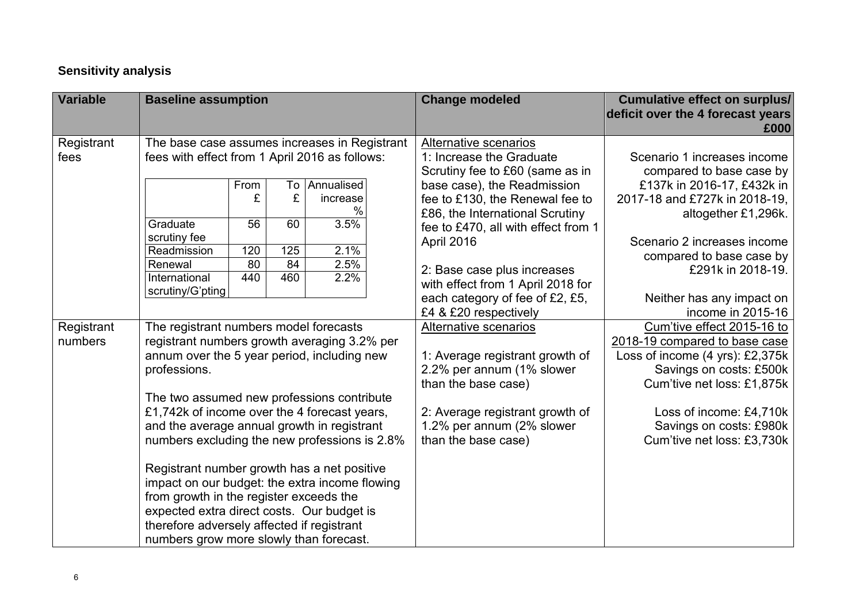### **Sensitivity analysis**

| <b>Variable</b>    | <b>Baseline assumption</b>                                                                                                                                                                                                                                                      |                        |           |                             | <b>Change modeled</b>                                                                               | <b>Cumulative effect on surplus/</b><br>deficit over the 4 forecast years<br>£000                                         |
|--------------------|---------------------------------------------------------------------------------------------------------------------------------------------------------------------------------------------------------------------------------------------------------------------------------|------------------------|-----------|-----------------------------|-----------------------------------------------------------------------------------------------------|---------------------------------------------------------------------------------------------------------------------------|
| Registrant<br>fees | The base case assumes increases in Registrant<br>fees with effect from 1 April 2016 as follows:                                                                                                                                                                                 |                        |           |                             | Alternative scenarios<br>1: Increase the Graduate<br>Scrutiny fee to £60 (same as in                | Scenario 1 increases income<br>compared to base case by                                                                   |
|                    |                                                                                                                                                                                                                                                                                 | From<br>£              | To<br>£   | Annualised<br>increase<br>% | base case), the Readmission<br>fee to £130, the Renewal fee to<br>£86, the International Scrutiny   | £137k in 2016-17, £432k in<br>2017-18 and £727k in 2018-19,<br>altogether £1,296k.                                        |
|                    | Graduate<br>scrutiny fee<br>Readmission                                                                                                                                                                                                                                         | $\overline{56}$<br>120 | 60<br>125 | 3.5%<br>2.1%                | fee to £470, all with effect from 1<br>April 2016                                                   | Scenario 2 increases income<br>compared to base case by                                                                   |
|                    | Renewal<br>International<br>scrutiny/G'pting                                                                                                                                                                                                                                    | 80<br>440              | 84<br>460 | 2.5%<br>2.2%                | 2: Base case plus increases<br>with effect from 1 April 2018 for<br>each category of fee of £2, £5, | £291k in 2018-19.<br>Neither has any impact on                                                                            |
| Registrant         | The registrant numbers model forecasts                                                                                                                                                                                                                                          |                        |           |                             | £4 & £20 respectively<br>Alternative scenarios                                                      | income in 2015-16<br>Cum'tive effect 2015-16 to                                                                           |
| numbers            | registrant numbers growth averaging 3.2% per<br>annum over the 5 year period, including new<br>professions.                                                                                                                                                                     |                        |           |                             | 1: Average registrant growth of<br>2.2% per annum (1% slower<br>than the base case)                 | 2018-19 compared to base case<br>Loss of income (4 yrs): £2,375k<br>Savings on costs: £500k<br>Cum'tive net loss: £1,875k |
|                    | The two assumed new professions contribute<br>£1,742k of income over the 4 forecast years,<br>and the average annual growth in registrant<br>numbers excluding the new professions is 2.8%                                                                                      |                        |           |                             | 2: Average registrant growth of<br>1.2% per annum (2% slower<br>than the base case)                 | Loss of income: £4,710k<br>Savings on costs: £980k<br>Cum'tive net loss: £3,730k                                          |
|                    | Registrant number growth has a net positive<br>impact on our budget: the extra income flowing<br>from growth in the register exceeds the<br>expected extra direct costs. Our budget is<br>therefore adversely affected if registrant<br>numbers grow more slowly than forecast. |                        |           |                             |                                                                                                     |                                                                                                                           |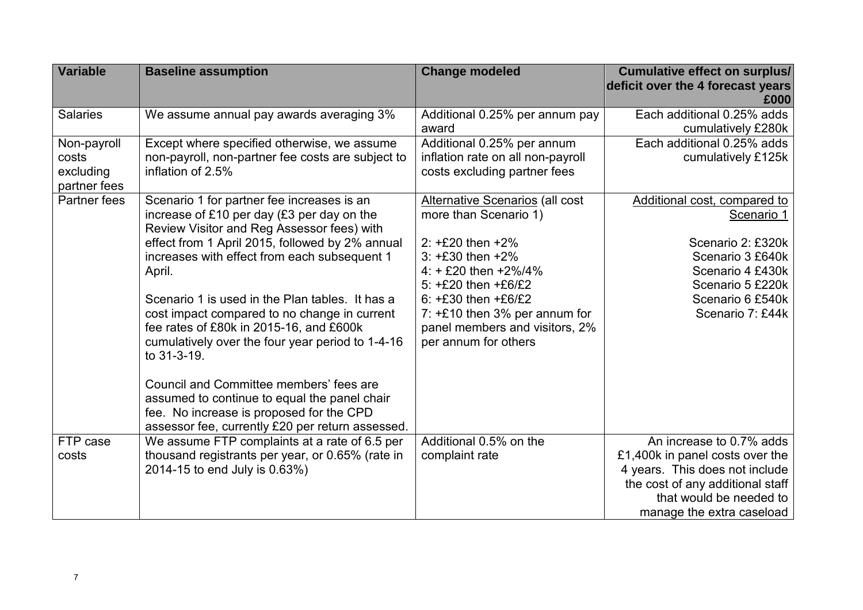| <b>Variable</b>           | <b>Baseline assumption</b>                                                                        | <b>Change modeled</b>                  | <b>Cumulative effect on surplus/</b> |
|---------------------------|---------------------------------------------------------------------------------------------------|----------------------------------------|--------------------------------------|
|                           |                                                                                                   |                                        | deficit over the 4 forecast years    |
|                           |                                                                                                   |                                        | £000                                 |
| <b>Salaries</b>           | We assume annual pay awards averaging 3%                                                          | Additional 0.25% per annum pay         | Each additional 0.25% adds           |
|                           |                                                                                                   | award                                  | cumulatively £280k                   |
| Non-payroll               | Except where specified otherwise, we assume                                                       | Additional 0.25% per annum             | Each additional 0.25% adds           |
| costs                     | non-payroll, non-partner fee costs are subject to                                                 | inflation rate on all non-payroll      | cumulatively £125k                   |
| excluding<br>partner fees | inflation of 2.5%                                                                                 | costs excluding partner fees           |                                      |
| Partner fees              | Scenario 1 for partner fee increases is an                                                        | <b>Alternative Scenarios (all cost</b> | Additional cost, compared to         |
|                           | increase of £10 per day (£3 per day on the                                                        | more than Scenario 1)                  | Scenario 1                           |
|                           | Review Visitor and Reg Assessor fees) with                                                        |                                        |                                      |
|                           | effect from 1 April 2015, followed by 2% annual                                                   | 2: $+E20$ then $+2\%$                  | Scenario 2: £320k                    |
|                           | increases with effect from each subsequent 1                                                      | $3: +E30$ then $+2\%$                  | Scenario 3 £640k                     |
|                           | April.                                                                                            | $4: + E20$ then $+2\%/4\%$             | Scenario 4 £430k                     |
|                           |                                                                                                   | 5: $+E20$ then $+E6/E2$                | Scenario 5 £220k                     |
|                           | Scenario 1 is used in the Plan tables. It has a                                                   | $6: +E30$ then $+E6/E2$                | Scenario 6 £540k                     |
|                           | cost impact compared to no change in current                                                      | 7: $+E10$ then 3% per annum for        | Scenario 7: £44k                     |
|                           | fee rates of £80k in 2015-16, and £600k                                                           | panel members and visitors, 2%         |                                      |
|                           | cumulatively over the four year period to 1-4-16                                                  | per annum for others                   |                                      |
|                           | to 31-3-19.                                                                                       |                                        |                                      |
|                           |                                                                                                   |                                        |                                      |
|                           | Council and Committee members' fees are                                                           |                                        |                                      |
|                           | assumed to continue to equal the panel chair                                                      |                                        |                                      |
|                           | fee. No increase is proposed for the CPD                                                          |                                        |                                      |
| FTP case                  | assessor fee, currently £20 per return assessed.<br>We assume FTP complaints at a rate of 6.5 per | Additional 0.5% on the                 | An increase to 0.7% adds             |
| costs                     | thousand registrants per year, or 0.65% (rate in                                                  | complaint rate                         | £1,400k in panel costs over the      |
|                           | 2014-15 to end July is 0.63%)                                                                     |                                        | 4 years. This does not include       |
|                           |                                                                                                   |                                        | the cost of any additional staff     |
|                           |                                                                                                   |                                        | that would be needed to              |
|                           |                                                                                                   |                                        |                                      |
|                           |                                                                                                   |                                        | manage the extra caseload            |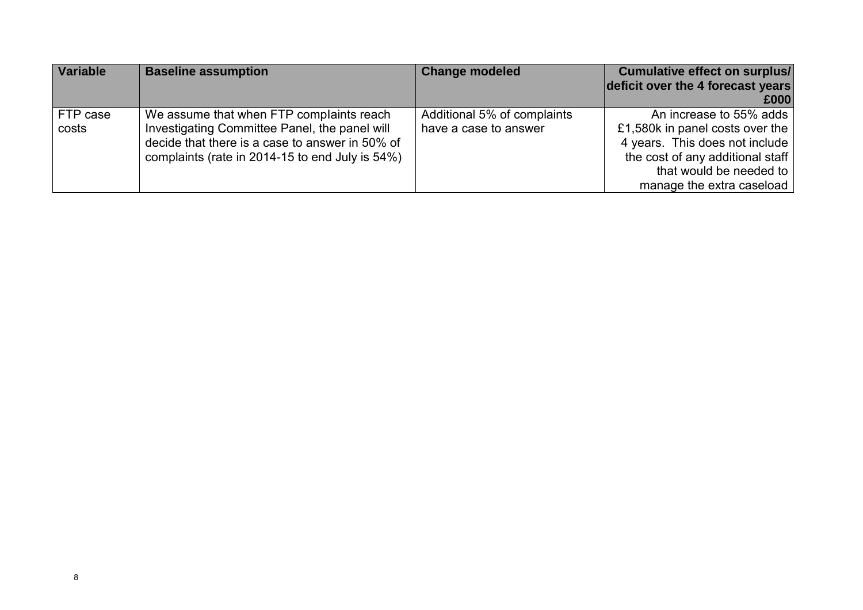| <b>Variable</b>   | <b>Baseline assumption</b>                                                                                                                                                                      | <b>Change modeled</b>                                | <b>Cumulative effect on surplus/</b>                                                                                                                                                     |
|-------------------|-------------------------------------------------------------------------------------------------------------------------------------------------------------------------------------------------|------------------------------------------------------|------------------------------------------------------------------------------------------------------------------------------------------------------------------------------------------|
|                   |                                                                                                                                                                                                 |                                                      | deficit over the 4 forecast years                                                                                                                                                        |
|                   |                                                                                                                                                                                                 |                                                      | £000                                                                                                                                                                                     |
| FTP case<br>costs | We assume that when FTP complaints reach<br>Investigating Committee Panel, the panel will<br>decide that there is a case to answer in 50% of<br>complaints (rate in 2014-15 to end July is 54%) | Additional 5% of complaints<br>have a case to answer | An increase to 55% adds<br>£1,580k in panel costs over the<br>4 years. This does not include<br>the cost of any additional staff<br>that would be needed to<br>manage the extra caseload |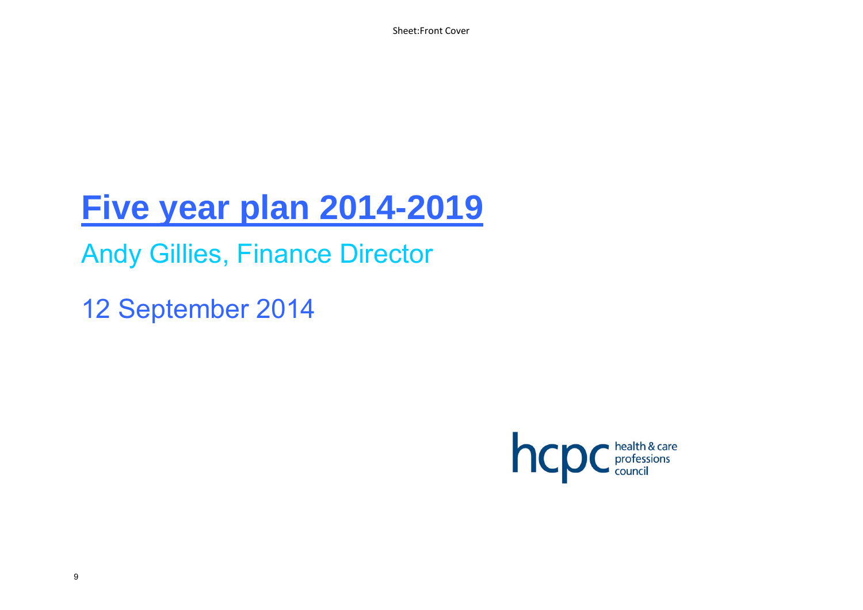Sheet:Front Cover

# **Five year plan 2014-2019**

Andy Gillies, Finance Director

12 September 2014

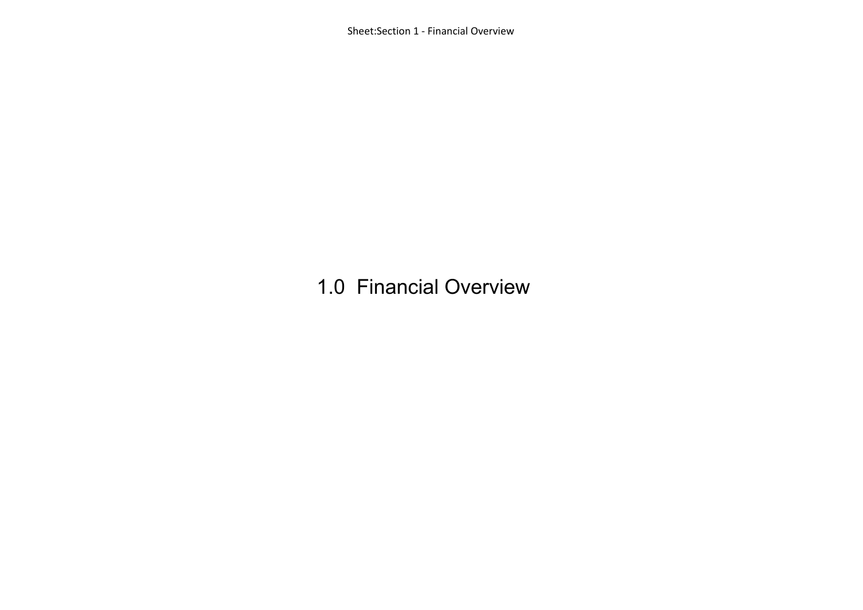Sheet:Section 1 ‐ Financial Overview

### 1.0 Financial Overview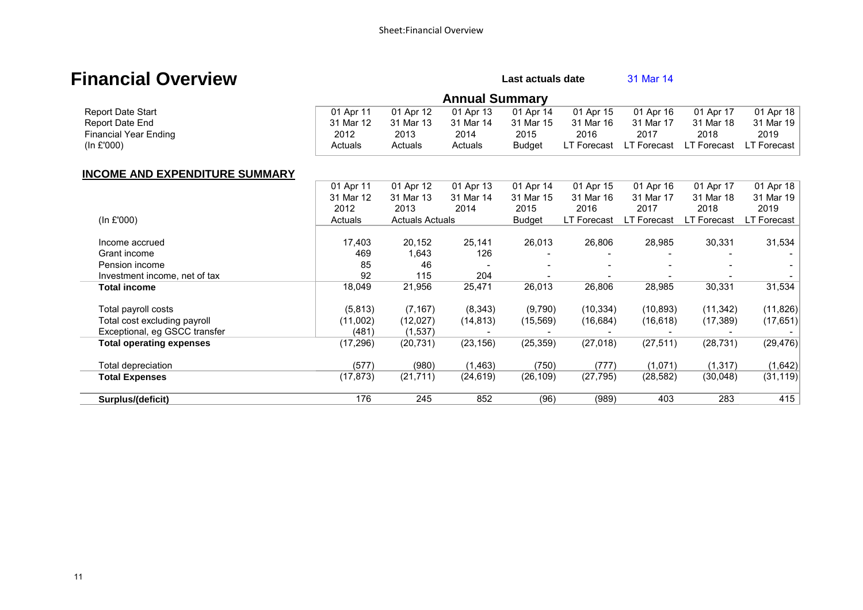### **Financial Overview Community Community Community Community Cast actuals date** 31 Mar 14

**Annual Summary**<br>01 Apr 13 01 Apr 14 Report Date Start **Report Date Start Communist Communist Communist Communist Communist Communist Communist Communist Communist Communist Communist Communist Communist Communist Communist Communist Communist Communist Commu**  Report Date End 31 Mar 12 31 Mar 13 31 Mar 14 31 Mar 15 31 Mar 16 31 Mar 17 31 Mar 18 31 Mar 19 Financial Year Ending 2012 2013 2014 2015 2016 2017 2018 2019 (In £'000) Actuals Actuals Actuals Budget LT Forecast LT Forecast LT Forecast LT Forecast

### **INCOME AND EXPENDITURE SUMMARY**

|                                 | 01 Apr 11 | 01 Apr 12              | 01 Apr 13 | 01 Apr 14     | 01 Apr 15          | 01 Apr 16   | 01 Apr 17          | 01 Apr 18   |
|---------------------------------|-----------|------------------------|-----------|---------------|--------------------|-------------|--------------------|-------------|
|                                 | 31 Mar 12 | 31 Mar 13              | 31 Mar 14 | 31 Mar 15     | 31 Mar 16          | 31 Mar 17   | 31 Mar 18          | 31 Mar 19   |
|                                 | 2012      | 2013                   | 2014      | 2015          | 2016               | 2017        | 2018               | 2019        |
| (ln £'000)                      | Actuals   | <b>Actuals Actuals</b> |           | <b>Budget</b> | <b>LT Forecast</b> | LT Forecast | <b>LT Forecast</b> | LT Forecast |
|                                 |           |                        |           |               |                    |             |                    |             |
| Income accrued                  | 17,403    | 20,152                 | 25,141    | 26,013        | 26,806             | 28,985      | 30,331             | 31,534      |
| Grant income                    | 469       | 1,643                  | 126       |               |                    |             |                    |             |
| Pension income                  | 85        | 46                     |           |               |                    |             |                    |             |
| Investment income, net of tax   | 92        | 115                    | 204       |               |                    |             |                    |             |
| Total income                    | 18,049    | 21,956                 | 25,471    | 26,013        | 26,806             | 28,985      | 30,331             | 31,534      |
| Total payroll costs             | (5,813)   | (7, 167)               | (8, 343)  | (9,790)       | (10, 334)          | (10, 893)   | (11, 342)          | (11,826)    |
| Total cost excluding payroll    | (11,002)  | (12,027)               | (14, 813) | (15, 569)     | (16, 684)          | (16,618)    | (17, 389)          | (17, 651)   |
| Exceptional, eg GSCC transfer   | (481)     | (1,537)                |           |               |                    |             |                    |             |
| <b>Total operating expenses</b> | (17, 296) | (20, 731)              | (23, 156) | (25, 359)     | (27, 018)          | (27, 511)   | (28, 731)          | (29, 476)   |
| Total depreciation              | (577)     | (980)                  | (1, 463)  | (750)         | (777)              | (1,071)     | (1, 317)           | (1,642)     |
| <b>Total Expenses</b>           | (17, 873) | (21, 711)              | (24, 619) | (26, 109)     | (27, 795)          | (28, 582)   | (30,048)           | (31, 119)   |
| Surplus/(deficit)               | 176       | 245                    | 852       | (96)          | (989)              | 403         | 283                | 415         |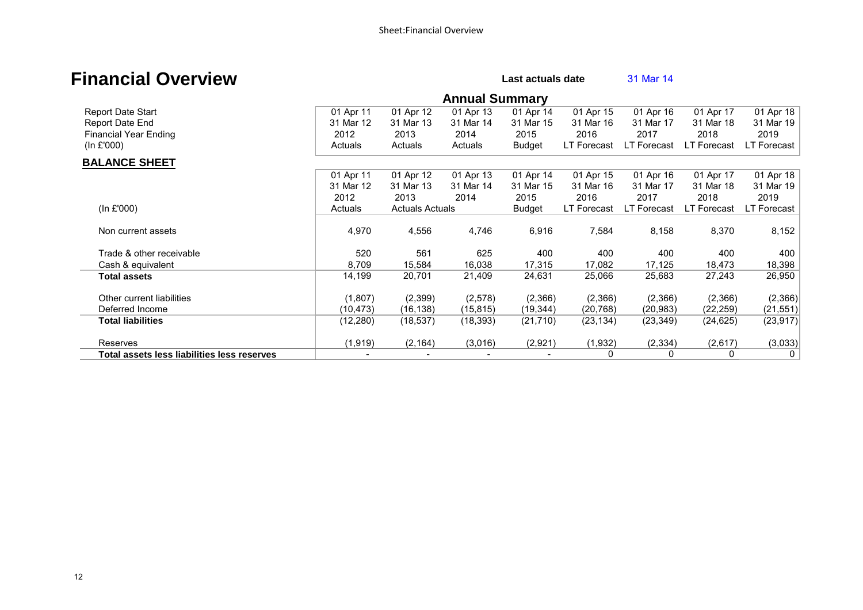### **Financial Overview Example 20** Last actuals date **Last actuals date**

|                                             |           |                        | <b>Annual Summary</b> |               |                    |             |                    |                |
|---------------------------------------------|-----------|------------------------|-----------------------|---------------|--------------------|-------------|--------------------|----------------|
| Report Date Start                           | 01 Apr 11 | 01 Apr 12              | 01 Apr 13             | 01 Apr 14     | 01 Apr 15          | 01 Apr 16   | 01 Apr 17          | 01 Apr 18      |
| Report Date End                             | 31 Mar 12 | 31 Mar 13              | 31 Mar 14             | 31 Mar 15     | 31 Mar 16          | 31 Mar 17   | 31 Mar 18          | 31 Mar 19      |
| <b>Financial Year Ending</b>                | 2012      | 2013                   | 2014                  | 2015          | 2016               | 2017        | 2018               | 2019           |
| (In f'000)                                  | Actuals   | Actuals                | Actuals               | <b>Budget</b> | LT Forecast        | LT Forecast | LT Forecast        | LT Forecast    |
| <b>BALANCE SHEET</b>                        |           |                        |                       |               |                    |             |                    |                |
|                                             | 01 Apr 11 | 01 Apr 12              | 01 Apr 13             | 01 Apr 14     | 01 Apr 15          | 01 Apr 16   | 01 Apr 17          | 01 Apr 18      |
|                                             | 31 Mar 12 | 31 Mar 13              | 31 Mar 14             | 31 Mar 15     | 31 Mar 16          | 31 Mar 17   | 31 Mar 18          | 31 Mar 19      |
|                                             | 2012      | 2013                   | 2014                  | 2015          | 2016               | 2017        | 2018               | 2019           |
| (ln £'000)                                  | Actuals   | <b>Actuals Actuals</b> |                       | <b>Budget</b> | <b>LT Forecast</b> | LT Forecast | <b>LT Forecast</b> | LT Forecast    |
| Non current assets                          | 4,970     | 4,556                  | 4,746                 | 6,916         | 7,584              | 8,158       | 8,370              | 8,152          |
| Trade & other receivable                    | 520       | 561                    | 625                   | 400           | 400                | 400         | 400                | 400            |
| Cash & equivalent                           | 8,709     | 15,584                 | 16,038                | 17,315        | 17,082             | 17,125      | 18,473             | 18,398         |
| <b>Total assets</b>                         | 14,199    | 20,701                 | 21,409                | 24,631        | 25,066             | 25,683      | 27,243             | 26,950         |
| Other current liabilities                   | (1,807)   | (2,399)                | (2,578)               | (2,366)       | (2,366)            | (2,366)     | (2,366)            | (2,366)        |
| Deferred Income                             | (10, 473) | (16, 138)              | (15, 815)             | (19, 344)     | (20, 768)          | (20, 983)   | (22, 259)          | (21, 551)      |
| <b>Total liabilities</b>                    | (12, 280) | (18, 537)              | (18, 393)             | (21, 710)     | (23, 134)          | (23, 349)   | (24, 625)          | (23, 917)      |
| Reserves                                    | (1,919)   | (2, 164)               | (3,016)               | (2,921)       | (1,932)            | (2, 334)    | (2,617)            | (3,033)        |
| Total assets less liabilities less reserves |           |                        |                       |               | 0                  | 0           | 0                  | 0 <sup>1</sup> |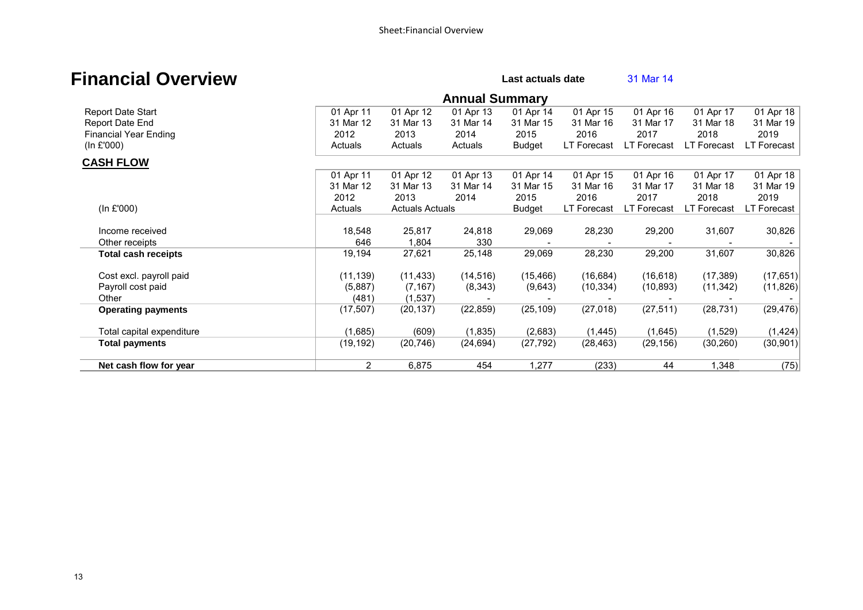### **Financial Overview Example 20** Last actuals date **Last actuals date**

|                              |           |                        | <b>Annual Summary</b> |               |             |             |                    |             |
|------------------------------|-----------|------------------------|-----------------------|---------------|-------------|-------------|--------------------|-------------|
| Report Date Start            | 01 Apr 11 | 01 Apr 12              | 01 Apr 13             | 01 Apr 14     | 01 Apr 15   | 01 Apr 16   | 01 Apr 17          | 01 Apr 18   |
| Report Date End              | 31 Mar 12 | 31 Mar 13              | 31 Mar 14             | 31 Mar 15     | 31 Mar 16   | 31 Mar 17   | 31 Mar 18          | 31 Mar 19   |
| <b>Financial Year Ending</b> | 2012      | 2013                   | 2014                  | 2015          | 2016        | 2017        | 2018               | 2019        |
| (In £'000)                   | Actuals   | Actuals                | Actuals               | <b>Budget</b> | LT Forecast | LT Forecast | LT Forecast        | LT Forecast |
| <b>CASH FLOW</b>             |           |                        |                       |               |             |             |                    |             |
|                              | 01 Apr 11 | 01 Apr 12              | 01 Apr 13             | 01 Apr 14     | 01 Apr 15   | 01 Apr 16   | 01 Apr 17          | 01 Apr 18   |
|                              | 31 Mar 12 | 31 Mar 13              | 31 Mar 14             | 31 Mar 15     | 31 Mar 16   | 31 Mar 17   | 31 Mar 18          | 31 Mar 19   |
|                              | 2012      | 2013                   | 2014                  | 2015          | 2016        | 2017        | 2018               | 2019        |
| (ln £'000)                   | Actuals   | <b>Actuals Actuals</b> |                       | Budget        | LT Forecast | LT Forecast | <b>LT Forecast</b> | LT Forecast |
| Income received              | 18,548    | 25,817                 | 24,818                | 29,069        | 28,230      | 29,200      | 31,607             | 30,826      |
| Other receipts               | 646       | 1,804                  | 330                   |               |             |             |                    |             |
| <b>Total cash receipts</b>   | 19,194    | 27,621                 | 25,148                | 29,069        | 28,230      | 29,200      | 31,607             | 30,826      |
| Cost excl. payroll paid      | (11, 139) | (11, 433)              | (14, 516)             | (15, 466)     | (16, 684)   | (16, 618)   | (17, 389)          | (17, 651)   |
| Payroll cost paid            | (5,887)   | (7, 167)               | (8, 343)              | (9,643)       | (10, 334)   | (10, 893)   | (11, 342)          | (11, 826)   |
| Other                        | (481)     | (1,537)                |                       |               |             |             |                    |             |
| <b>Operating payments</b>    | (17, 507) | (20, 137)              | (22, 859)             | (25, 109)     | (27, 018)   | (27, 511)   | (28, 731)          | (29, 476)   |
| Total capital expenditure    | (1,685)   | (609)                  | (1,835)               | (2,683)       | (1, 445)    | (1,645)     | (1,529)            | (1, 424)    |
| <b>Total payments</b>        | (19, 192) | (20, 746)              | (24, 694)             | (27, 792)     | (28, 463)   | (29, 156)   | (30, 260)          | (30, 901)   |
| Net cash flow for year       | 2         | 6,875                  | 454                   | 1,277         | (233)       | 44          | 1,348              | (75)        |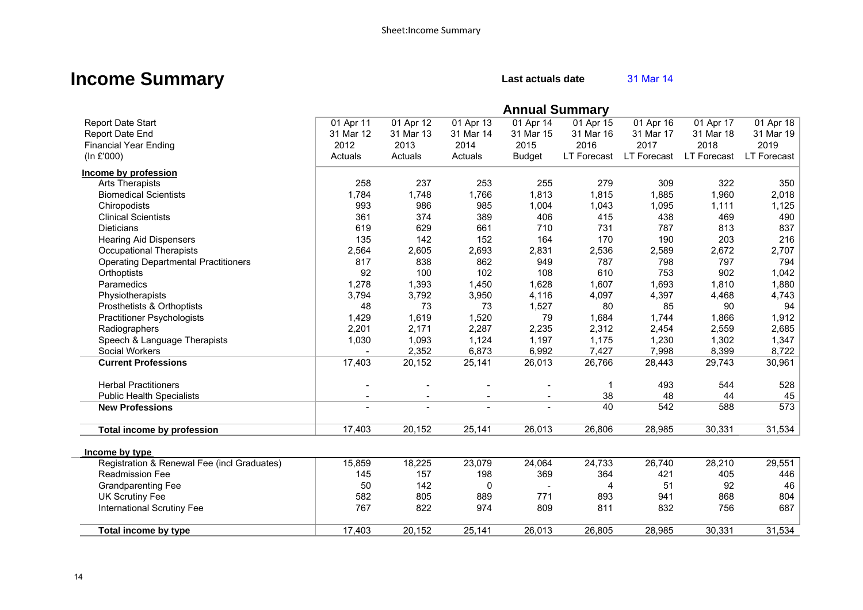### **Income Summary** Last actuals date **31 Mar 14**

|                                             |                |           |           | <b>Annual Summary</b>    |             |             |             |             |
|---------------------------------------------|----------------|-----------|-----------|--------------------------|-------------|-------------|-------------|-------------|
| <b>Report Date Start</b>                    | 01 Apr 11      | 01 Apr 12 | 01 Apr 13 | 01 Apr 14                | 01 Apr 15   | 01 Apr 16   | 01 Apr 17   | 01 Apr 18   |
| Report Date End                             | 31 Mar 12      | 31 Mar 13 | 31 Mar 14 | 31 Mar 15                | 31 Mar 16   | 31 Mar 17   | 31 Mar 18   | 31 Mar 19   |
| <b>Financial Year Ending</b>                | 2012           | 2013      | 2014      | 2015                     | 2016        | 2017        | 2018        | 2019        |
| (In £'000)                                  | Actuals        | Actuals   | Actuals   | <b>Budget</b>            | LT Forecast | LT Forecast | LT Forecast | LT Forecast |
| Income by profession                        |                |           |           |                          |             |             |             |             |
| Arts Therapists                             | 258            | 237       | 253       | 255                      | 279         | 309         | 322         | 350         |
| <b>Biomedical Scientists</b>                | 1,784          | 1,748     | 1,766     | 1,813                    | 1,815       | 1,885       | 1,960       | 2,018       |
| Chiropodists                                | 993            | 986       | 985       | 1,004                    | 1,043       | 1,095       | 1,111       | 1,125       |
| <b>Clinical Scientists</b>                  | 361            | 374       | 389       | 406                      | 415         | 438         | 469         | 490         |
| <b>Dieticians</b>                           | 619            | 629       | 661       | 710                      | 731         | 787         | 813         | 837         |
| <b>Hearing Aid Dispensers</b>               | 135            | 142       | 152       | 164                      | 170         | 190         | 203         | 216         |
| <b>Occupational Therapists</b>              | 2,564          | 2,605     | 2,693     | 2,831                    | 2,536       | 2,589       | 2,672       | 2,707       |
| <b>Operating Departmental Practitioners</b> | 817            | 838       | 862       | 949                      | 787         | 798         | 797         | 794         |
| Orthoptists                                 | 92             | 100       | 102       | 108                      | 610         | 753         | 902         | 1,042       |
| Paramedics                                  | 1,278          | 1,393     | 1,450     | 1,628                    | 1,607       | 1,693       | 1,810       | 1,880       |
| Physiotherapists                            | 3,794          | 3,792     | 3,950     | 4,116                    | 4,097       | 4,397       | 4,468       | 4,743       |
| Prosthetists & Orthoptists                  | 48             | 73        | 73        | 1,527                    | 80          | 85          | 90          | 94          |
| <b>Practitioner Psychologists</b>           | 1,429          | 1,619     | 1,520     | 79                       | 1,684       | 1,744       | 1,866       | 1,912       |
| Radiographers                               | 2,201          | 2,171     | 2,287     | 2,235                    | 2,312       | 2,454       | 2,559       | 2,685       |
| Speech & Language Therapists                | 1,030          | 1,093     | 1,124     | 1,197                    | 1,175       | 1,230       | 1,302       | 1,347       |
| Social Workers                              |                | 2,352     | 6,873     | 6,992                    | 7,427       | 7,998       | 8,399       | 8,722       |
| <b>Current Professions</b>                  | 17,403         | 20,152    | 25,141    | 26,013                   | 26,766      | 28,443      | 29,743      | 30,961      |
| <b>Herbal Practitioners</b>                 |                |           |           |                          |             | 493         | 544         | 528         |
| <b>Public Health Specialists</b>            | $\blacksquare$ |           |           |                          | 38          | 48          | 44          | 45          |
| <b>New Professions</b>                      |                |           |           |                          | 40          | 542         | 588         | 573         |
| Total income by profession                  | 17,403         | 20,152    | 25,141    | 26,013                   | 26,806      | 28,985      | 30,331      | 31,534      |
| Income by type                              |                |           |           |                          |             |             |             |             |
| Registration & Renewal Fee (incl Graduates) | 15,859         | 18,225    | 23,079    | 24,064                   | 24,733      | 26,740      | 28,210      | 29,551      |
| <b>Readmission Fee</b>                      | 145            | 157       | 198       | 369                      | 364         | 421         | 405         | 446         |
| <b>Grandparenting Fee</b>                   | 50             | 142       | 0         | $\overline{\phantom{a}}$ | 4           | 51          | 92          | 46          |
| <b>UK Scrutiny Fee</b>                      | 582            | 805       | 889       | 771                      | 893         | 941         | 868         | 804         |
| <b>International Scrutiny Fee</b>           | 767            | 822       | 974       | 809                      | 811         | 832         | 756         | 687         |
| Total income by type                        | 17,403         | 20,152    | 25,141    | 26,013                   | 26,805      | 28,985      | 30,331      | 31,534      |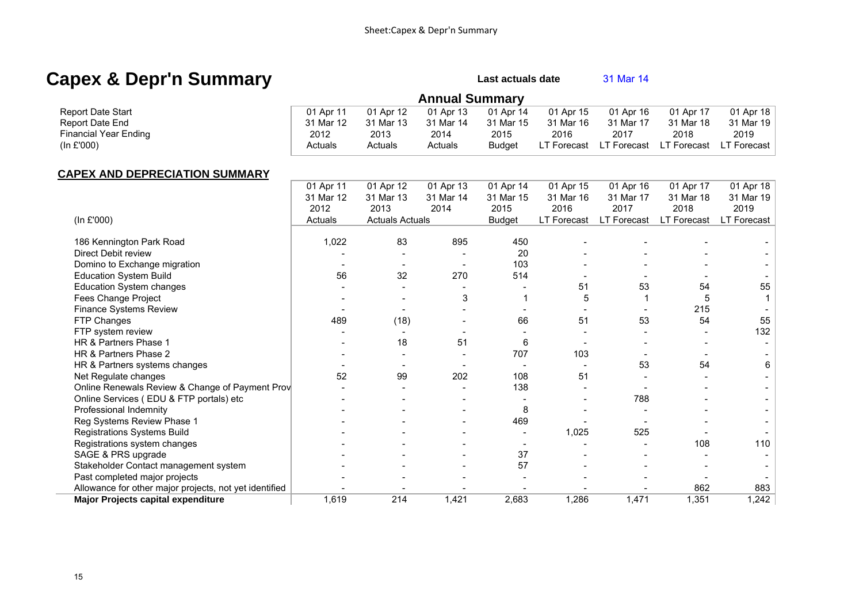### **Capex & Depr'n Summary Capex & Deprin Summary**

|                              | <b>Annual Summary</b> |           |           |               |             |             |             |             |
|------------------------------|-----------------------|-----------|-----------|---------------|-------------|-------------|-------------|-------------|
| <b>Report Date Start</b>     | 01 Apr 11             | 01 Apr 12 | 01 Apr 13 | 01 Apr 14     | 01 Apr 15   | 01 Apr 16   | 01 Apr 17   | 01 Apr 18   |
| Report Date End              | 31 Mar 12             | 31 Mar 13 | 31 Mar 14 | 31 Mar 15     | 31 Mar 16   | 31 Mar 17   | 31 Mar 18   | 31 Mar 19   |
| <b>Financial Year Ending</b> | 2012                  | 2013      | 2014      | 2015          | 2016        | 2017        | 2018        | 2019        |
| (ln £'000)                   | Actuals               | Actuals   | Actuals   | <b>Budget</b> | LT Forecast | LT Forecast | LT Forecast | LT Forecast |

### **CAPEX AND DEPRECIATION SUMMARY**

|                                                        | 01 Apr 11 | 01 Apr 12              | 01 Apr 13 | 01 Apr 14     | 01 Apr 15          | 01 Apr 16   | 01 Apr 17   | 01 Apr 18   |
|--------------------------------------------------------|-----------|------------------------|-----------|---------------|--------------------|-------------|-------------|-------------|
|                                                        | 31 Mar 12 | 31 Mar 13              | 31 Mar 14 | 31 Mar 15     | 31 Mar 16          | 31 Mar 17   | 31 Mar 18   | 31 Mar 19   |
|                                                        | 2012      | 2013                   | 2014      | 2015          | 2016               | 2017        | 2018        | 2019        |
| (In £'000)                                             | Actuals   | <b>Actuals Actuals</b> |           | <b>Budget</b> | <b>LT Forecast</b> | LT Forecast | LT Forecast | LT Forecast |
|                                                        |           |                        |           |               |                    |             |             |             |
| 186 Kennington Park Road                               | 1,022     | 83                     | 895       | 450           |                    |             |             |             |
| Direct Debit review                                    |           |                        |           | 20            |                    |             |             |             |
| Domino to Exchange migration                           |           |                        |           | 103           |                    |             |             |             |
| <b>Education System Build</b>                          | 56        | 32                     | 270       | 514           |                    |             |             |             |
| <b>Education System changes</b>                        |           |                        |           |               | 51                 | 53          | 54          | 55          |
| Fees Change Project                                    |           |                        | 3         |               | 5                  |             | 5           |             |
| Finance Systems Review                                 |           |                        |           |               |                    |             | 215         |             |
| FTP Changes                                            | 489       | (18)                   |           | 66            | 51                 | 53          | 54          | 55          |
| FTP system review                                      |           |                        |           |               |                    |             |             | 132         |
| HR & Partners Phase 1                                  |           | 18                     | 51        | 6             |                    |             |             |             |
| HR & Partners Phase 2                                  |           |                        |           | 707           | 103                |             |             |             |
| HR & Partners systems changes                          |           |                        |           |               |                    | 53          | 54          | 6           |
| Net Regulate changes                                   | 52        | 99                     | 202       | 108           | 51                 |             |             |             |
| Online Renewals Review & Change of Payment Prov        |           |                        |           | 138           |                    |             |             |             |
| Online Services (EDU & FTP portals) etc                |           |                        |           |               |                    | 788         |             |             |
| Professional Indemnity                                 |           |                        |           | 8             |                    |             |             |             |
| Reg Systems Review Phase 1                             |           |                        |           | 469           |                    |             |             |             |
| Registrations Systems Build                            |           |                        |           |               | 1,025              | 525         |             |             |
| Registrations system changes                           |           |                        |           |               |                    |             | 108         | 110         |
| SAGE & PRS upgrade                                     |           |                        |           | 37            |                    |             |             |             |
| Stakeholder Contact management system                  |           |                        |           | 57            |                    |             |             |             |
| Past completed major projects                          |           |                        |           |               |                    |             |             |             |
| Allowance for other major projects, not yet identified |           |                        |           |               |                    |             | 862         | 883         |
| Major Projects capital expenditure                     | 1,619     | 214                    | 1,421     | 2,683         | 1,286              | 1,471       | 1,351       | 1,242       |

 $\sim$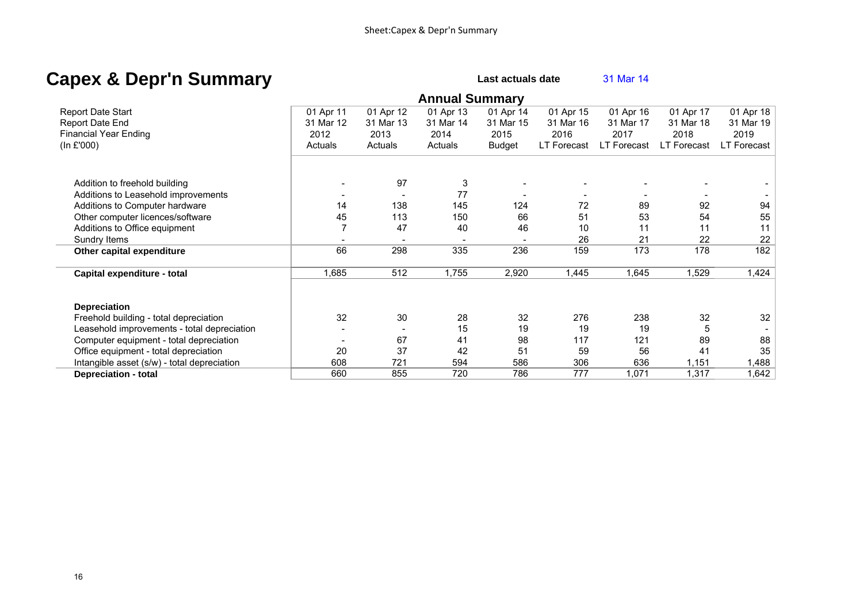### **Capex & Depr'n Summary Capex & Deprimies Capex 31 Mar 14**

 **Annual Summary**  Report Date Start 01 Apr 11 01 Apr 12 01 Apr 13 01 Apr 14 01 Apr 15 01 Apr 16 01 Apr 17 01 Apr 18 Report Date End **19.1 Marries 12 12 31 Mar 12 31 Mar 13** 31 Mar 14 31 Mar 15 31 Mar 16 31 Mar 17 31 Mar 18 31 Mar Financial Year Ending 2012 2013 2014 2015 2016 2017 2018 2019 (In £'000) The COLORGIAL Actuals Actuals Actuals Actuals Budget LT Forecast LT Forecast LT Forecast LT Forecast Addition to freehold building and the state of the state of the state of the state of the state of the state of the state of the state of the state of the state of the state of the state of the state of the state of the st Additions to Leasehold improvements and the state of the state of the state of the state of the state of the state of the state of the state of the state of the state of the state of the state of the state of the state of Additions to Computer hardware 14 138 145 124 72 89 92 94 Other computer licences/software  $\vert$  45 113 150 66 51 53 54 55 Additions to Office equipment 7 47 40 46 10 11 11 11 Sundry Items - - - - 26 21 22 22 **Other capital expenditure** 182 182 182 182 182 182 1835 135 136 159 173 178 182 **Capital expenditure - total** 1,685 512 1,755 2,920 1,445 1,645 1,529 1,424  **Depreciation**  Freehold building - total depreciation 32 30 28 32 276 238 32 32 Leasehold improvements - total depreciation and the state of the state of the state of the state of the state of the state of the state of the state of the state of the state of the state of the state of the state of the s Computer equipment - total depreciation  $\overline{a}$  |  $\overline{a}$  =  $\overline{a}$  67  $\overline{a}$  41  $\overline{a}$  98 117 121 89 88 Office equipment - total depreciation  $\overline{35}$  20  $\overline{37}$   $\overline{42}$  51  $\overline{59}$  56  $\overline{41}$  35 Intangible asset (s/w) - total depreciation 608 721 594 586 306 636 1,151 1,488  **Depreciation - total** 660 855 720 786 777 1,071 1,317 1,642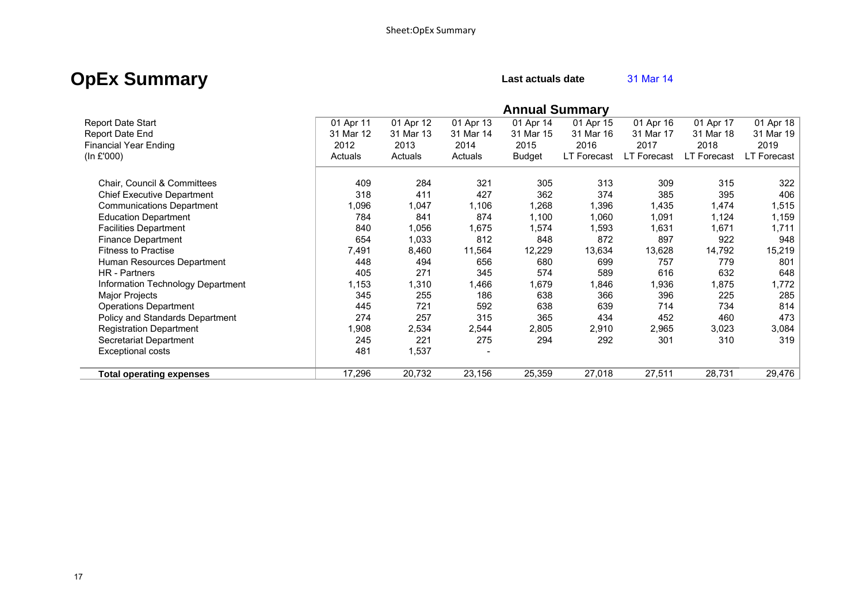### **OpEx Summary** Last actuals date **31 Mar 14**

|                                   |           |           |           | <b>Annual Summary</b> |             |                    |                    |             |
|-----------------------------------|-----------|-----------|-----------|-----------------------|-------------|--------------------|--------------------|-------------|
| <b>Report Date Start</b>          | 01 Apr 11 | 01 Apr 12 | 01 Apr 13 | 01 Apr 14             | 01 Apr 15   | 01 Apr 16          | 01 Apr 17          | 01 Apr 18   |
| Report Date End                   | 31 Mar 12 | 31 Mar 13 | 31 Mar 14 | 31 Mar 15             | 31 Mar 16   | 31 Mar 17          | 31 Mar 18          | 31 Mar 19   |
| <b>Financial Year Ending</b>      | 2012      | 2013      | 2014      | 2015                  | 2016        | 2017               | 2018               | 2019        |
| (ln £'000)                        | Actuals   | Actuals   | Actuals   | <b>Budget</b>         | LT Forecast | <b>LT Forecast</b> | <b>LT Forecast</b> | LT Forecast |
| Chair, Council & Committees       | 409       | 284       | 321       | 305                   | 313         | 309                | 315                | 322         |
| <b>Chief Executive Department</b> | 318       | 411       | 427       | 362                   | 374         | 385                | 395                | 406         |
| <b>Communications Department</b>  | 1,096     | 1,047     | 1,106     | 1,268                 | 1,396       | 1,435              | 1,474              | 1,515       |
| <b>Education Department</b>       | 784       | 841       | 874       | 1,100                 | 1,060       | 1,091              | 1,124              | 1,159       |
| <b>Facilities Department</b>      | 840       | 1,056     | 1,675     | 1,574                 | 1,593       | 1,631              | 1,671              | 1,711       |
| <b>Finance Department</b>         | 654       | 1,033     | 812       | 848                   | 872         | 897                | 922                | 948         |
| <b>Fitness to Practise</b>        | 7,491     | 8,460     | 11,564    | 12,229                | 13,634      | 13,628             | 14,792             | 15,219      |
| Human Resources Department        | 448       | 494       | 656       | 680                   | 699         | 757                | 779                | 801         |
| HR - Partners                     | 405       | 271       | 345       | 574                   | 589         | 616                | 632                | 648         |
| Information Technology Department | 1,153     | 1,310     | 1,466     | 1,679                 | 846. ا      | 1,936              | 1,875              | 1,772       |
| Major Projects                    | 345       | 255       | 186       | 638                   | 366         | 396                | 225                | 285         |
| <b>Operations Department</b>      | 445       | 721       | 592       | 638                   | 639         | 714                | 734                | 814         |
| Policy and Standards Department   | 274       | 257       | 315       | 365                   | 434         | 452                | 460                | 473         |
| <b>Registration Department</b>    | 1,908     | 2,534     | 2,544     | 2,805                 | 2,910       | 2,965              | 3,023              | 3,084       |
| Secretariat Department            | 245       | 221       | 275       | 294                   | 292         | 301                | 310                | 319         |
| Exceptional costs                 | 481       | 1,537     |           |                       |             |                    |                    |             |
| <b>Total operating expenses</b>   | 17,296    | 20,732    | 23,156    | 25,359                | 27,018      | 27,511             | 28,731             | 29,476      |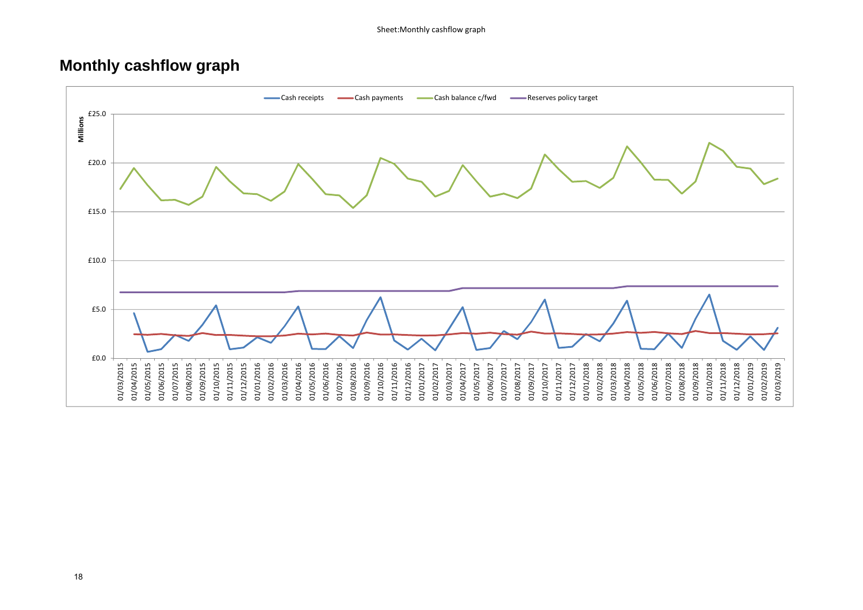### **Monthly cashflow graph**

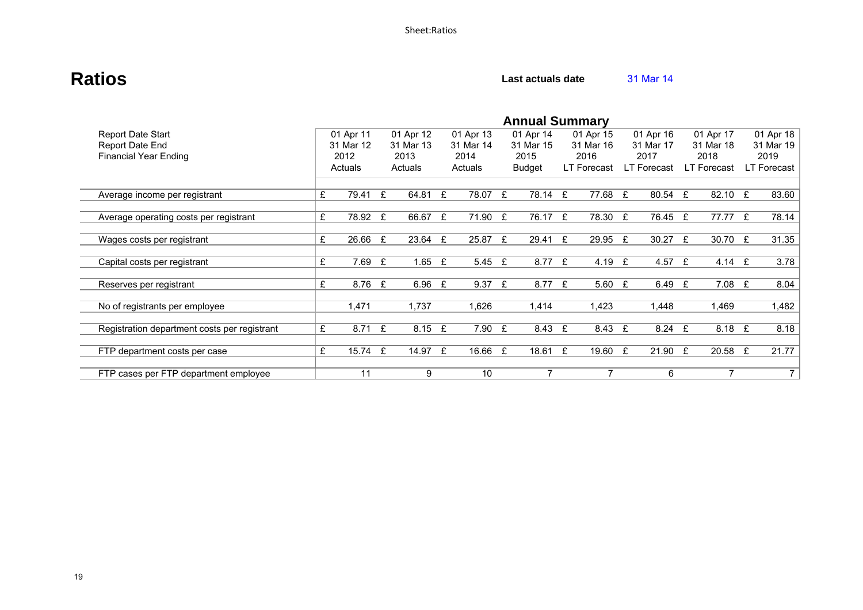### **Ratios Calculate Rations Calculate Calculate Calculate Calculate Calculate Calculate Calculate Calculate Calculate Calculate Calculate Calculate Calculate Calculate Calculate Calculate**

|                                              | <b>Annual Summary</b> |            |   |           |   |           |  |           |   |             |             |   |             |   |             |
|----------------------------------------------|-----------------------|------------|---|-----------|---|-----------|--|-----------|---|-------------|-------------|---|-------------|---|-------------|
| <b>Report Date Start</b>                     |                       | 01 Apr 11  |   | 01 Apr 12 |   | 01 Apr 13 |  | 01 Apr 14 |   | 01 Apr 15   | 01 Apr 16   |   | 01 Apr 17   |   | 01 Apr 18   |
| Report Date End                              |                       | 31 Mar 12  |   | 31 Mar 13 |   | 31 Mar 14 |  | 31 Mar 15 |   | 31 Mar 16   | 31 Mar 17   |   | 31 Mar 18   |   | 31 Mar 19   |
| <b>Financial Year Ending</b>                 |                       | 2012       |   | 2013      |   | 2014      |  | 2015      |   | 2016        | 2017        |   | 2018        |   | 2019        |
|                                              |                       | Actuals    |   | Actuals   |   | Actuals   |  | Budget    |   | LT Forecast | LT Forecast |   | LT Forecast |   | LT Forecast |
|                                              |                       |            |   |           |   |           |  |           |   |             |             |   |             |   |             |
| Average income per registrant                | £                     | 79.41      | £ | 64.81     | E | 78.07 £   |  | 78.14 £   |   | 77.68 £     | 80.54 £     |   | 82.10 £     |   | 83.60       |
|                                              |                       |            |   |           |   |           |  |           |   |             |             |   |             |   |             |
| Average operating costs per registrant       | £                     | 78.92 £    |   | 66.67 £   |   | 71.90 £   |  | 76.17 £   |   | 78.30 £     | 76.45 £     |   | 77.77 £     |   | 78.14       |
|                                              |                       |            |   |           |   |           |  |           |   |             |             |   |             |   |             |
| Wages costs per registrant                   | £                     | 26.66      | £ | 23.64 £   |   | 25.87 £   |  | 29.41     | £ | 29.95 £     | 30.27       | £ | 30.70       | £ | 31.35       |
|                                              |                       |            |   |           |   |           |  |           |   |             |             |   |             |   |             |
| Capital costs per registrant                 | £                     | 7.69       | £ | 1.65 $E$  |   | 5.45 £    |  | 8.77      | £ | 4.19 £      | 4.57 £      |   | 4.14 $E$    |   | 3.78        |
|                                              |                       |            |   |           |   |           |  |           |   |             |             |   |             |   |             |
| Reserves per registrant                      | £                     | 8.76 £     |   | 6.96 $E$  |   | 9.37 E    |  | 8.77      | £ | 5.60 $E$    | 6.49 £      |   | $7.08$ £    |   | 8.04        |
|                                              |                       |            |   |           |   |           |  |           |   |             |             |   |             |   |             |
| No of registrants per employee               |                       | 1,471      |   | 1,737     |   | 1,626     |  | 1,414     |   | 1,423       | 1,448       |   | 1,469       |   | 1,482       |
|                                              |                       |            |   |           |   |           |  |           |   |             |             |   |             |   |             |
| Registration department costs per registrant | £                     | $8.71 \tE$ |   | $8.15$ £  |   | 7.90 £    |  | 8.43      | £ | 8.43 £      | $8.24 \tE$  |   | 8.18 £      |   | 8.18        |
|                                              |                       |            |   |           |   |           |  |           |   |             |             |   |             |   |             |
| FTP department costs per case                | £                     | 15.74 £    |   | 14.97 £   |   | 16.66 £   |  | 18.61 £   |   | 19.60 £     | 21.90 E     |   | 20.58       | £ | 21.77       |
|                                              |                       |            |   |           |   |           |  |           |   |             |             |   |             |   |             |
| FTP cases per FTP department employee        |                       | 11         |   | 9         |   | 10        |  |           |   |             | 6           |   | 7           |   | 7 I         |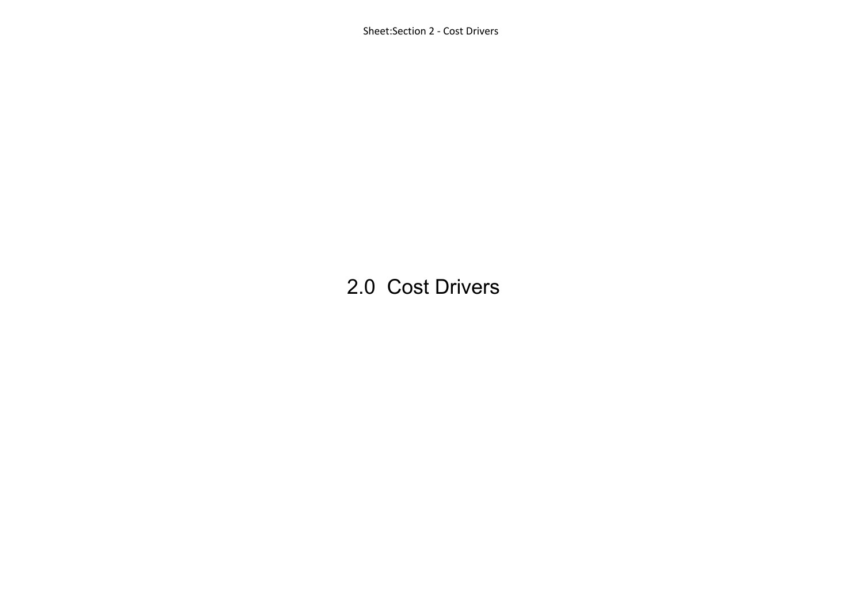Sheet:Section 2 ‐ Cost Drivers

## 2.0 Cost Drivers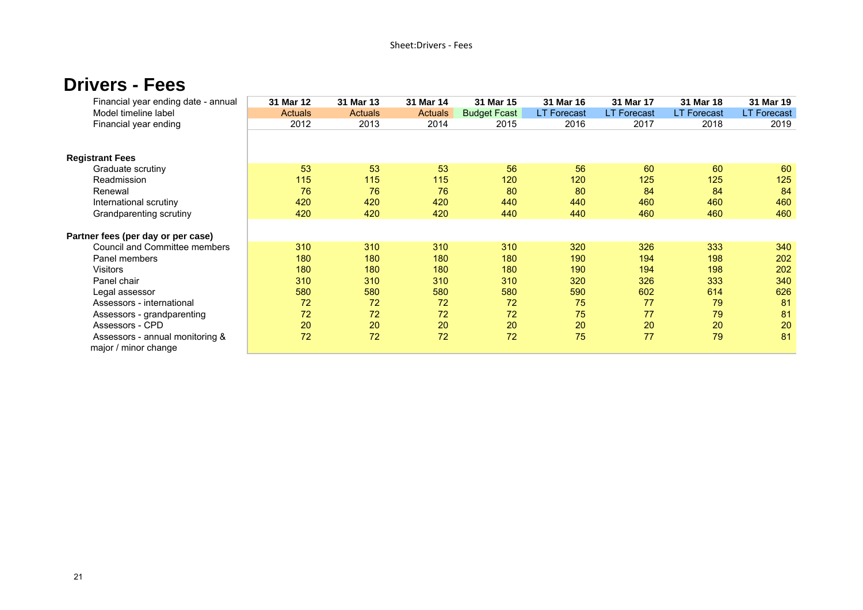### **Drivers - Fees**

| Financial year ending date - annual | 31 Mar 12      | 31 Mar 13      | 31 Mar 14 | 31 Mar 15           | 31 Mar 16          | 31 Mar 17          | 31 Mar 18          | 31 Mar 19          |
|-------------------------------------|----------------|----------------|-----------|---------------------|--------------------|--------------------|--------------------|--------------------|
| Model timeline label                | <b>Actuals</b> | <b>Actuals</b> | Actuals   | <b>Budget Fcast</b> | <b>LT Forecast</b> | <b>LT Forecast</b> | <b>LT Forecast</b> | <b>LT Forecast</b> |
| Financial year ending               | 2012           | 2013           | 2014      | 2015                | 2016               | 2017               | 2018               | 2019               |
|                                     |                |                |           |                     |                    |                    |                    |                    |
| <b>Registrant Fees</b>              |                |                |           |                     |                    |                    |                    |                    |
| Graduate scrutiny                   | 53             | 53             | 53        | 56                  | 56                 | 60                 | 60                 | 60                 |
| Readmission                         | 115            | 115            | 115       | 120                 | 120                | 125                | 125                | 125                |
| Renewal                             | 76             | 76             | 76        | 80                  | 80                 | 84                 | 84                 | 84                 |
| International scrutiny              | 420            | 420            | 420       | 440                 | 440                | 460                | 460                | 460                |
| Grandparenting scrutiny             | 420            | 420            | 420       | 440                 | 440                | 460                | 460                | 460                |
|                                     |                |                |           |                     |                    |                    |                    |                    |
| Partner fees (per day or per case)  |                |                |           |                     |                    |                    |                    |                    |
| Council and Committee members       | 310            | 310            | 310       | 310                 | 320                | 326                | 333                | 340                |
| Panel members                       | 180            | 180            | 180       | 180                 | 190                | 194                | 198                | 202                |
| <b>Visitors</b>                     | 180            | 180            | 180       | 180                 | 190                | 194                | 198                | 202                |
| Panel chair                         | 310            | 310            | 310       | 310                 | 320                | 326                | 333                | 340                |
| Legal assessor                      | 580            | 580            | 580       | 580                 | 590                | 602                | 614                | 626                |
| Assessors - international           | 72             | 72             | 72        | 72                  | 75                 | 77                 | 79                 | 81                 |
| Assessors - grandparenting          | 72             | 72             | 72        | 72                  | 75                 | 77                 | 79                 | 81                 |
| Assessors - CPD                     | 20             | 20             | 20        | 20                  | 20                 | 20                 | 20                 | 20                 |
| Assessors - annual monitoring &     | 72             | 72             | 72        | 72                  | 75                 | 77                 | 79                 | 81                 |
| major / minor change                |                |                |           |                     |                    |                    |                    |                    |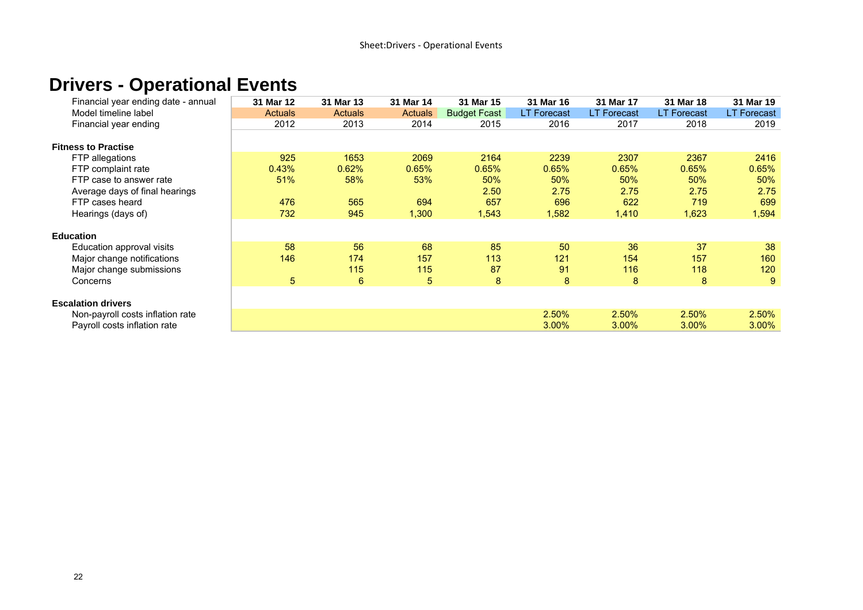### **Drivers - Operational Events**

| Financial year ending date - annual | 31 Mar 12      | 31 Mar 13      | 31 Mar 14      | 31 Mar 15           | 31 Mar 16          | 31 Mar 17          | 31 Mar 18          | 31 Mar 19          |
|-------------------------------------|----------------|----------------|----------------|---------------------|--------------------|--------------------|--------------------|--------------------|
| Model timeline label                | <b>Actuals</b> | <b>Actuals</b> | <b>Actuals</b> | <b>Budget Fcast</b> | <b>LT Forecast</b> | <b>LT Forecast</b> | <b>LT Forecast</b> | <b>LT Forecast</b> |
| Financial year ending               | 2012           | 2013           | 2014           | 2015                | 2016               | 2017               | 2018               | 2019               |
|                                     |                |                |                |                     |                    |                    |                    |                    |
| <b>Fitness to Practise</b>          |                |                |                |                     |                    |                    |                    |                    |
| FTP allegations                     | 925            | 1653           | 2069           | 2164                | 2239               | 2307               | 2367               | 2416               |
| FTP complaint rate                  | 0.43%          | 0.62%          | 0.65%          | 0.65%               | 0.65%              | 0.65%              | 0.65%              | 0.65%              |
| FTP case to answer rate             | 51%            | 58%            | 53%            | 50%                 | 50%                | 50%                | 50%                | 50%                |
| Average days of final hearings      |                |                |                | 2.50                | 2.75               | 2.75               | 2.75               | 2.75               |
| FTP cases heard                     | 476            | 565            | 694            | 657                 | 696                | 622                | 719                | 699                |
| Hearings (days of)                  | 732            | 945            | 1,300          | 1,543               | 1,582              | 1,410              | 1,623              | 1,594              |
|                                     |                |                |                |                     |                    |                    |                    |                    |
| <b>Education</b>                    |                |                |                |                     |                    |                    |                    |                    |
| Education approval visits           | 58             | 56             | 68             | 85                  | 50                 | 36                 | 37                 | 38                 |
| Major change notifications          | 146            | 174            | 157            | 113                 | 121                | 154                | 157                | 160                |
| Major change submissions            |                | 115            | 115            | 87                  | 91                 | 116                | 118                | 120                |
| Concerns                            | 5              | 6              | 5              | 8                   | 8                  | 8                  | 8                  | 9                  |
|                                     |                |                |                |                     |                    |                    |                    |                    |
| <b>Escalation drivers</b>           |                |                |                |                     |                    |                    |                    |                    |
| Non-payroll costs inflation rate    |                |                |                |                     | 2.50%              | 2.50%              | 2.50%              | 2.50%              |
| Payroll costs inflation rate        |                |                |                |                     | 3.00%              | 3.00%              | 3.00%              | $3.00\%$           |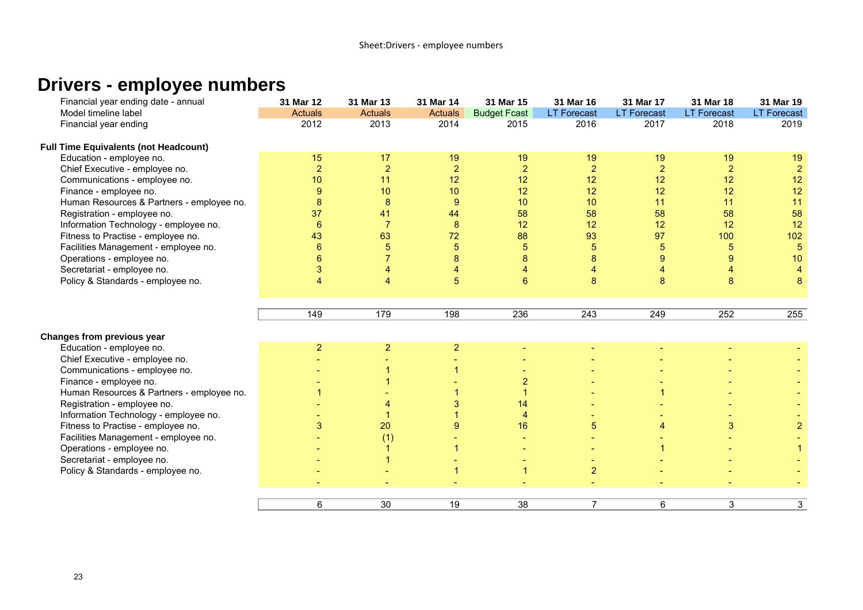### **Drivers - employee numbers**

| Financial year ending date - annual          | 31 Mar 12      | 31 Mar 13      | 31 Mar 14      | 31 Mar 15           | 31 Mar 16          | 31 Mar 17            | 31 Mar 18          | 31 Mar 19          |
|----------------------------------------------|----------------|----------------|----------------|---------------------|--------------------|----------------------|--------------------|--------------------|
| Model timeline label                         | Actuals        | <b>Actuals</b> | <b>Actuals</b> | <b>Budget Fcast</b> | <b>LT Forecast</b> | <b>LT Forecast</b>   | <b>LT Forecast</b> | <b>LT Forecast</b> |
| Financial year ending                        | 2012           | 2013           | 2014           | 2015                | 2016               | 2017                 | 2018               | 2019               |
| <b>Full Time Equivalents (not Headcount)</b> |                |                |                |                     |                    |                      |                    |                    |
| Education - employee no.                     | 15             | 17             | 19             | 19                  | 19                 | 19                   | 19                 | 19                 |
| Chief Executive - employee no.               | $\overline{2}$ | $\overline{2}$ | $\overline{2}$ | $\overline{2}$      | $\overline{2}$     | $\overline{2}$       | $\overline{2}$     | $\overline{2}$     |
| Communications - employee no.                | 10             | 11             | 12             | 12                  | 12                 | 12                   | 12                 | 12                 |
| Finance - employee no.                       | 9              | 10             | 10             | 12                  | 12                 | 12                   | 12                 | 12                 |
| Human Resources & Partners - employee no.    | 8              | 8              | $\overline{9}$ | 10                  | 10                 | 11                   | 11                 | 11                 |
| Registration - employee no.                  | 37             | 41             | 44             | 58                  | 58                 | 58                   | 58                 | 58                 |
| Information Technology - employee no.        | 6              | $\overline{7}$ | 8              | 12                  | 12                 | 12                   | 12                 | 12                 |
| Fitness to Practise - employee no.           | 43             | 63             | 72             | 88                  | 93                 | 97                   | 100                | 102                |
| Facilities Management - employee no.         | 6              | 5              | 5              | 5                   | $\overline{5}$     | 5                    | 5                  | $\overline{5}$     |
| Operations - employee no.                    |                | 7              | 8              | 8                   | 8                  | 9                    | 9                  | 10                 |
| Secretariat - employee no.                   | 3              | 4              | 4              |                     | 4                  | $\overline{4}$       |                    | $\overline{4}$     |
| Policy & Standards - employee no.            | 4              | $\overline{4}$ | 5              | 6                   | 8                  | 8                    | 8                  | 8                  |
|                                              |                |                |                |                     |                    |                      |                    |                    |
|                                              |                |                |                |                     |                    |                      |                    |                    |
|                                              | 149            | 179            | 198            | 236                 | 243                | 249                  | 252                | 255                |
| Changes from previous year                   |                |                |                |                     |                    |                      |                    |                    |
| Education - employee no.                     | $\overline{2}$ | $\overline{2}$ | $\overline{2}$ |                     |                    |                      |                    |                    |
| Chief Executive - employee no.               |                |                |                |                     |                    |                      |                    |                    |
| Communications - employee no.                |                |                |                |                     |                    |                      |                    |                    |
| Finance - employee no.                       |                |                |                | $\overline{2}$      |                    |                      |                    |                    |
| Human Resources & Partners - employee no.    |                |                |                |                     |                    | 1                    |                    |                    |
| Registration - employee no.                  |                |                | 3              | 14                  |                    |                      |                    |                    |
| Information Technology - employee no.        |                |                |                | $\overline{4}$      |                    |                      |                    |                    |
| Fitness to Practise - employee no.           | 3              | 20             | 9              | 16                  | 5                  | $\overline{4}$       | 3                  | $\overline{2}$     |
| Facilities Management - employee no.         |                | (1)            |                |                     |                    |                      |                    |                    |
| Operations - employee no.                    |                | $\mathbf{1}$   | $\mathbf{1}$   |                     |                    | $\blacktriangleleft$ |                    |                    |
| Secretariat - employee no.                   |                | $\mathbf{1}$   |                |                     |                    |                      |                    |                    |
| Policy & Standards - employee no.            |                |                | $\overline{1}$ | $\mathbf{1}$        | $\overline{2}$     |                      |                    |                    |
|                                              |                |                |                |                     |                    |                      |                    |                    |
|                                              |                |                |                |                     |                    |                      |                    |                    |
|                                              | 6              | 30             | 19             | 38                  | $\overline{7}$     | 6                    | 3                  | 3                  |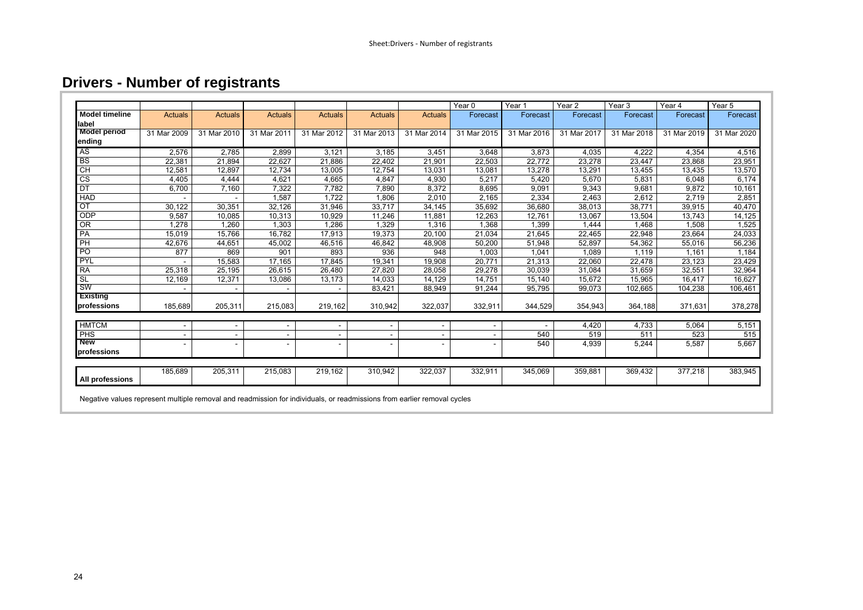### **Drivers - Number of registrants**

|                       |                |                |                              |                |                          |                          | Year 0      | Year <sub>1</sub> | Year <sub>2</sub> | Year <sub>3</sub> | Year 4      | Year <sub>5</sub> |
|-----------------------|----------------|----------------|------------------------------|----------------|--------------------------|--------------------------|-------------|-------------------|-------------------|-------------------|-------------|-------------------|
| <b>Model timeline</b> | <b>Actuals</b> | <b>Actuals</b> | <b>Actuals</b>               | <b>Actuals</b> | <b>Actuals</b>           | <b>Actuals</b>           | Forecast    | Forecast          | Forecast          | Forecast          | Forecast    | Forecast          |
| label                 |                |                |                              |                |                          |                          |             |                   |                   |                   |             |                   |
| <b>Model period</b>   | 31 Mar 2009    | 31 Mar 2010    | 31 Mar 2011                  | 31 Mar 2012    | 31 Mar 2013              | 31 Mar 2014              | 31 Mar 2015 | 31 Mar 2016       | 31 Mar 2017       | 31 Mar 2018       | 31 Mar 2019 | 31 Mar 2020       |
| ending                |                |                |                              |                |                          |                          |             |                   |                   |                   |             |                   |
| <b>AS</b>             | 2,576          | 2,785          | 2,899                        | 3,121          | 3,185                    | 3,451                    | 3,648       | 3,873             | 4,035             | 4,222             | 4,354       | 4,516             |
| <b>BS</b>             | 22,381         | 21,894         | 22,627                       | 21,886         | 22,402                   | 21,901                   | 22,503      | 22,772            | 23,278            | 23,447            | 23,868      | 23,951            |
| CH                    | 12,581         | 12,897         | 12,734                       | 13,005         | 12,754                   | 13,031                   | 13,081      | 13,278            | 13,291            | 13,455            | 13,435      | 13,570            |
| CS                    | 4,405          | 4,444          | 4,621                        | 4,665          | 4,847                    | 4,930                    | 5,217       | 5,420             | 5,670             | 5,831             | 6,048       | 6,174             |
| DT                    | 6,700          | 7,160          | 7,322                        | 7,782          | 7,890                    | 8,372                    | 8,695       | 9,091             | 9,343             | 9,681             | 9,872       | 10,161            |
| <b>HAD</b>            |                |                | 1,587                        | 1,722          | 1,806                    | 2,010                    | 2,165       | 2,334             | 2,463             | 2,612             | 2,719       | 2,851             |
| OT                    | 30,122         | 30,351         | 32,126                       | 31,946         | 33,717                   | 34,145                   | 35,692      | 36,680            | 38,013            | 38,771            | 39,915      | 40,470            |
| ODP                   | 9,587          | 10,085         | 10,313                       | 10,929         | 11,246                   | 11,881                   | 12,263      | 12,761            | 13,067            | 13,504            | 13,743      | 14,125            |
| OR                    | 1,278          | 1,260          | 1,303                        | 1,286          | 1,329                    | 1,316                    | 1,368       | 1,399             | 1,444             | 1,468             | 1,508       | 1,525             |
| PA                    | 15,019         | 15,766         | 16,782                       | 17,913         | 19,373                   | 20,100                   | 21,034      | 21,645            | 22,465            | 22,948            | 23,664      | 24,033            |
| $\overline{P}$        | 42,676         | 44,651         | 45,002                       | 46,516         | 46,842                   | 48,908                   | 50,200      | 51,948            | 52,897            | 54,362            | 55,016      | 56,236            |
| PO                    | 877            | 869            | 901                          | 893            | 936                      | 948                      | 1,003       | 1,041             | 1,089             | 1,119             | 1,161       | 1,184             |
| PYL                   |                | 15,583         | 17,165                       | 17,845         | 19,341                   | 19,908                   | 20,771      | 21,313            | 22,060            | 22,478            | 23,123      | 23,429            |
| <b>RA</b>             | 25,318         | 25,195         | 26,615                       | 26,480         | 27,820                   | 28,058                   | 29,278      | 30,039            | 31,084            | 31,659            | 32,551      | 32,964            |
| <b>SL</b>             | 12,169         | 12,371         | 13,086                       | 13,173         | 14,033                   | 14,129                   | 14,751      | 15,140            | 15,672            | 15,965            | 16,417      | 16,627            |
| <b>SW</b>             |                |                |                              |                | 83,421                   | 88,949                   | 91,244      | 95,795            | 99,073            | 102,665           | 104,238     | 106,461           |
| Existing              |                |                |                              |                |                          |                          |             |                   |                   |                   |             |                   |
| professions           | 185,689        | 205,311        | 215,083                      | 219,162        | 310,942                  | 322,037                  | 332,911     | 344,529           | 354,943           | 364,188           | 371,631     | 378,278           |
| <b>HMTCM</b>          | $\sim$         |                | $\overline{\phantom{a}}$     |                | $\overline{\phantom{a}}$ | $\overline{\phantom{a}}$ |             |                   | 4,420             | 4,733             | 5,064       | 5,151             |
| PHS                   | $\sim$         |                |                              |                | $\overline{\phantom{a}}$ |                          |             | 540               | 519               | 511               | 523         | 515               |
| <b>New</b>            | $\sim$         |                | $\qquad \qquad \blacksquare$ |                | $\overline{\phantom{a}}$ |                          |             | 540               | 4,939             | 5,244             | 5,587       | 5,667             |
| professions           |                |                |                              |                |                          |                          |             |                   |                   |                   |             |                   |
| All professions       | 185,689        | 205,311        | 215,083                      | 219,162        | 310,942                  | 322,037                  | 332,911     | 345,069           | 359,881           | 369,432           | 377,218     | 383,945           |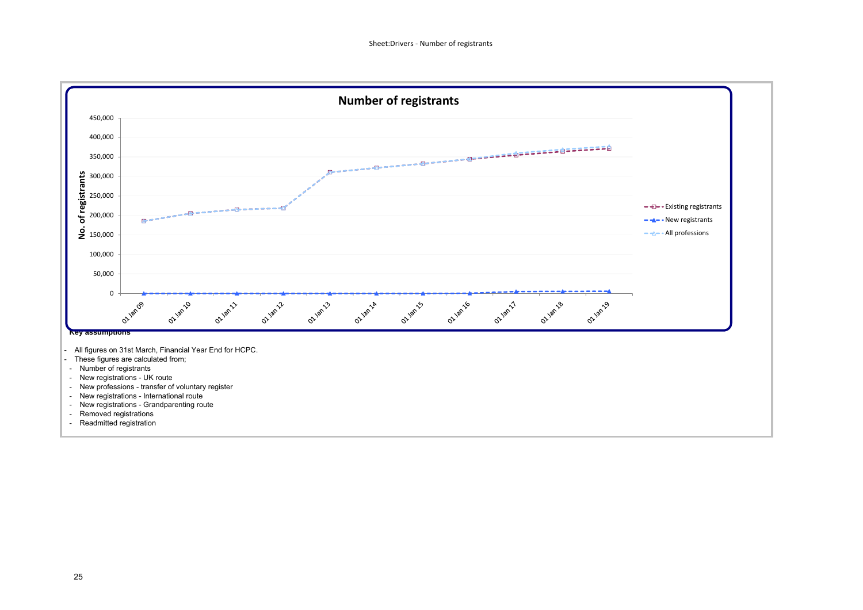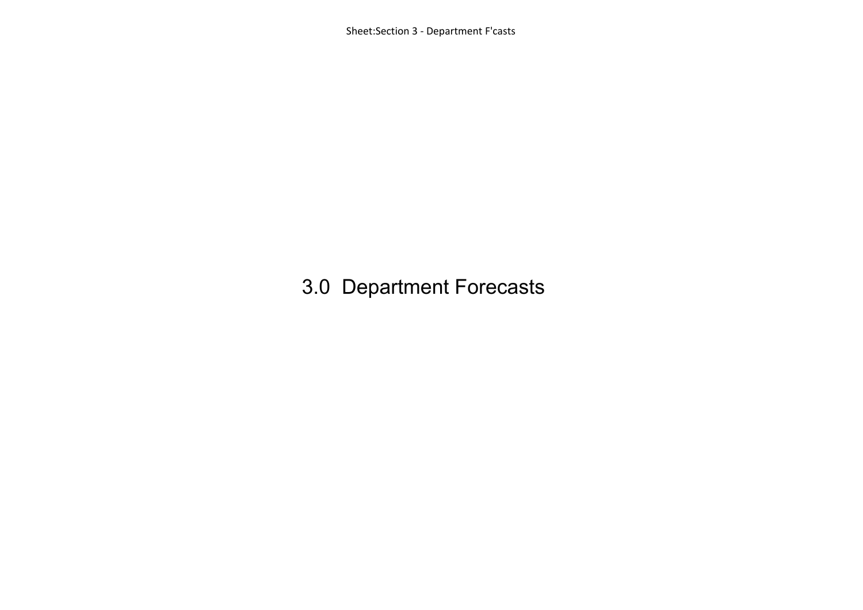Sheet:Section 3 ‐ Department F'casts

## 3.0 Department Forecasts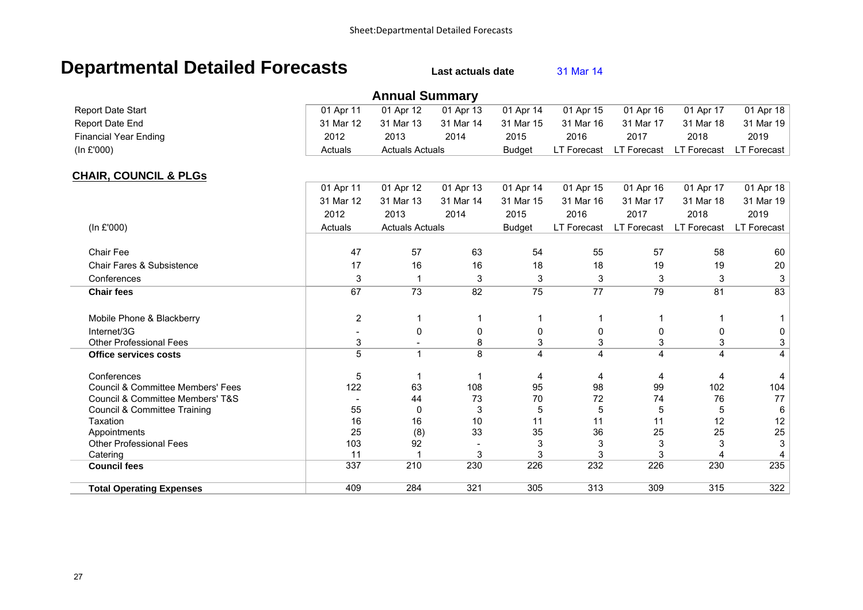### **Departmental Detailed Forecasts** Last actuals date 31 Mar 14

|                                              |                  | <b>Annual Summary</b>  |           |                |             |                    |                    |                           |
|----------------------------------------------|------------------|------------------------|-----------|----------------|-------------|--------------------|--------------------|---------------------------|
| <b>Report Date Start</b>                     | 01 Apr 11        | 01 Apr 12              | 01 Apr 13 | 01 Apr 14      | 01 Apr 15   | 01 Apr 16          | 01 Apr 17          | 01 Apr 18                 |
| Report Date End                              | 31 Mar 12        | 31 Mar 13              | 31 Mar 14 | 31 Mar 15      | 31 Mar 16   | 31 Mar 17          | 31 Mar 18          | 31 Mar 19                 |
| <b>Financial Year Ending</b>                 | 2012             | 2013                   | 2014      | 2015           | 2016        | 2017               | 2018               | 2019                      |
| (In £'000)                                   | Actuals          | <b>Actuals Actuals</b> |           | <b>Budget</b>  | LT Forecast | <b>LT Forecast</b> | <b>LT Forecast</b> | LT Forecast               |
| <b>CHAIR, COUNCIL &amp; PLGs</b>             |                  |                        |           |                |             |                    |                    |                           |
|                                              | 01 Apr 11        | 01 Apr 12              | 01 Apr 13 | 01 Apr 14      | 01 Apr 15   | 01 Apr 16          | 01 Apr 17          | 01 Apr 18                 |
|                                              | 31 Mar 12        | 31 Mar 13              | 31 Mar 14 | 31 Mar 15      | 31 Mar 16   | 31 Mar 17          | 31 Mar 18          | 31 Mar 19                 |
|                                              | 2012             | 2013                   | 2014      | 2015           | 2016        | 2017               | 2018               | 2019                      |
| (In £'000)                                   | Actuals          | <b>Actuals Actuals</b> |           | <b>Budget</b>  | LT Forecast | <b>LT Forecast</b> | <b>LT Forecast</b> | <b>LT Forecast</b>        |
| Chair Fee                                    | 47               | 57                     | 63        | 54             | 55          | 57                 | 58                 | 60                        |
| Chair Fares & Subsistence                    | 17               | 16                     | 16        | 18             | 18          | 19                 | 19                 | 20                        |
| Conferences                                  | 3                | 1                      | 3         | 3              | 3           | 3                  | 3                  | 3                         |
|                                              |                  |                        |           |                |             |                    |                    | 83                        |
| <b>Chair fees</b>                            | 67               | 73                     | 82        | 75             | 77          | 79                 | 81                 |                           |
| Mobile Phone & Blackberry                    | $\boldsymbol{2}$ | 1                      | -1        |                |             |                    |                    |                           |
| Internet/3G                                  |                  | 0                      | 0         | 0              | 0           | 0                  | 0                  | 0                         |
| <b>Other Professional Fees</b>               | $\mathbf{3}$     | $\blacksquare$         | 8         | 3              | 3           | $\mathbf{3}$       | 3                  | $\mathbf{3}$              |
| <b>Office services costs</b>                 | 5                | $\mathbf 1$            | 8         | $\overline{4}$ | 4           | 4                  | 4                  | 4                         |
| Conferences                                  | 5                |                        |           | 4              | 4           | 4                  | 4                  | 4                         |
| <b>Council &amp; Committee Members' Fees</b> | 122              | 63                     | 108       | 95             | 98          | 99                 | 102                | 104                       |
| Council & Committee Members' T&S             |                  | 44                     | 73        | 70             | 72          | 74                 | 76                 | 77                        |
| <b>Council &amp; Committee Training</b>      | 55               | 0                      | 3         | 5              | 5           | 5                  | 5                  | $\,6$                     |
| Taxation                                     | 16               | 16                     | 10        | 11             | 11          | 11                 | 12                 | 12                        |
| Appointments                                 | 25               | (8)                    | 33        | 35             | 36          | 25                 | 25                 | 25                        |
| <b>Other Professional Fees</b>               | 103              | 92                     |           | 3              | 3           | 3                  | 3                  | $\ensuremath{\mathsf{3}}$ |
| Catering                                     | 11               |                        | 3         | 3              | 3           | 3                  |                    | 4                         |
| <b>Council fees</b>                          | 337              | 210                    | 230       | 226            | 232         | 226                | 230                | 235                       |
| <b>Total Operating Expenses</b>              | 409              | 284                    | 321       | 305            | 313         | 309                | 315                | 322                       |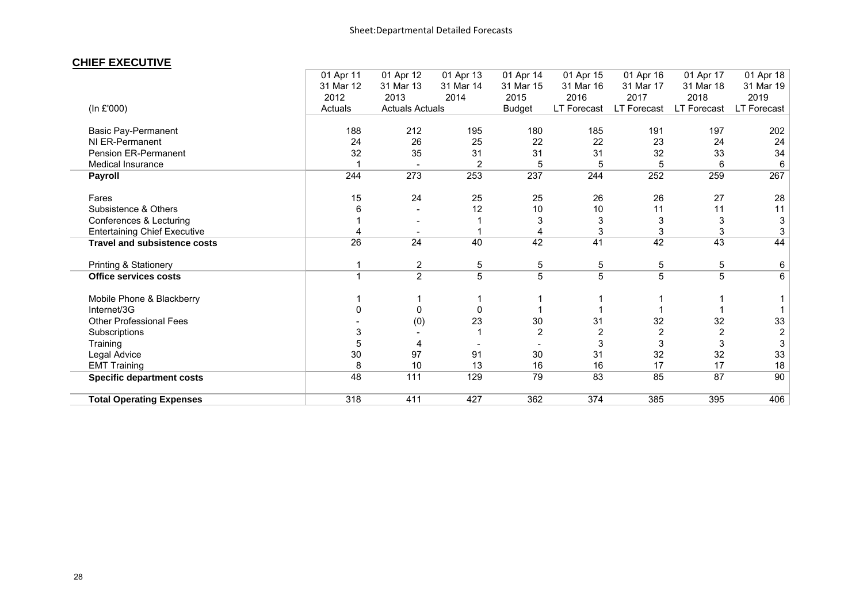### **CHIEF EXECUTIVE**

|                                     | 01 Apr 11 | 01 Apr 12               | 01 Apr 13 | 01 Apr 14     | 01 Apr 15      | 01 Apr 16   | 01 Apr 17   | 01 Apr 18               |
|-------------------------------------|-----------|-------------------------|-----------|---------------|----------------|-------------|-------------|-------------------------|
|                                     | 31 Mar 12 | 31 Mar 13               | 31 Mar 14 | 31 Mar 15     | 31 Mar 16      | 31 Mar 17   | 31 Mar 18   | 31 Mar 19               |
|                                     | 2012      | 2013                    | 2014      | 2015          | 2016           | 2017        | 2018        | 2019                    |
| (In £'000)                          | Actuals   | <b>Actuals Actuals</b>  |           | <b>Budget</b> | LT Forecast    | LT Forecast | LT Forecast | LT Forecast             |
| <b>Basic Pay-Permanent</b>          | 188       | 212                     | 195       | 180           | 185            | 191         | 197         | 202                     |
| NI ER-Permanent                     | 24        | 26                      | 25        | 22            | 22             | 23          | 24          | 24                      |
| Pension ER-Permanent                | 32        | 35                      | 31        | 31            | 31             | 32          | 33          | 34                      |
| Medical Insurance                   |           |                         | 2         | 5             | 5              | 5           | 6           | 6                       |
| Payroll                             | 244       | 273                     | 253       | 237           | 244            | 252         | 259         | 267                     |
| Fares                               | 15        | 24                      | 25        | 25            | 26             | 26          | 27          | 28                      |
| Subsistence & Others                | 6         |                         | 12        | 10            | 10             | 11          | 11          | 11                      |
| Conferences & Lecturing             |           |                         |           | 3             | 3              |             | 3           | 3                       |
| <b>Entertaining Chief Executive</b> |           |                         |           |               | 3              | 3           | 3           | 3                       |
| <b>Travel and subsistence costs</b> | 26        | 24                      | 40        | 42            | 41             | 42          | 43          | 44                      |
| Printing & Stationery               |           | $\overline{\mathbf{c}}$ | 5         | 5             | 5              | 5           | 5           | 6                       |
| Office services costs               | 1         | $\overline{2}$          | 5         | 5             | 5              | 5           | 5           | 6                       |
| Mobile Phone & Blackberry           |           |                         |           |               |                |             |             |                         |
| Internet/3G                         | 0         | 0                       | 0         |               |                |             |             |                         |
| <b>Other Professional Fees</b>      |           | (0)                     | 23        | 30            | 31             | 32          | 32          | 33                      |
| Subscriptions                       | 3         |                         |           | 2             | $\overline{2}$ |             |             | $\overline{\mathbf{c}}$ |
| Training                            | 5         | 4                       |           |               | 3              |             |             | 3                       |
| Legal Advice                        | 30        | 97                      | 91        | 30            | 31             | 32          | 32          | 33                      |
| <b>EMT Training</b>                 | 8         | 10                      | 13        | 16            | 16             | 17          | 17          | 18                      |
| <b>Specific department costs</b>    | 48        | $111$                   | 129       | 79            | 83             | 85          | 87          | 90                      |
| <b>Total Operating Expenses</b>     | 318       | 411                     | 427       | 362           | 374            | 385         | 395         | 406                     |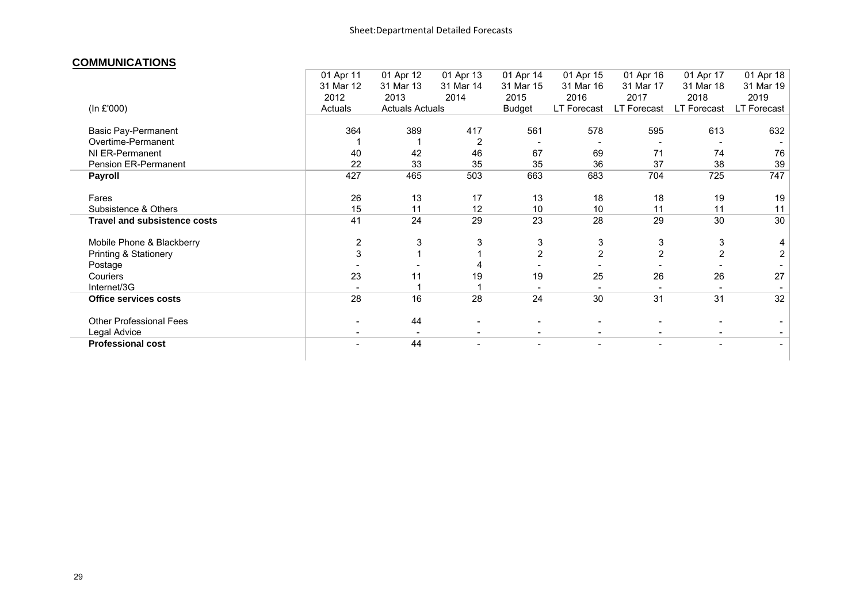#### **COMMUNICATIONS**

|                                     | 01 Apr 11                | 01 Apr 12              | 01 Apr 13                | 01 Apr 14                | 01 Apr 15                | 01 Apr 16      | 01 Apr 17      | 01 Apr 18      |
|-------------------------------------|--------------------------|------------------------|--------------------------|--------------------------|--------------------------|----------------|----------------|----------------|
|                                     | 31 Mar 12                | 31 Mar 13              | 31 Mar 14                | 31 Mar 15                | 31 Mar 16                | 31 Mar 17      | 31 Mar 18      | 31 Mar 19      |
|                                     | 2012                     | 2013                   | 2014                     | 2015                     | 2016                     | 2017           | 2018           | 2019           |
| (In £'000)                          | Actuals                  | <b>Actuals Actuals</b> |                          | <b>Budget</b>            | LT Forecast              | LT Forecast    | LT Forecast    | LT Forecast    |
| <b>Basic Pay-Permanent</b>          | 364                      | 389                    | 417                      | 561                      | 578                      | 595            | 613            | 632            |
| Overtime-Permanent                  |                          |                        | 2                        |                          |                          |                |                |                |
| NI ER-Permanent                     | 40                       | 42                     | 46                       | 67                       | 69                       | 71             | 74             | 76             |
| Pension ER-Permanent                | 22                       | 33                     | 35                       | 35                       | 36                       | 37             | 38             | 39             |
| <b>Payroll</b>                      | 427                      | 465                    | 503                      | 663                      | 683                      | 704            | 725            | 747            |
| Fares                               | 26                       | 13                     | 17                       | 13                       | 18                       | 18             | 19             | 19             |
| Subsistence & Others                | 15                       | 11                     | 12                       | 10                       | 10                       | 11             | 11             | 11             |
| <b>Travel and subsistence costs</b> | 41                       | 24                     | 29                       | 23                       | 28                       | 29             | 30             | 30             |
| Mobile Phone & Blackberry           | 2                        | 3                      | 3                        | 3                        | 3                        | 3              | 3              | 4              |
| <b>Printing &amp; Stationery</b>    | 3                        |                        |                          | $\overline{2}$           | $\overline{2}$           | $\overline{2}$ | $\overline{2}$ | 2              |
| Postage                             |                          |                        |                          |                          |                          |                |                |                |
| Couriers                            | 23                       | 11                     | 19                       | 19                       | 25                       | 26             | 26             | 27             |
| Internet/3G                         |                          |                        |                          |                          |                          |                |                |                |
| <b>Office services costs</b>        | 28                       | 16                     | 28                       | 24                       | 30                       | 31             | 31             | 32             |
| Other Professional Fees             |                          | 44                     |                          |                          |                          |                |                |                |
| Legal Advice                        |                          |                        |                          |                          |                          |                |                |                |
| <b>Professional cost</b>            | $\overline{\phantom{0}}$ | 44                     | $\overline{\phantom{a}}$ | $\overline{\phantom{a}}$ | $\overline{\phantom{a}}$ |                | $\blacksquare$ | $\blacksquare$ |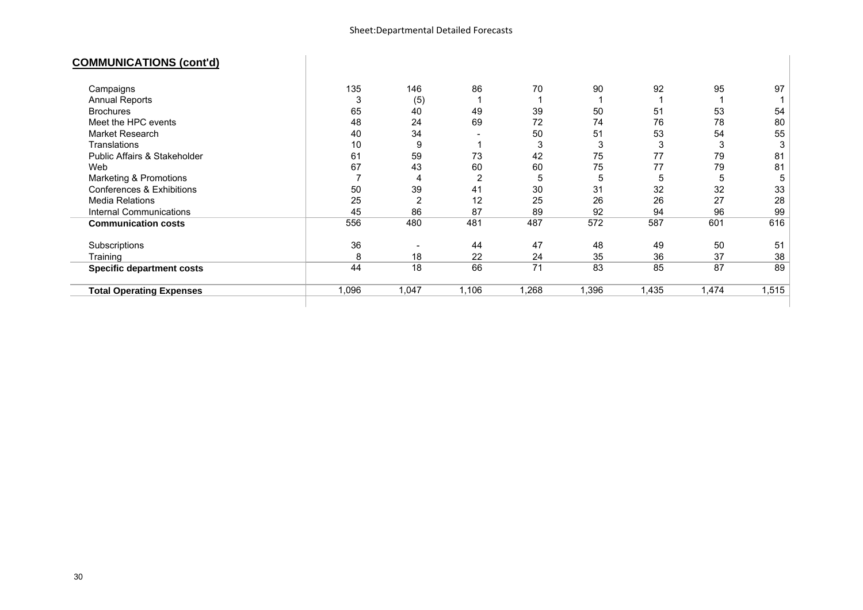### **COMMUNICATIONS (cont'd)**

|                                  | 135   | 146   | 86             | 70    | 90    | 92    | 95    |       |
|----------------------------------|-------|-------|----------------|-------|-------|-------|-------|-------|
| Campaigns                        |       |       |                |       |       |       |       | 97    |
| Annual Reports                   |       | (5)   |                |       |       |       |       |       |
| <b>Brochures</b>                 | 65    | 40    | 49             | 39    | 50    | 51    | 53    | 54    |
| Meet the HPC events              | 48    | 24    | 69             | 72    | 74    | 76    | 78    | 80    |
| Market Research                  | 40    | 34    |                | 50    | 51    | 53    | 54    | 55    |
| Translations                     | 10    | 9     |                | 3     | 3     | 3     | 3     |       |
| Public Affairs & Stakeholder     | 61    | 59    | 73             | 42    | 75    | 77    | 79    | 81    |
| Web                              | 67    | 43    | 60             | 60    | 75    | 77    | 79    | 81    |
| Marketing & Promotions           |       | 4     | $\overline{2}$ | 5     | 5     | ა     | '5    | 5     |
| Conferences & Exhibitions        | 50    | 39    | 41             | 30    | 31    | 32    | 32    | 33    |
| <b>Media Relations</b>           | 25    | 2     | 12             | 25    | 26    | 26    | 27    | 28    |
| Internal Communications          | 45    | 86    | 87             | 89    | 92    | 94    | 96    | 99    |
| <b>Communication costs</b>       | 556   | 480   | 481            | 487   | 572   | 587   | 601   | 616   |
| Subscriptions                    | 36    |       | 44             | 47    | 48    | 49    | 50    | 51    |
| Training                         | 8     | 18    | 22             | 24    | 35    | 36    | 37    | 38    |
| <b>Specific department costs</b> | 44    | 18    | 66             | 71    | 83    | 85    | 87    | 89    |
| <b>Total Operating Expenses</b>  | 1,096 | 1,047 | 1,106          | 1,268 | 1,396 | 1,435 | 1,474 | 1,515 |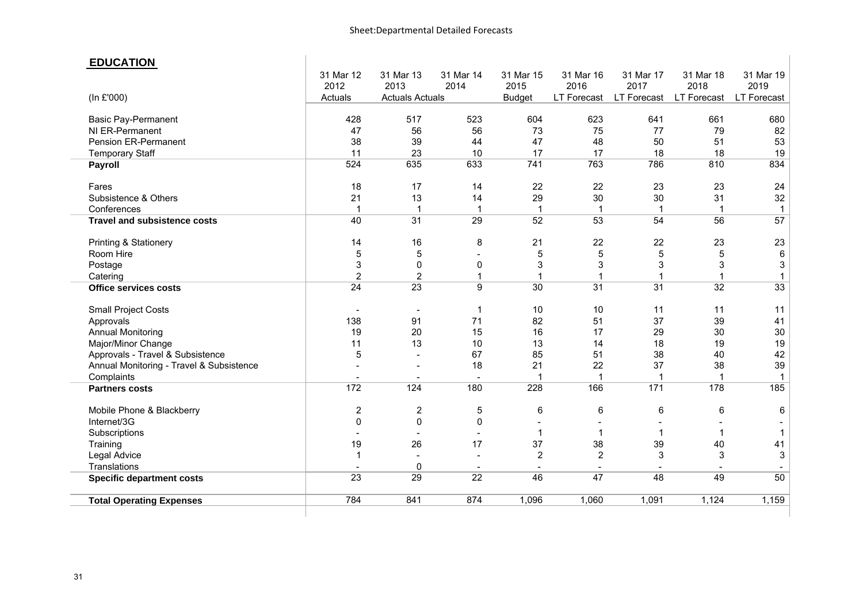#### **EDUCATION**

|                                          | 31 Mar 12<br>2012        | 31 Mar 13<br>2013        | 31 Mar 14<br>2014 | 31 Mar 15<br>2015 | 31 Mar 16<br>2016  | 31 Mar 17<br>2017  | 31 Mar 18<br>2018 | 31 Mar 19<br>2019  |
|------------------------------------------|--------------------------|--------------------------|-------------------|-------------------|--------------------|--------------------|-------------------|--------------------|
| (In £'000)                               | Actuals                  | <b>Actuals Actuals</b>   |                   | <b>Budget</b>     | <b>LT Forecast</b> | <b>LT Forecast</b> | LT Forecast       | <b>LT Forecast</b> |
| <b>Basic Pay-Permanent</b>               | 428                      | 517                      | 523               | 604               | 623                | 641                | 661               | 680                |
| NI ER-Permanent                          | 47                       | 56                       | 56                | 73                | 75                 | 77                 | 79                | 82                 |
| Pension ER-Permanent                     | 38                       | 39                       | 44                | 47                | 48                 | 50                 | 51                | 53                 |
| <b>Temporary Staff</b>                   | 11                       | 23                       | 10                | 17                | 17                 | 18                 | 18                | 19                 |
| Payroll                                  | 524                      | 635                      | 633               | 741               | 763                | 786                | 810               | 834                |
| Fares                                    | 18                       | 17                       | 14                | 22                | 22                 | 23                 | 23                | 24                 |
| Subsistence & Others                     | 21                       | 13                       | 14                | 29                | 30                 | 30                 | 31                | 32                 |
| Conferences                              | $\mathbf 1$              | $\mathbf{1}$             | $\mathbf{1}$      | $\mathbf{1}$      | $\mathbf{1}$       | $\mathbf 1$        | $\mathbf{1}$      | $\mathbf{1}$       |
| <b>Travel and subsistence costs</b>      | 40                       | 31                       | 29                | 52                | 53                 | 54                 | 56                | 57                 |
| <b>Printing &amp; Stationery</b>         | 14                       | 16                       | 8                 | 21                | 22                 | 22                 | 23                | 23                 |
| Room Hire                                | 5                        | 5                        |                   | 5                 | 5                  | 5                  | 5                 | 6                  |
| Postage                                  | 3                        | $\mathbf 0$              | 0                 | 3                 | 3                  | 3                  | 3                 | 3                  |
| Catering                                 | $\overline{2}$           | $\overline{2}$           | $\mathbf{1}$      | $\mathbf 1$       | $\mathbf 1$        | 1                  | -1                | $\mathbf{1}$       |
| <b>Office services costs</b>             | $\overline{24}$          | $\overline{23}$          | $\overline{9}$    | $\overline{30}$   | $\overline{31}$    | $\overline{31}$    | $\overline{32}$   | 33                 |
| <b>Small Project Costs</b>               | $\overline{\phantom{a}}$ | $\overline{\phantom{a}}$ | $\mathbf 1$       | 10                | 10                 | 11                 | 11                | 11                 |
| Approvals                                | 138                      | 91                       | 71                | 82                | 51                 | 37                 | 39                | 41                 |
| <b>Annual Monitoring</b>                 | 19                       | 20                       | 15                | 16                | 17                 | 29                 | 30                | 30                 |
| Major/Minor Change                       | 11                       | 13                       | 10                | 13                | 14                 | 18                 | 19                | 19                 |
| Approvals - Travel & Subsistence         | 5                        |                          | 67                | 85                | 51                 | 38                 | 40                | 42                 |
| Annual Monitoring - Travel & Subsistence |                          |                          | 18                | 21                | 22                 | 37                 | 38                | 39                 |
| Complaints                               |                          |                          |                   |                   | 1                  |                    |                   | $\mathbf 1$        |
| <b>Partners costs</b>                    | 172                      | 124                      | 180               | 228               | 166                | $\overline{171}$   | 178               | 185                |
| Mobile Phone & Blackberry                | 2                        | $\overline{\mathbf{c}}$  | 5                 | 6                 | 6                  | 6                  | 6                 | 6                  |
| Internet/3G                              | $\mathbf 0$              | $\mathbf 0$              | $\mathbf 0$       |                   |                    |                    |                   |                    |
| Subscriptions                            |                          |                          |                   | 1                 | $\mathbf 1$        | 1                  | -1                | -1                 |
| Training                                 | 19                       | 26                       | 17                | 37                | 38                 | 39                 | 40                | 41                 |
| Legal Advice                             | 1                        | $\blacksquare$           |                   | $\overline{2}$    | $\overline{2}$     | 3                  | 3                 | 3                  |
| Translations                             |                          | $\mathbf 0$              |                   | $\overline{a}$    |                    |                    |                   |                    |
| <b>Specific department costs</b>         | 23                       | 29                       | $\overline{22}$   | 46                | 47                 | 48                 | 49                | 50                 |
| <b>Total Operating Expenses</b>          | 784                      | 841                      | 874               | 1,096             | 1,060              | 1,091              | 1,124             | 1,159              |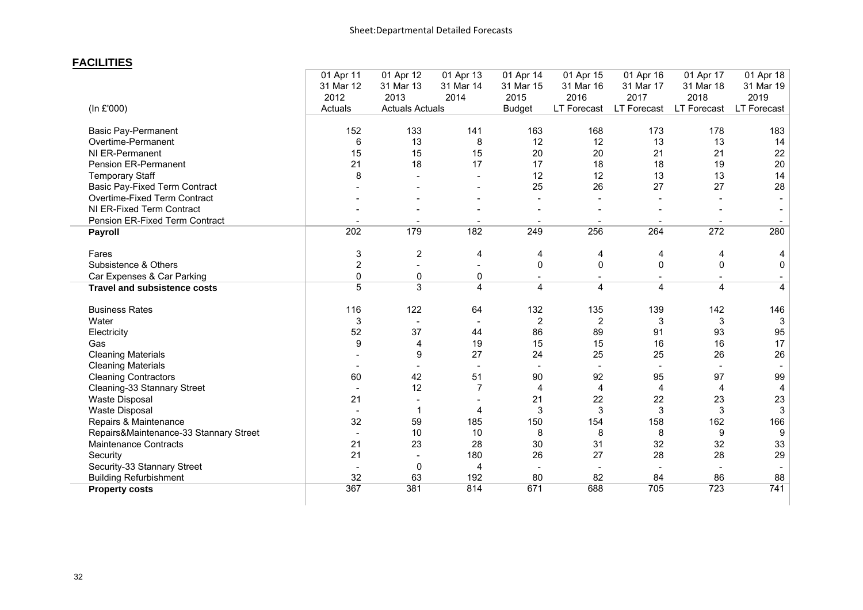### **FACILITIES**

|                                        | 01 Apr 11      | 01 Apr 12              | 01 Apr 13      | 01 Apr 14      | 01 Apr 15                | 01 Apr 16                | 01 Apr 17   | 01 Apr 18   |
|----------------------------------------|----------------|------------------------|----------------|----------------|--------------------------|--------------------------|-------------|-------------|
|                                        | 31 Mar 12      | 31 Mar 13              | 31 Mar 14      | 31 Mar 15      | 31 Mar 16                | 31 Mar 17                | 31 Mar 18   | 31 Mar 19   |
|                                        | 2012           | 2013                   | 2014           | 2015           | 2016                     | 2017                     | 2018        | 2019        |
| (In £'000)                             | Actuals        | <b>Actuals Actuals</b> |                | <b>Budget</b>  | LT Forecast              | <b>LT Forecast</b>       | LT Forecast | LT Forecast |
|                                        |                |                        |                |                |                          |                          |             |             |
| <b>Basic Pay-Permanent</b>             | 152            | 133                    | 141            | 163            | 168                      | 173                      | 178         | 183         |
| Overtime-Permanent                     | 6              | 13                     | 8              | 12             | 12                       | 13                       | 13          | 14          |
| NI ER-Permanent                        | 15             | 15                     | 15             | 20             | 20                       | 21                       | 21          | 22          |
| Pension ER-Permanent                   | 21             | 18                     | 17             | 17             | 18                       | 18                       | 19          | 20          |
| <b>Temporary Staff</b>                 | 8              |                        |                | 12             | 12                       | 13                       | 13          | 14          |
| <b>Basic Pay-Fixed Term Contract</b>   |                |                        |                | 25             | 26                       | 27                       | 27          | 28          |
| Overtime-Fixed Term Contract           |                |                        |                |                |                          |                          |             |             |
| NI ER-Fixed Term Contract              |                |                        |                |                |                          |                          |             |             |
| Pension ER-Fixed Term Contract         |                |                        |                |                |                          | $\overline{\phantom{a}}$ |             |             |
| <b>Payroll</b>                         | 202            | 179                    | 182            | 249            | 256                      | 264                      | 272         | 280         |
| Fares                                  | 3              | $\overline{2}$         | 4              | 4              | 4                        | 4                        | 4           | 4           |
| Subsistence & Others                   | $\overline{2}$ | $\blacksquare$         |                | $\Omega$       | 0                        | 0                        | 0           | 0           |
| Car Expenses & Car Parking             | 0              | 0                      | 0              | $\sim$         | $\overline{\phantom{a}}$ | $\sim$                   |             |             |
| <b>Travel and subsistence costs</b>    | $\overline{5}$ | $\overline{3}$         | 4              | 4              | 4                        | 4                        | 4           | 4           |
| <b>Business Rates</b>                  | 116            | 122                    | 64             | 132            | 135                      | 139                      | 142         | 146         |
| Water                                  | 3              |                        |                | $\overline{2}$ | 2                        | 3                        | 3           | 3           |
| Electricity                            | 52             | 37                     | 44             | 86             | 89                       | 91                       | 93          | 95          |
| Gas                                    | 9              | 4                      | 19             | 15             | 15                       | 16                       | 16          | 17          |
| <b>Cleaning Materials</b>              |                | 9                      | 27             | 24             | 25                       | 25                       | 26          | 26          |
| <b>Cleaning Materials</b>              |                |                        |                |                |                          |                          |             |             |
| <b>Cleaning Contractors</b>            | 60             | 42                     | 51             | 90             | 92                       | 95                       | 97          | 99          |
| Cleaning-33 Stannary Street            |                | 12                     | $\overline{7}$ | $\overline{4}$ | 4                        | 4                        | 4           | 4           |
| Waste Disposal                         | 21             |                        |                | 21             | 22                       | 22                       | 23          | 23          |
| Waste Disposal                         | $\blacksquare$ | 1                      | 4              | 3              | 3                        | 3                        | 3           | 3           |
| Repairs & Maintenance                  | 32             | 59                     | 185            | 150            | 154                      | 158                      | 162         | 166         |
| Repairs&Maintenance-33 Stannary Street |                | 10                     | 10             | 8              | 8                        | 8                        | 9           | 9           |
| Maintenance Contracts                  | 21             | 23                     | 28             | 30             | 31                       | 32                       | 32          | 33          |
| Security                               | 21             | $\sim$                 | 180            | 26             | 27                       | 28                       | 28          | 29          |
| Security-33 Stannary Street            |                | 0                      | 4              |                |                          |                          |             |             |
| <b>Building Refurbishment</b>          | 32             | 63                     | 192            | 80             | 82                       | 84                       | 86          | 88          |
| <b>Property costs</b>                  | 367            | 381                    | 814            | 671            | 688                      | 705                      | 723         | 741         |
|                                        |                |                        |                |                |                          |                          |             |             |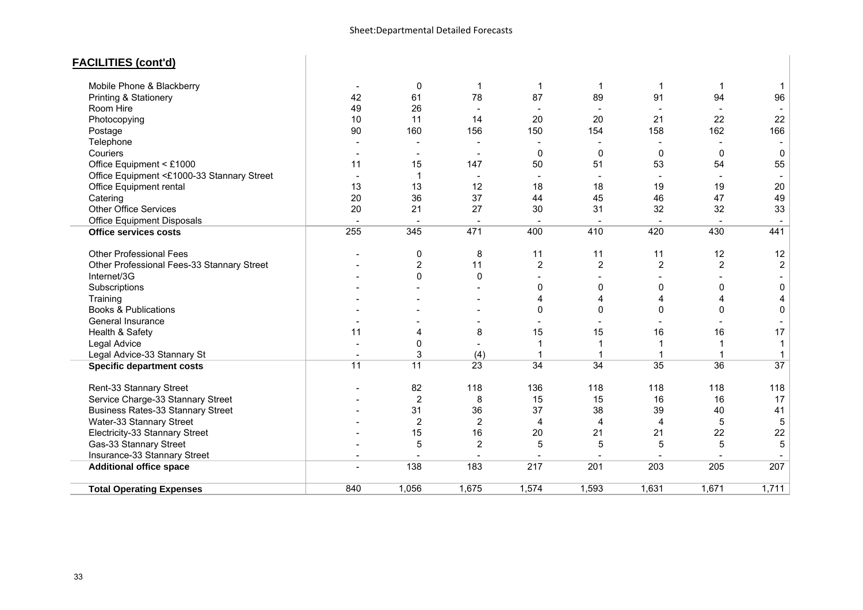### **FACILITIES (cont'd)**

| Mobile Phone & Blackberry                  |     | 0               | -1              | $\mathbf 1$              | 1              | 1                        | 1                        | -1                       |
|--------------------------------------------|-----|-----------------|-----------------|--------------------------|----------------|--------------------------|--------------------------|--------------------------|
| Printing & Stationery                      | 42  | 61              | 78              | 87                       | 89             | 91                       | 94                       | 96                       |
| Room Hire                                  | 49  | 26              |                 |                          |                |                          |                          |                          |
| Photocopying                               | 10  | 11              | 14              | 20                       | 20             | 21                       | 22                       | 22                       |
| Postage                                    | 90  | 160             | 156             | 150                      | 154            | 158                      | 162                      | 166                      |
| Telephone                                  |     |                 |                 |                          |                |                          |                          |                          |
| Couriers                                   |     |                 |                 | $\mathbf{0}$             | $\mathbf{0}$   | $\Omega$                 | $\mathbf{0}$             | $\mathbf 0$              |
| Office Equipment < £1000                   | 11  | 15              | 147             | 50                       | 51             | 53                       | 54                       | 55                       |
| Office Equipment <£1000-33 Stannary Street |     | -1              |                 |                          | $\blacksquare$ | $\overline{\phantom{a}}$ | $\overline{\phantom{a}}$ |                          |
| Office Equipment rental                    | 13  | 13              | 12              | 18                       | 18             | 19                       | 19                       | 20                       |
| Catering                                   | 20  | 36              | 37              | 44                       | 45             | 46                       | 47                       | 49                       |
| Other Office Services                      | 20  | 21              | 27              | 30                       | 31             | 32                       | 32                       | 33                       |
| Office Equipment Disposals                 |     | $\overline{a}$  | $\blacksquare$  | $\overline{\phantom{a}}$ | $\sim$         | $\blacksquare$           | $\sim$                   | $\overline{\phantom{a}}$ |
| <b>Office services costs</b>               | 255 | 345             | 471             | 400                      | 410            | 420                      | 430                      | 441                      |
| <b>Other Professional Fees</b>             |     | 0               | 8               | 11                       | 11             | 11                       | 12                       | 12                       |
| Other Professional Fees-33 Stannary Street |     | $\overline{c}$  | 11              | $\overline{2}$           | $\overline{2}$ | $\overline{2}$           | $\overline{2}$           | $\sqrt{2}$               |
| Internet/3G                                |     | $\Omega$        | $\mathbf{0}$    |                          | ٠              |                          |                          |                          |
| Subscriptions                              |     |                 |                 | 0                        | 0              | $\Omega$                 | 0                        | $\pmb{0}$                |
| Training                                   |     |                 |                 | 4                        | 4              | 4                        | 4                        | 4                        |
| <b>Books &amp; Publications</b>            |     |                 |                 | $\Omega$                 | 0              | 0                        | 0                        | $\mathbf 0$              |
| General Insurance                          |     |                 |                 |                          |                |                          |                          |                          |
| Health & Safety                            | 11  | 4               | 8               | 15                       | 15             | 16                       | 16                       | 17                       |
| Legal Advice                               |     | 0               |                 |                          | 1              |                          | 1                        | -1                       |
| Legal Advice-33 Stannary St                |     | 3               | (4)             |                          |                |                          | 1                        |                          |
| <b>Specific department costs</b>           | 11  | $\overline{11}$ | $\overline{23}$ | $\overline{34}$          | 34             | 35                       | $\overline{36}$          | $\overline{37}$          |
| Rent-33 Stannary Street                    |     | 82              | 118             | 136                      | 118            | 118                      | 118                      | 118                      |
| Service Charge-33 Stannary Street          |     | $\overline{2}$  | 8               | 15                       | 15             | 16                       | 16                       | 17                       |
| <b>Business Rates-33 Stannary Street</b>   |     | 31              | 36              | 37                       | 38             | 39                       | 40                       | 41                       |
| Water-33 Stannary Street                   |     | $\overline{2}$  | $\overline{2}$  | 4                        | 4              | 4                        | 5                        | $\,$ 5 $\,$              |
| Electricity-33 Stannary Street             |     | 15              | 16              | 20                       | 21             | 21                       | 22                       | 22                       |
| Gas-33 Stannary Street                     |     | 5               | $\overline{2}$  | 5                        | 5              | 5                        | 5                        | 5                        |
| Insurance-33 Stannary Street               |     |                 |                 |                          |                |                          |                          |                          |
| <b>Additional office space</b>             |     | 138             | 183             | 217                      | 201            | 203                      | 205                      | 207                      |
| <b>Total Operating Expenses</b>            | 840 | 1,056           | 1,675           | 1,574                    | 1,593          | 1,631                    | 1,671                    | 1,711                    |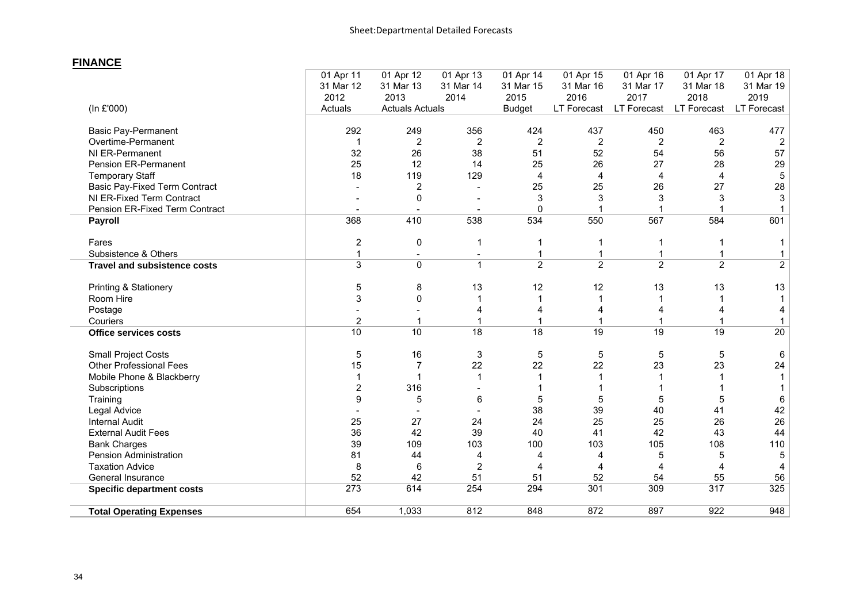### **FINANCE**

|                                      | 01 Apr 11      | 01 Apr 12              | 01 Apr 13               | 01 Apr 14       | 01 Apr 15      | 01 Apr 16       | 01 Apr 17      | 01 Apr 18      |
|--------------------------------------|----------------|------------------------|-------------------------|-----------------|----------------|-----------------|----------------|----------------|
|                                      | 31 Mar 12      | 31 Mar 13              | 31 Mar 14               | 31 Mar 15       | 31 Mar 16      | 31 Mar 17       | 31 Mar 18      | 31 Mar 19      |
|                                      | 2012           | 2013                   | 2014                    | 2015            | 2016           | 2017            | 2018           | 2019           |
| (In £'000)                           | Actuals        | <b>Actuals Actuals</b> |                         | <b>Budget</b>   | LT Forecast    | LT Forecast     | LT Forecast    | LT Forecast    |
|                                      |                |                        |                         |                 |                |                 |                |                |
| <b>Basic Pay-Permanent</b>           | 292            | 249                    | 356                     | 424             | 437            | 450             | 463            | 477            |
| Overtime-Permanent                   | $\mathbf{1}$   | $\overline{2}$         | $\overline{c}$          | $\overline{2}$  | $\overline{2}$ | $\overline{2}$  | $\overline{2}$ | 2              |
| NI ER-Permanent                      | 32             | 26                     | 38                      | 51              | 52             | 54              | 56             | 57             |
| Pension ER-Permanent                 | 25             | 12                     | 14                      | 25              | 26             | 27              | 28             | 29             |
| <b>Temporary Staff</b>               | 18             | 119                    | 129                     | 4               | 4              | 4               | $\overline{4}$ | $\,$ 5 $\,$    |
| <b>Basic Pay-Fixed Term Contract</b> |                | $\overline{2}$         |                         | 25              | 25             | 26              | 27             | 28             |
| NI ER-Fixed Term Contract            |                | 0                      |                         | 3               | 3              | 3               | 3              | 3              |
| Pension ER-Fixed Term Contract       |                |                        |                         | $\Omega$        |                |                 |                |                |
| Payroll                              | 368            | 410                    | 538                     | 534             | 550            | 567             | 584            | 601            |
|                                      |                |                        |                         |                 |                |                 |                |                |
| Fares                                | $\mathbf{2}$   | 0                      | 1                       |                 |                |                 | 1              |                |
| Subsistence & Others                 | $\mathbf{1}$   |                        |                         | 1               | 1              | 1               | 1              |                |
| <b>Travel and subsistence costs</b>  | $\overline{3}$ | $\mathbf{0}$           | $\mathbf{1}$            | $\overline{2}$  | $\overline{2}$ | $\overline{2}$  | $\overline{2}$ | $\overline{2}$ |
|                                      |                |                        |                         |                 |                |                 |                |                |
| Printing & Stationery                | 5              | 8                      | 13                      | 12              | 12             | 13              | 13             | 13             |
| Room Hire                            | 3              | 0                      |                         |                 | 1              |                 | 1              |                |
| Postage                              |                |                        | 4                       |                 | 4              |                 |                |                |
| Couriers                             | $\overline{2}$ | 1                      |                         |                 |                |                 |                |                |
| <b>Office services costs</b>         | 10             | 10                     | $\overline{18}$         | $\overline{18}$ | 19             | $\overline{19}$ | 19             | 20             |
| <b>Small Project Costs</b>           | 5              | 16                     | 3                       | 5               | 5              | 5               | 5              | 6              |
| <b>Other Professional Fees</b>       | 15             | $\overline{7}$         | 22                      | 22              | 22             | 23              | 23             | 24             |
| Mobile Phone & Blackberry            | $\mathbf{1}$   |                        | 1                       |                 | 1              |                 |                |                |
| Subscriptions                        | $\overline{c}$ | 316                    |                         |                 |                |                 |                |                |
| Training                             | 9              | 5                      | 6                       | 5               | 5              | 5               | 5              | 6              |
| Legal Advice                         |                |                        |                         | 38              | 39             | 40              | 41             | 42             |
| <b>Internal Audit</b>                | 25             | 27                     | 24                      | 24              | 25             | 25              | 26             | 26             |
| <b>External Audit Fees</b>           | 36             | 42                     | 39                      | 40              | 41             | 42              | 43             | 44             |
| <b>Bank Charges</b>                  | 39             | 109                    | 103                     | 100             | 103            | 105             | 108            | 110            |
| <b>Pension Administration</b>        | 81             | 44                     | 4                       | 4               | 4              | 5               | 5              | 5              |
| <b>Taxation Advice</b>               | 8              | 6                      | $\overline{\mathbf{c}}$ | 4               | 4              | 4               | 4              |                |
| General Insurance                    | 52             | 42                     | 51                      | 51              | 52             | 54              | 55             | 56             |
| <b>Specific department costs</b>     | 273            | 614                    | 254                     | 294             | 301            | 309             | 317            | 325            |
| <b>Total Operating Expenses</b>      | 654            | 1,033                  | 812                     | 848             | 872            | 897             | 922            | 948            |
|                                      |                |                        |                         |                 |                |                 |                |                |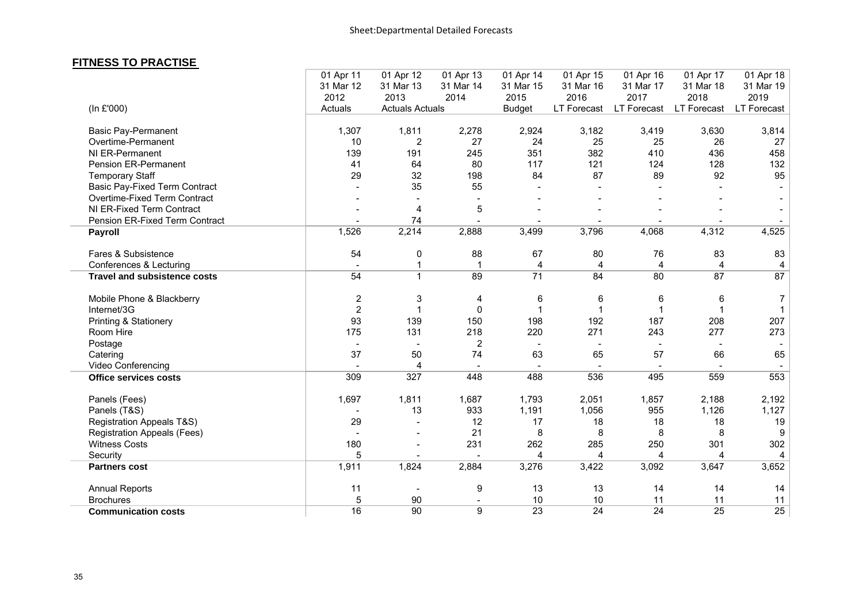#### **FITNESS TO PRACTISE**

|                                      | 01 Apr 11      | 01 Apr 12              | 01 Apr 13      | 01 Apr 14               | 01 Apr 15       | 01 Apr 16               | 01 Apr 17          | 01 Apr 18       |
|--------------------------------------|----------------|------------------------|----------------|-------------------------|-----------------|-------------------------|--------------------|-----------------|
|                                      | 31 Mar 12      | 31 Mar 13              | 31 Mar 14      | 31 Mar 15               | 31 Mar 16       | 31 Mar 17               | 31 Mar 18          | 31 Mar 19       |
|                                      | 2012           | 2013                   | 2014           | 2015                    | 2016            | 2017                    | 2018               | 2019            |
| (In £'000)                           | Actuals        | <b>Actuals Actuals</b> |                | <b>Budget</b>           |                 | LT Forecast LT Forecast | <b>LT Forecast</b> | LT Forecast     |
|                                      |                |                        |                |                         |                 |                         |                    |                 |
| <b>Basic Pay-Permanent</b>           | 1,307          | 1,811                  | 2,278          | 2,924                   | 3,182           | 3,419                   | 3,630              | 3,814           |
| Overtime-Permanent                   | 10             | $\overline{c}$         | 27             | 24                      | 25              | 25                      | 26                 | 27              |
| NI ER-Permanent                      | 139            | 191                    | 245            | 351                     | 382             | 410                     | 436                | 458             |
| Pension ER-Permanent                 | 41             | 64                     | 80             | 117                     | 121             | 124                     | 128                | 132             |
| <b>Temporary Staff</b>               | 29             | 32                     | 198            | 84                      | 87              | 89                      | 92                 | 95              |
| <b>Basic Pay-Fixed Term Contract</b> |                | 35                     | 55             |                         |                 |                         |                    |                 |
| Overtime-Fixed Term Contract         |                |                        |                |                         |                 |                         |                    |                 |
| NI ER-Fixed Term Contract            |                | $\overline{4}$         | 5              |                         |                 |                         |                    |                 |
| Pension ER-Fixed Term Contract       |                | 74                     |                |                         |                 |                         |                    |                 |
| <b>Payroll</b>                       | 1,526          | 2,214                  | 2,888          | 3,499                   | 3,796           | 4,068                   | 4,312              | 4,525           |
| Fares & Subsistence                  | 54             | 0                      | 88             | 67                      | 80              | 76                      | 83                 | 83              |
| Conferences & Lecturing              |                | $\mathbf{1}$           | 1              | 4                       | 4               | $\overline{4}$          | 4                  | 4               |
| <b>Travel and subsistence costs</b>  | 54             | $\overline{1}$         | 89             | $\overline{71}$         | 84              | 80                      | 87                 | $\overline{87}$ |
| Mobile Phone & Blackberry            | $\overline{2}$ | 3                      | 4              | 6                       | 6               | 6                       | 6                  | 7               |
| Internet/3G                          | $\overline{2}$ | $\mathbf 1$            | $\mathbf 0$    | 1                       |                 | $\mathbf{1}$            |                    |                 |
| Printing & Stationery                | 93             | 139                    | 150            | 198                     | 192             | 187                     | 208                | 207             |
| Room Hire                            | 175            | 131                    | 218            | 220                     | 271             | 243                     | 277                | 273             |
| Postage                              |                |                        | 2              |                         |                 |                         |                    |                 |
| Catering                             | 37             | 50                     | 74             | 63                      | 65              | 57                      | 66                 | 65              |
| Video Conferencing                   |                | $\overline{4}$         |                |                         |                 |                         |                    |                 |
| <b>Office services costs</b>         | 309            | 327                    | 448            | 488                     | 536             | 495                     | 559                | 553             |
| Panels (Fees)                        | 1,697          | 1,811                  | 1,687          | 1,793                   | 2,051           | 1,857                   | 2,188              | 2,192           |
| Panels (T&S)                         |                | 13                     | 933            | 1,191                   | 1,056           | 955                     | 1,126              | 1,127           |
| <b>Registration Appeals T&amp;S)</b> | 29             |                        | 12             | 17                      | 18              | 18                      | 18                 | 19              |
| <b>Registration Appeals (Fees)</b>   |                |                        | 21             | 8                       | 8               | 8                       | 8                  | 9               |
| <b>Witness Costs</b>                 | 180            |                        | 231            | 262                     | 285             | 250                     | 301                | 302             |
| Security                             | 5              |                        |                | $\overline{\mathbf{4}}$ | 4               | 4                       | 4                  | 4               |
| <b>Partners cost</b>                 | 1,911          | 1,824                  | 2,884          | 3,276                   | 3,422           | 3,092                   | 3,647              | 3,652           |
| <b>Annual Reports</b>                | 11             |                        | 9              | 13                      | 13              | 14                      | 14                 | 14              |
| <b>Brochures</b>                     | 5              | 90                     |                | 10                      | 10              | 11                      | 11                 | 11              |
| <b>Communication costs</b>           | 16             | 90                     | $\overline{9}$ | 23                      | $\overline{24}$ | $\overline{24}$         | 25                 | $\overline{25}$ |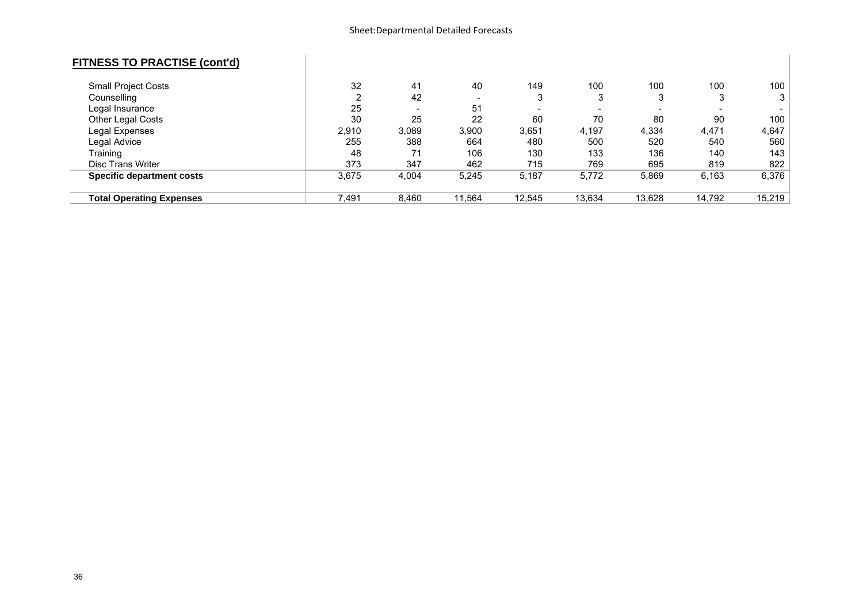### **FITNESS TO PRACTISE (cont'd)**

| <b>Small Project Costs</b>       | 32    | 41                       | 40                       | 149                      | 100    | 100                      | 100                      | 100    |
|----------------------------------|-------|--------------------------|--------------------------|--------------------------|--------|--------------------------|--------------------------|--------|
| Counselling                      | ົ     | 42                       | $\overline{\phantom{0}}$ | 3                        | ◠<br>ມ | Ĵ                        | J                        | 3      |
| Legal Insurance                  | 25    | $\overline{\phantom{0}}$ | 51                       | $\overline{\phantom{0}}$ | -      | $\overline{\phantom{0}}$ | $\overline{\phantom{0}}$ |        |
| Other Legal Costs                | 30    | 25                       | 22                       | 60                       | 70     | 80                       | 90                       | 100    |
| Legal Expenses                   | 2,910 | 3,089                    | 3,900                    | 3,651                    | 4,197  | 4,334                    | 4,471                    | 4,647  |
| Legal Advice                     | 255   | 388                      | 664                      | 480                      | 500    | 520                      | 540                      | 560    |
| Training                         | 48    | 71                       | 106                      | 130                      | 133    | 136                      | 140                      | 143    |
| <b>Disc Trans Writer</b>         | 373   | 347                      | 462                      | 715                      | 769    | 695                      | 819                      | 822    |
| <b>Specific department costs</b> | 3,675 | 4,004                    | 5,245                    | 5,187                    | 5,772  | 5,869                    | 6,163                    | 6,376  |
|                                  |       |                          |                          |                          |        |                          |                          |        |
| <b>Total Operating Expenses</b>  | 7.491 | 8.460                    | 11,564                   | 12.545                   | 13.634 | 13.628                   | 14,792                   | 15,219 |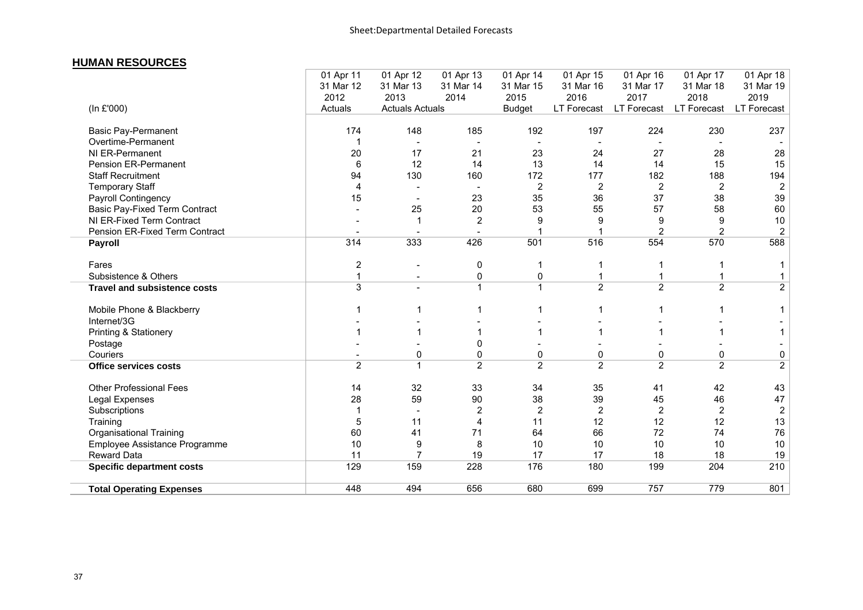#### **HUMAN RESOURCES**

|                                      | 01 Apr 11<br>31 Mar 12 | 01 Apr 12<br>31 Mar 13   | 01 Apr 13<br>31 Mar 14 | 01 Apr 14<br>31 Mar 15 | 01 Apr 15<br>31 Mar 16 | 01 Apr 16<br>31 Mar 17 | 01 Apr 17<br>31 Mar 18 | 01 Apr 18<br>31 Mar 19 |
|--------------------------------------|------------------------|--------------------------|------------------------|------------------------|------------------------|------------------------|------------------------|------------------------|
|                                      | 2012                   | 2013                     | 2014                   | 2015                   | 2016                   | 2017                   | 2018                   | 2019                   |
| (In £'000)                           | Actuals                | <b>Actuals Actuals</b>   |                        | <b>Budget</b>          | LT Forecast            | LT Forecast            | LT Forecast            | LT Forecast            |
| <b>Basic Pay-Permanent</b>           | 174                    | 148                      | 185                    | 192                    | 197                    | 224                    | 230                    | 237                    |
| Overtime-Permanent                   |                        |                          |                        |                        |                        |                        |                        |                        |
| NI ER-Permanent                      | 20                     | 17                       | 21                     | 23                     | 24                     | 27                     | 28                     | 28                     |
| Pension ER-Permanent                 | 6                      | 12                       | 14                     | 13                     | 14                     | 14                     | 15                     | 15                     |
| <b>Staff Recruitment</b>             | 94                     | 130                      | 160                    | 172                    | 177                    | 182                    | 188                    | 194                    |
| <b>Temporary Staff</b>               | 4                      |                          |                        | 2                      | $\overline{2}$         | $\overline{c}$         | $\overline{2}$         | $\overline{2}$         |
| Payroll Contingency                  | 15                     |                          | 23                     | 35                     | 36                     | 37                     | 38                     | 39                     |
| <b>Basic Pay-Fixed Term Contract</b> |                        | 25                       | 20                     | 53                     | 55                     | 57                     | 58                     | 60                     |
| NI ER-Fixed Term Contract            |                        |                          | $\overline{2}$         | 9                      | 9                      | 9                      | 9                      | 10                     |
| Pension ER-Fixed Term Contract       |                        |                          |                        |                        |                        | $\overline{c}$         | $\overline{c}$         | $\overline{2}$         |
| Payroll                              | 314                    | 333                      | 426                    | 501                    | 516                    | 554                    | 570                    | 588                    |
| Fares                                | $\overline{c}$         |                          | $\mathbf 0$            |                        |                        |                        | 1                      |                        |
| Subsistence & Others                 | $\mathbf 1$            | $\overline{\phantom{a}}$ | 0                      | 0                      |                        |                        |                        |                        |
| <b>Travel and subsistence costs</b>  | $\overline{3}$         |                          | $\overline{1}$         | $\mathbf{1}$           | $\overline{2}$         | $\overline{2}$         | $\overline{2}$         | $\overline{2}$         |
| Mobile Phone & Blackberry            |                        |                          |                        |                        |                        |                        |                        |                        |
| Internet/3G                          |                        |                          |                        |                        |                        |                        |                        |                        |
| Printing & Stationery                |                        |                          |                        |                        |                        |                        | 1                      |                        |
| Postage                              |                        |                          | 0                      |                        |                        |                        |                        |                        |
| Couriers                             |                        | 0                        | 0                      | 0                      | 0                      | 0                      | 0                      | 0                      |
| <b>Office services costs</b>         | 2                      | $\mathbf{1}$             | 2                      | 2                      | $\overline{2}$         | $\overline{2}$         | $\overline{2}$         | $\overline{2}$         |
| <b>Other Professional Fees</b>       | 14                     | 32                       | 33                     | 34                     | 35                     | 41                     | 42                     | 43                     |
| Legal Expenses                       | 28                     | 59                       | 90                     | 38                     | 39                     | 45                     | 46                     | 47                     |
| Subscriptions                        | 1                      |                          | $\overline{2}$         | $\overline{2}$         | $\overline{2}$         | $\overline{2}$         | $\overline{2}$         | $\boldsymbol{2}$       |
| Training                             | 5                      | 11                       | 4                      | 11                     | 12                     | 12                     | 12                     | 13                     |
| <b>Organisational Training</b>       | 60                     | 41                       | 71                     | 64                     | 66                     | 72                     | 74                     | 76                     |
| Employee Assistance Programme        | 10                     | 9                        | 8                      | 10                     | 10                     | 10                     | 10                     | 10                     |
| <b>Reward Data</b>                   | 11                     | 7                        | 19                     | 17                     | 17                     | 18                     | 18                     | 19                     |
| <b>Specific department costs</b>     | 129                    | 159                      | 228                    | 176                    | 180                    | 199                    | 204                    | 210                    |
| <b>Total Operating Expenses</b>      | 448                    | 494                      | 656                    | 680                    | 699                    | 757                    | 779                    | 801                    |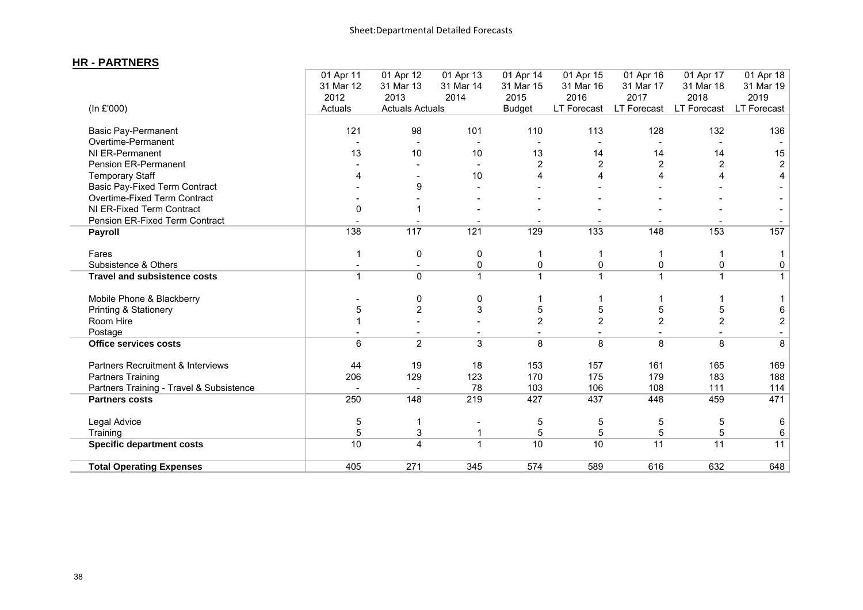the control of the control of the control of the control of the control of the control of

### **HR - PARTNERS**

|                                          | 01 Apr 11<br>31 Mar 12 | 01 Apr 12<br>31 Mar 13  | 01 Apr 13<br>31 Mar 14 | 01 Apr 14<br>31 Mar 15 | 01 Apr 15<br>31 Mar 16 | 01 Apr 16<br>31 Mar 17 | 01 Apr 17<br>31 Mar 18 | 01 Apr 18<br>31 Mar 19   |
|------------------------------------------|------------------------|-------------------------|------------------------|------------------------|------------------------|------------------------|------------------------|--------------------------|
|                                          | 2012                   | 2013                    | 2014                   | 2015                   | 2016                   | 2017                   | 2018                   | 2019                     |
| (In £'000)                               | Actuals                | <b>Actuals Actuals</b>  |                        | <b>Budget</b>          | LT Forecast            | <b>LT Forecast</b>     | LT Forecast            | LT Forecast              |
| <b>Basic Pay-Permanent</b>               | 121                    | 98                      | 101                    | 110                    | 113                    | 128                    | 132                    | 136                      |
| Overtime-Permanent                       |                        |                         |                        |                        |                        |                        |                        |                          |
| NI ER-Permanent                          | 13                     | 10                      | 10                     | 13                     | 14                     | 14                     | 14                     | 15                       |
| <b>Pension ER-Permanent</b>              |                        |                         |                        | 2                      | $\overline{2}$         | 2                      | $\overline{2}$         | $\overline{2}$           |
| <b>Temporary Staff</b>                   | 4                      |                         | 10                     |                        |                        |                        |                        | 4                        |
| <b>Basic Pay-Fixed Term Contract</b>     |                        | 9                       |                        |                        |                        |                        |                        |                          |
| Overtime-Fixed Term Contract             |                        |                         |                        |                        |                        |                        |                        |                          |
| NI ER-Fixed Term Contract                | 0                      |                         |                        |                        |                        |                        |                        |                          |
| Pension ER-Fixed Term Contract           |                        |                         |                        |                        |                        |                        |                        |                          |
| <b>Payroll</b>                           | 138                    | 117                     | 121                    | 129                    | 133                    | 148                    | 153                    | 157                      |
| Fares                                    | 1                      | $\pmb{0}$               | 0                      |                        | 1                      |                        |                        |                          |
| Subsistence & Others                     |                        |                         | 0                      | 0                      | 0                      | 0                      | $\mathbf 0$            | 0                        |
| <b>Travel and subsistence costs</b>      | $\mathbf{1}$           | $\mathbf 0$             | $\mathbf{1}$           |                        | $\mathbf{1}$           | $\mathbf{1}$           | $\mathbf 1$            | $\mathbf{1}$             |
| Mobile Phone & Blackberry                |                        | 0                       | 0                      |                        |                        |                        |                        |                          |
| Printing & Stationery                    | 5                      | $\overline{2}$          | 3                      | 5                      | 5                      | 5                      | 5                      | 6                        |
| Room Hire                                |                        |                         |                        | $\overline{2}$         | $\overline{2}$         | $\overline{2}$         | $\overline{2}$         | $\overline{c}$           |
| Postage                                  |                        |                         |                        |                        |                        |                        |                        | $\overline{\phantom{a}}$ |
| <b>Office services costs</b>             | 6                      | $\overline{2}$          | 3                      | 8                      | 8                      | 8                      | 8                      | 8                        |
| Partners Recruitment & Interviews        | 44                     | 19                      | 18                     | 153                    | 157                    | 161                    | 165                    | 169                      |
| <b>Partners Training</b>                 | 206                    | 129                     | 123                    | 170                    | 175                    | 179                    | 183                    | 188                      |
| Partners Training - Travel & Subsistence |                        |                         | 78                     | 103                    | 106                    | 108                    | 111                    | 114                      |
| <b>Partners costs</b>                    | 250                    | 148                     | 219                    | 427                    | 437                    | 448                    | 459                    | 471                      |
| Legal Advice                             | 5                      | 1                       |                        | 5                      | 5                      | 5                      | 5                      | 6                        |
| Training                                 | 5                      | 3                       | 1                      | 5                      | 5                      | 5                      | 5                      | 6                        |
| <b>Specific department costs</b>         | 10                     | $\overline{\mathbf{4}}$ | $\mathbf{1}$           | 10                     | 10                     | 11                     | $\overline{11}$        | 11                       |
| <b>Total Operating Expenses</b>          | 405                    | 271                     | 345                    | 574                    | 589                    | 616                    | 632                    | 648                      |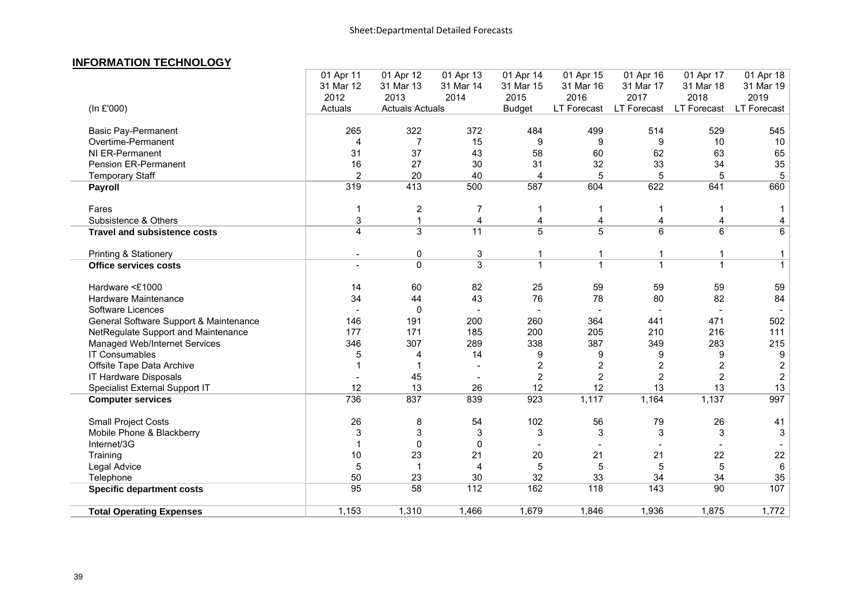### **INFORMATION TECHNOLOGY**

|                                        | 01 Apr 11      | 01 Apr 12              | 01 Apr 13       | 01 Apr 14      | 01 Apr 15      | 01 Apr 16      | 01 Apr 17      | 01 Apr 18        |
|----------------------------------------|----------------|------------------------|-----------------|----------------|----------------|----------------|----------------|------------------|
|                                        | 31 Mar 12      | 31 Mar 13              | 31 Mar 14       | 31 Mar 15      | 31 Mar 16      | 31 Mar 17      | 31 Mar 18      | 31 Mar 19        |
|                                        | 2012           | 2013                   | 2014            | 2015           | 2016           | 2017           | 2018           | 2019             |
| (In £'000)                             | Actuals        | <b>Actuals Actuals</b> |                 | <b>Budget</b>  | LT Forecast    | LT Forecast    | LT Forecast    | LT Forecast      |
| <b>Basic Pay-Permanent</b>             | 265            | 322                    | 372             | 484            | 499            | 514            | 529            | 545              |
| Overtime-Permanent                     | 4              | $\overline{7}$         | 15              | 9              | 9              | 9              | 10             | 10               |
| NI ER-Permanent                        | 31             | 37                     | 43              | 58             | 60             | 62             | 63             | 65               |
| Pension ER-Permanent                   | 16             | 27                     | 30              | 31             | 32             | 33             | 34             | 35               |
| <b>Temporary Staff</b>                 | $\overline{2}$ | 20                     | 40              | 4              | 5              | 5              | 5              | 5                |
| Payroll                                | 319            | 413                    | 500             | 587            | 604            | 622            | 641            | 660              |
| Fares                                  | 1              | $\overline{c}$         | 7               | 1              |                | $\mathbf 1$    | 1              | 1                |
| Subsistence & Others                   | 3              | $\mathbf{1}$           | $\overline{4}$  | 4              | 4              | 4              | 4              | 4                |
| <b>Travel and subsistence costs</b>    | 4              | 3                      | $\overline{11}$ | $\overline{5}$ | 5              | 6              | 6              | 6                |
| <b>Printing &amp; Stationery</b>       |                | $\mathbf 0$            | 3               | 1              |                | $\mathbf{1}$   | $\mathbf{1}$   | $\mathbf{1}$     |
| <b>Office services costs</b>           | $\overline{a}$ | $\Omega$               | $\overline{3}$  | $\mathbf{1}$   | $\mathbf{1}$   | $\mathbf{1}$   | $\mathbf{1}$   | $\mathbf{1}$     |
| Hardware <£1000                        | 14             | 60                     | 82              | 25             | 59             | 59             | 59             | 59               |
| Hardware Maintenance                   | 34             | 44                     | 43              | 76             | 78             | 80             | 82             | 84               |
| Software Licences                      |                | $\mathbf{0}$           |                 |                |                |                |                |                  |
| General Software Support & Maintenance | 146            | 191                    | 200             | 260            | 364            | 441            | 471            | 502              |
| NetRegulate Support and Maintenance    | 177            | 171                    | 185             | 200            | 205            | 210            | 216            | 111              |
| Managed Web/Internet Services          | 346            | 307                    | 289             | 338            | 387            | 349            | 283            | 215              |
| <b>IT Consumables</b>                  | 5              | 4                      | 14              | 9              | 9              | 9              | 9              | 9                |
| Offsite Tape Data Archive              | 1              |                        |                 | $\overline{2}$ | 2              | 2              | $\overline{2}$ | $\boldsymbol{2}$ |
| IT Hardware Disposals                  |                | 45                     |                 | $\overline{2}$ | $\overline{2}$ | $\overline{2}$ | $\overline{2}$ | $\overline{c}$   |
| Specialist External Support IT         | 12             | 13                     | 26              | 12             | 12             | 13             | 13             | 13               |
| <b>Computer services</b>               | 736            | 837                    | 839             | 923            | 1,117          | 1,164          | 1,137          | 997              |
| <b>Small Project Costs</b>             | 26             | 8                      | 54              | 102            | 56             | 79             | 26             | 41               |
| Mobile Phone & Blackberry              | 3              | 3                      | 3               | 3              | 3              | 3              | 3              | 3                |
| Internet/3G                            | 1              | $\Omega$               | $\mathbf{0}$    |                |                |                |                |                  |
| Training                               | 10             | 23                     | 21              | 20             | 21             | 21             | 22             | 22               |
| Legal Advice                           | 5              | $\overline{1}$         | 4               | 5              | $\sqrt{5}$     | 5              | 5              | $\,6\,$          |
| Telephone                              | 50             | 23                     | 30              | 32             | 33             | 34             | 34             | 35               |
| <b>Specific department costs</b>       | 95             | 58                     | 112             | 162            | 118            | 143            | 90             | 107              |
| <b>Total Operating Expenses</b>        | 1,153          | 1,310                  | 1,466           | 1,679          | 1,846          | 1,936          | 1,875          | 1,772            |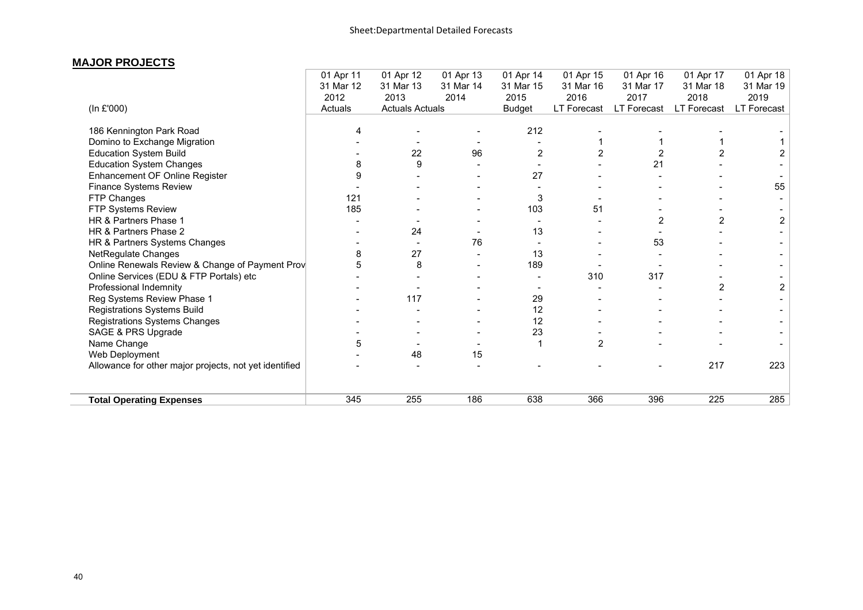#### **MAJOR PROJECTS**

|                                                        | 01 Apr 11 | 01 Apr 12              | 01 Apr 13 | 01 Apr 14      | 01 Apr 15      | 01 Apr 16      | 01 Apr 17          | 01 Apr 18          |
|--------------------------------------------------------|-----------|------------------------|-----------|----------------|----------------|----------------|--------------------|--------------------|
|                                                        | 31 Mar 12 | 31 Mar 13              | 31 Mar 14 | 31 Mar 15      | 31 Mar 16      | 31 Mar 17      | 31 Mar 18          | 31 Mar 19          |
|                                                        | 2012      | 2013                   | 2014      | 2015           | 2016           | 2017           | 2018               | 2019               |
| (In £'000)                                             | Actuals   | <b>Actuals Actuals</b> |           | <b>Budget</b>  | LT Forecast    | LT Forecast    | <b>LT Forecast</b> | <b>LT Forecast</b> |
| 186 Kennington Park Road                               | 4         |                        |           | 212            |                |                |                    |                    |
| Domino to Exchange Migration                           |           |                        |           |                |                |                |                    |                    |
| <b>Education System Build</b>                          |           | 22                     | 96        | $\overline{2}$ | $\overline{2}$ |                |                    |                    |
| <b>Education System Changes</b>                        | 8         | 9                      |           |                |                | 21             |                    |                    |
| Enhancement OF Online Register                         | 9         |                        |           | 27             |                |                |                    |                    |
| Finance Systems Review                                 |           |                        |           |                |                |                |                    | 55                 |
| FTP Changes                                            | 121       |                        |           | 3              |                |                |                    |                    |
| FTP Systems Review                                     | 185       |                        |           | 103            | 51             |                |                    |                    |
| HR & Partners Phase 1                                  |           |                        |           |                |                | $\overline{2}$ | 2                  | 2                  |
| HR & Partners Phase 2                                  |           | 24                     |           | 13             |                |                |                    |                    |
| HR & Partners Systems Changes                          |           |                        | 76        |                |                | 53             |                    |                    |
| NetRegulate Changes                                    | 8         | 27                     |           | 13             |                |                |                    |                    |
| Online Renewals Review & Change of Payment Prov        | 5         | 8                      |           | 189            |                |                |                    |                    |
| Online Services (EDU & FTP Portals) etc                |           |                        |           |                | 310            | 317            |                    |                    |
| Professional Indemnity                                 |           |                        |           |                |                |                | $\overline{2}$     | $\overline{2}$     |
| Reg Systems Review Phase 1                             |           | 117                    |           | 29             |                |                |                    |                    |
| Registrations Systems Build                            |           |                        |           | 12             |                |                |                    |                    |
| Registrations Systems Changes                          |           |                        |           | 12             |                |                |                    |                    |
| SAGE & PRS Upgrade                                     |           |                        |           | 23             |                |                |                    |                    |
| Name Change                                            | 5         |                        |           |                | $\overline{2}$ |                |                    |                    |
| Web Deployment                                         |           | 48                     | 15        |                |                |                |                    |                    |
| Allowance for other major projects, not yet identified |           |                        |           |                |                |                | 217                | 223                |
| <b>Total Operating Expenses</b>                        | 345       | 255                    | 186       | 638            | 366            | 396            | 225                | 285                |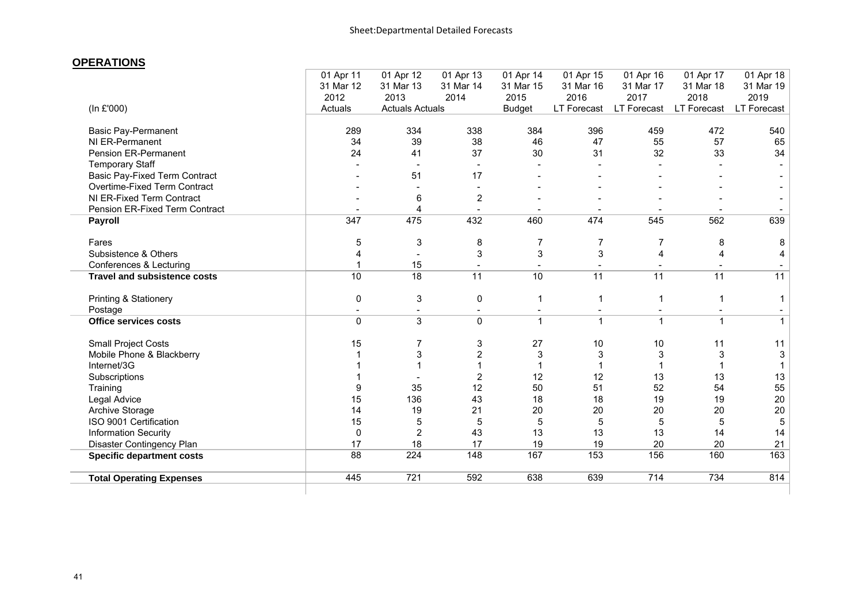#### **OPERATIONS**

|                          | 01 Apr 12                         | 01 Apr 13                   | 01 Apr 14                                                               | 01 Apr 15                   | 01 Apr 16             | 01 Apr 17                | 01 Apr 18    |
|--------------------------|-----------------------------------|-----------------------------|-------------------------------------------------------------------------|-----------------------------|-----------------------|--------------------------|--------------|
| 31 Mar 12                | 31 Mar 13                         | 31 Mar 14                   | 31 Mar 15                                                               | 31 Mar 16                   | 31 Mar 17             | 31 Mar 18                | 31 Mar 19    |
| 2012                     | 2013                              | 2014                        | 2015                                                                    | 2016                        | 2017                  | 2018                     | 2019         |
| Actuals                  |                                   |                             | <b>Budget</b>                                                           | LT Forecast                 | LT Forecast           | LT Forecast              | LT Forecast  |
| 289                      | 334                               | 338                         | 384                                                                     | 396                         | 459                   | 472                      | 540          |
| 34                       | 39                                | 38                          | 46                                                                      | 47                          | 55                    | 57                       | 65           |
| 24                       | 41                                | 37                          | 30                                                                      | 31                          | 32                    | 33                       | 34           |
|                          | $\overline{\phantom{a}}$          | $\overline{\phantom{a}}$    |                                                                         |                             |                       |                          |              |
|                          | 51                                | 17                          |                                                                         |                             |                       |                          |              |
|                          | $\sim$                            | $\overline{\phantom{a}}$    |                                                                         |                             |                       |                          |              |
|                          | 6                                 | $\overline{2}$              |                                                                         |                             |                       |                          |              |
| $\overline{\phantom{a}}$ | 4                                 | $\sim$                      |                                                                         | $\overline{\phantom{a}}$    |                       | $\overline{\phantom{a}}$ |              |
| 347                      | 475                               | 432                         | 460                                                                     | 474                         | 545                   | 562                      | 639          |
| 5                        | 3                                 | 8                           | 7                                                                       | 7                           | 7                     | 8                        | 8            |
| 4                        | $\sim$                            | 3                           | 3                                                                       | 3                           | 4                     | 4                        | 4            |
|                          | 15                                |                             |                                                                         |                             |                       |                          |              |
| 10                       | $\overline{18}$                   | 11                          | 10                                                                      | 11                          | $\overline{11}$       | $\overline{11}$          | 11           |
| 0                        | 3                                 | 0                           | 1                                                                       | $\mathbf 1$                 | 1                     | 1                        | -1           |
|                          |                                   |                             |                                                                         |                             |                       |                          |              |
| $\mathbf{0}$             | 3                                 | $\mathbf 0$                 | $\mathbf{1}$                                                            | $\mathbf{1}$                | 1                     | $\overline{\mathbf{1}}$  | $\mathbf{1}$ |
| 15                       | 7                                 | 3                           | 27                                                                      | 10                          | 10                    | 11                       | 11           |
|                          |                                   |                             | 3                                                                       | 3                           | 3                     | 3                        | 3            |
|                          |                                   |                             |                                                                         |                             |                       |                          |              |
|                          |                                   | $\overline{2}$              | 12                                                                      | 12                          | 13                    | 13                       | 13           |
| 9                        |                                   |                             |                                                                         |                             |                       |                          | 55           |
|                          |                                   |                             |                                                                         | 18                          | 19                    | 19                       | 20           |
| 14                       | 19                                | 21                          | 20                                                                      | 20                          | 20                    | 20                       | 20           |
|                          | 5                                 | 5                           | 5                                                                       | 5                           | 5                     | 5                        | 5            |
| $\mathbf{0}$             | $\overline{2}$                    |                             |                                                                         |                             | 13                    | 14                       | 14           |
|                          |                                   |                             |                                                                         |                             |                       | 20                       | 21           |
|                          |                                   |                             |                                                                         |                             |                       |                          | 163          |
| 445                      | 721                               | 592                         | 638                                                                     | 639                         | 714                   | 734                      | 814          |
|                          | 01 Apr 11<br>15<br>15<br>17<br>88 | 3<br>35<br>136<br>18<br>224 | <b>Actuals Actuals</b><br>$\overline{2}$<br>12<br>43<br>43<br>17<br>148 | 50<br>18<br>13<br>19<br>167 | 51<br>13<br>19<br>153 | 52<br>20<br>156          | 54<br>160    |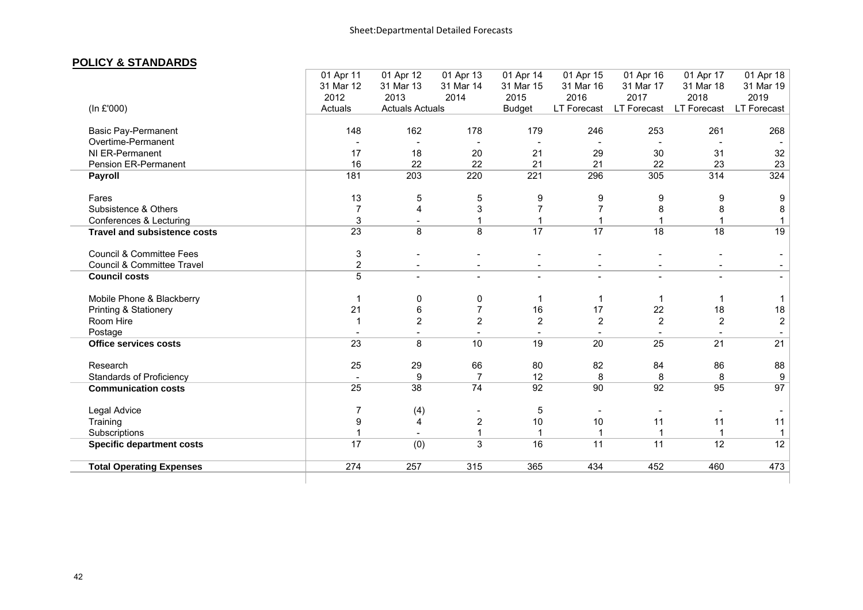#### **POLICY & STANDARDS**

|                                     | 01 Apr 11<br>31 Mar 12<br>2012 | 01 Apr 12<br>31 Mar 13<br>2013 | 01 Apr 13<br>31 Mar 14<br>2014 | 01 Apr 14<br>31 Mar 15<br>2015 | 01 Apr 15<br>31 Mar 16<br>2016 | 01 Apr 16<br>31 Mar 17<br>2017 | 01 Apr 17<br>31 Mar 18<br>2018 | 01 Apr 18<br>31 Mar 19<br>2019 |
|-------------------------------------|--------------------------------|--------------------------------|--------------------------------|--------------------------------|--------------------------------|--------------------------------|--------------------------------|--------------------------------|
| (In £'000)                          | Actuals                        | <b>Actuals Actuals</b>         |                                | <b>Budget</b>                  | LT Forecast                    | LT Forecast                    | LT Forecast                    | LT Forecast                    |
| Basic Pay-Permanent                 | 148                            | 162                            | 178                            | 179                            | 246                            | 253                            | 261                            | 268                            |
| Overtime-Permanent                  |                                |                                |                                |                                |                                |                                |                                |                                |
| NI ER-Permanent                     | 17                             | 18                             | 20                             | 21                             | 29                             | 30                             | 31                             | 32                             |
| <b>Pension ER-Permanent</b>         | 16                             | 22                             | 22                             | 21                             | 21                             | 22                             | 23                             | 23                             |
| <b>Payroll</b>                      | 181                            | 203                            | 220                            | 221                            | 296                            | 305                            | 314                            | 324                            |
| Fares                               | 13                             | 5                              | 5                              | 9                              | 9                              | 9                              | 9                              | 9                              |
| Subsistence & Others                | 7                              | 4                              | 3                              | $\overline{7}$                 |                                | 8                              | 8                              | 8                              |
| Conferences & Lecturing             | $\mathsf 3$                    |                                | 1                              | 1                              |                                |                                |                                | $\mathbf{1}$                   |
| <b>Travel and subsistence costs</b> | $\overline{23}$                | 8                              | 8                              | $\overline{17}$                | $\overline{17}$                | $\overline{18}$                | $\overline{18}$                | 19                             |
| <b>Council &amp; Committee Fees</b> | $\ensuremath{\mathsf{3}}$      |                                |                                |                                |                                |                                |                                |                                |
| Council & Committee Travel          | $\overline{c}$                 |                                |                                |                                |                                |                                |                                |                                |
| <b>Council costs</b>                | $\overline{5}$                 |                                |                                |                                |                                |                                |                                |                                |
| Mobile Phone & Blackberry           |                                | 0                              | 0                              |                                |                                |                                |                                | 1                              |
| Printing & Stationery               | 21                             | 6                              | $\overline{7}$                 | 16                             | 17                             | 22                             | 18                             | 18                             |
| Room Hire                           | 1                              | $\overline{2}$                 | $\overline{2}$                 | $\overline{2}$                 | $\overline{2}$                 | $\overline{2}$                 | $\overline{2}$                 | $\overline{2}$                 |
| Postage                             |                                |                                |                                |                                |                                |                                |                                |                                |
| <b>Office services costs</b>        | 23                             | 8                              | 10                             | 19                             | 20                             | $\overline{25}$                | 21                             | $\overline{21}$                |
| Research                            | 25                             | 29                             | 66                             | 80                             | 82                             | 84                             | 86                             | 88                             |
| <b>Standards of Proficiency</b>     |                                | 9                              | 7                              | 12                             | 8                              | 8                              | 8                              | 9                              |
| <b>Communication costs</b>          | 25                             | 38                             | 74                             | 92                             | 90                             | 92                             | 95                             | 97                             |
| Legal Advice                        |                                | (4)                            |                                | 5                              |                                |                                |                                |                                |
| Training                            | 9                              | 4                              | $\overline{2}$                 | 10                             | 10                             | 11                             | 11                             | 11                             |
| Subscriptions                       |                                |                                | $\mathbf{1}$                   | $\mathbf{1}$                   |                                |                                | $\mathbf{1}$                   | $\mathbf{1}$                   |
| <b>Specific department costs</b>    | 17                             | (0)                            | 3                              | 16                             | 11                             | 11                             | $\overline{12}$                | $\overline{12}$                |
| <b>Total Operating Expenses</b>     | 274                            | 257                            | 315                            | 365                            | 434                            | 452                            | 460                            | 473                            |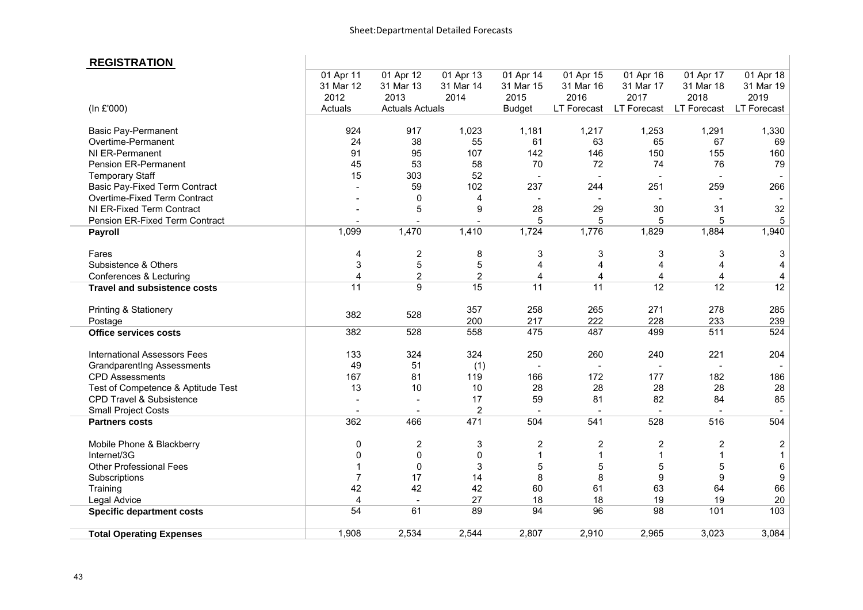### **REGISTRATION**

| <b>REGISTRATION</b>                  |                 |                        |                |                          |                          |                 |                 |                  |
|--------------------------------------|-----------------|------------------------|----------------|--------------------------|--------------------------|-----------------|-----------------|------------------|
|                                      | 01 Apr 11       | 01 Apr 12              | 01 Apr 13      | 01 Apr 14                | 01 Apr 15                | 01 Apr 16       | 01 Apr 17       | 01 Apr 18        |
|                                      | 31 Mar 12       | 31 Mar 13              | 31 Mar 14      | 31 Mar 15                | 31 Mar 16                | 31 Mar 17       | 31 Mar 18       | 31 Mar 19        |
|                                      | 2012            | 2013                   | 2014           | 2015                     | 2016                     | 2017            | 2018            | 2019             |
| (In £'000)                           | Actuals         | <b>Actuals Actuals</b> |                | <b>Budget</b>            | LT Forecast              | LT Forecast     | LT Forecast     | LT Forecast      |
| <b>Basic Pay-Permanent</b>           | 924             | 917                    | 1,023          | 1,181                    | 1,217                    | 1,253           | 1,291           | 1,330            |
| Overtime-Permanent                   | 24              | 38                     | 55             | 61                       | 63                       | 65              | 67              | 69               |
| NI ER-Permanent                      | 91              | 95                     | 107            | 142                      | 146                      | 150             | 155             | 160              |
| <b>Pension ER-Permanent</b>          | 45              | 53                     | 58             | 70                       | 72                       | 74              | 76              | 79               |
| <b>Temporary Staff</b>               | 15              | 303                    | 52             |                          |                          | $\overline{a}$  | $\overline{a}$  |                  |
| <b>Basic Pay-Fixed Term Contract</b> |                 | 59                     | 102            | 237                      | 244                      | 251             | 259             | 266              |
| Overtime-Fixed Term Contract         |                 | 0                      | 4              | $\overline{\phantom{a}}$ | $\overline{\phantom{a}}$ |                 |                 |                  |
| NI ER-Fixed Term Contract            |                 | 5                      | 9              | 28                       | 29                       | 30              | 31              | 32               |
| Pension ER-Fixed Term Contract       |                 |                        |                | 5                        | 5                        | 5               | 5               | 5                |
| <b>Payroll</b>                       | 1,099           | 1,470                  | 1,410          | 1,724                    | 1,776                    | 1,829           | 1,884           | 1,940            |
| Fares                                | 4               | $\mathbf 2$            | 8              | 3                        | 3                        | 3               | $\sqrt{3}$      | 3                |
| Subsistence & Others                 | 3               | 5                      | 5              | 4                        | 4                        | $\overline{4}$  | $\overline{4}$  | 4                |
| Conferences & Lecturing              | 4               | $\overline{2}$         | $\overline{2}$ | 4                        | $\overline{4}$           | 4               | $\overline{4}$  | 4                |
| <b>Travel and subsistence costs</b>  | $\overline{11}$ | 9                      | 15             | $\overline{11}$          | $\overline{11}$          | $\overline{12}$ | $\overline{12}$ | 12               |
| Printing & Stationery                | 382             | 528                    | 357            | 258                      | 265                      | 271             | 278             | 285              |
| Postage                              |                 |                        | 200            | 217                      | 222                      | 228             | 233             | 239              |
| <b>Office services costs</b>         | 382             | 528                    | 558            | 475                      | 487                      | 499             | 511             | 524              |
| International Assessors Fees         | 133             | 324                    | 324            | 250                      | 260                      | 240             | 221             | 204              |
| <b>Grandparentlng Assessments</b>    | 49              | 51                     | (1)            | $\overline{\phantom{a}}$ | $\overline{\phantom{a}}$ | $\blacksquare$  | $\sim$          |                  |
| <b>CPD Assessments</b>               | 167             | 81                     | 119            | 166                      | 172                      | 177             | 182             | 186              |
| Test of Competence & Aptitude Test   | 13              | 10                     | 10             | 28                       | 28                       | 28              | 28              | 28               |
| CPD Travel & Subsistence             |                 |                        | 17             | 59                       | 81                       | 82              | 84              | 85               |
| <b>Small Project Costs</b>           |                 |                        | $\overline{2}$ |                          |                          |                 |                 |                  |
| <b>Partners costs</b>                | 362             | 466                    | 471            | 504                      | 541                      | 528             | 516             | 504              |
| Mobile Phone & Blackberry            | 0               | $\overline{c}$         | 3              | $\overline{2}$           | $\overline{2}$           | $\overline{c}$  | $\overline{2}$  | $\boldsymbol{2}$ |
| Internet/3G                          | 0               | $\pmb{0}$              | 0              | 1                        | $\mathbf{1}$             | $\mathbf{1}$    | $\mathbf{1}$    | $\mathbf 1$      |
| <b>Other Professional Fees</b>       |                 | 0                      | 3              | 5                        | 5                        | 5               | 5               | 6                |
| Subscriptions                        | $\overline{7}$  | 17                     | 14             | 8                        | 8                        | 9               | 9               | 9                |
| Training                             | 42              | 42                     | 42             | 60                       | 61                       | 63              | 64              | 66               |
| Legal Advice                         | $\overline{4}$  | $\blacksquare$         | 27             | 18                       | 18                       | 19              | 19              | 20               |
| <b>Specific department costs</b>     | 54              | 61                     | 89             | 94                       | 96                       | 98              | 101             | 103              |
| <b>Total Operating Expenses</b>      | 1,908           | 2,534                  | 2,544          | 2,807                    | 2,910                    | 2,965           | 3,023           | 3,084            |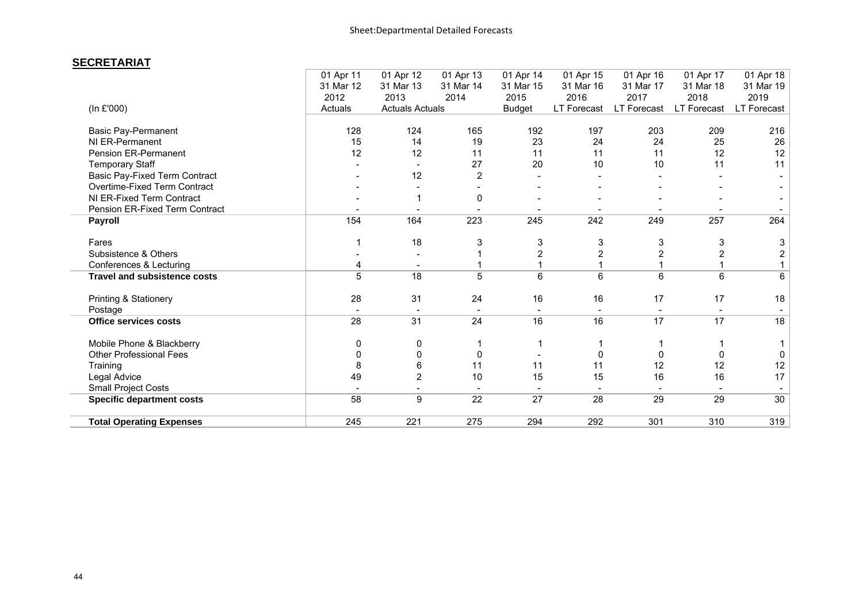#### **SECRETARIAT**

|                                      | 01 Apr 11 | 01 Apr 12                | 01 Apr 13       | 01 Apr 14     | 01 Apr 15   | 01 Apr 16   | 01 Apr 17    | 01 Apr 18               |
|--------------------------------------|-----------|--------------------------|-----------------|---------------|-------------|-------------|--------------|-------------------------|
|                                      | 31 Mar 12 | 31 Mar 13                | 31 Mar 14       | 31 Mar 15     | 31 Mar 16   | 31 Mar 17   | 31 Mar 18    | 31 Mar 19               |
|                                      | 2012      | 2013                     | 2014            | 2015          | 2016        | 2017        | 2018         | 2019                    |
| (In £'000)                           | Actuals   | <b>Actuals Actuals</b>   |                 | <b>Budget</b> | LT Forecast | LT Forecast | LT Forecast  | LT Forecast             |
| <b>Basic Pay-Permanent</b>           | 128       | 124                      | 165             | 192           | 197         | 203         | 209          | 216                     |
| NI ER-Permanent                      | 15        | 14                       | 19              | 23            | 24          | 24          | 25           | 26                      |
| Pension ER-Permanent                 | 12        | 12                       | 11              | 11            | 11          | 11          | 12           | 12                      |
| <b>Temporary Staff</b>               |           |                          | 27              | 20            | 10          | 10          | 11           | 11                      |
| <b>Basic Pay-Fixed Term Contract</b> |           | 12                       | $\overline{2}$  |               |             |             |              |                         |
| Overtime-Fixed Term Contract         |           |                          |                 |               |             |             |              |                         |
| NI ER-Fixed Term Contract            |           |                          | 0               |               |             |             |              |                         |
| Pension ER-Fixed Term Contract       |           |                          |                 |               |             |             |              |                         |
| Payroll                              | 154       | 164                      | 223             | 245           | 242         | 249         | 257          | 264                     |
| Fares                                |           | 18                       | 3               | 3             | 3           | 3           | 3            | 3                       |
| Subsistence & Others                 |           |                          |                 | 2             | 2           |             |              | $\overline{\mathbf{c}}$ |
| Conferences & Lecturing              | 4         |                          |                 |               |             |             |              |                         |
| <b>Travel and subsistence costs</b>  | 5         | $\overline{18}$          | 5               | 6             | 6           | 6           | 6            | 6                       |
| Printing & Stationery                | 28        | 31                       | 24              | 16            | 16          | 17          | 17           | 18                      |
| Postage                              |           | $\overline{\phantom{a}}$ |                 |               |             |             |              |                         |
| <b>Office services costs</b>         | 28        | 31                       | 24              | 16            | 16          | 17          | 17           | 18                      |
| Mobile Phone & Blackberry            | 0         | 0                        |                 |               |             |             |              |                         |
| <b>Other Professional Fees</b>       | 0         | 0                        | 0               |               | $\Omega$    | $\Omega$    | <sup>0</sup> | $\mathbf 0$             |
| Training                             | 8         | 6                        | 11              | 11            | 11          | 12          | 12           | 12                      |
| Legal Advice                         | 49        | $\overline{c}$           | 10              | 15            | 15          | 16          | 16           | 17                      |
| <b>Small Project Costs</b>           |           |                          |                 |               |             |             |              |                         |
| <b>Specific department costs</b>     | 58        | 9                        | $\overline{22}$ | 27            | 28          | 29          | 29           | 30                      |
| <b>Total Operating Expenses</b>      | 245       | 221                      | 275             | 294           | 292         | 301         | 310          | 319                     |
|                                      |           |                          |                 |               |             |             |              |                         |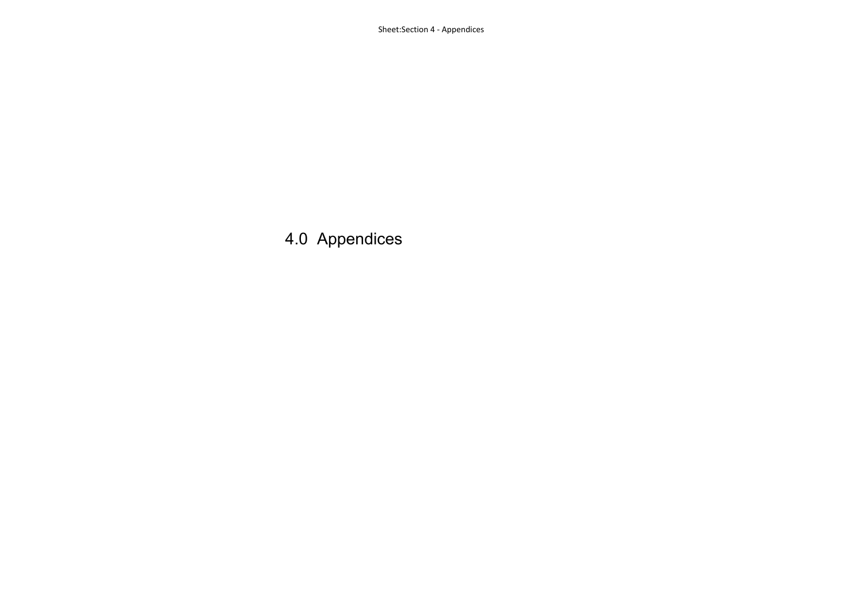4.0 Appendices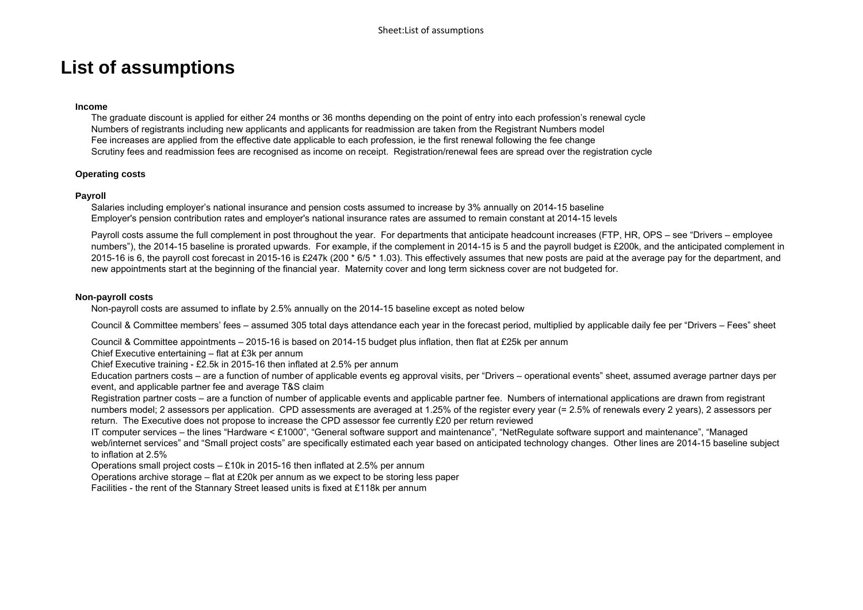### **List of assumptions**

#### **Income**

The graduate discount is applied for either 24 months or 36 months depending on the point of entry into each profession's renewal cycle Numbers of registrants including new applicants and applicants for readmission are taken from the Registrant Numbers model Fee increases are applied from the effective date applicable to each profession, ie the first renewal following the fee change Scrutiny fees and readmission fees are recognised as income on receipt. Registration/renewal fees are spread over the registration cycle

#### **Operating costs**

#### **Payroll**

Salaries including employer's national insurance and pension costs assumed to increase by 3% annually on 2014-15 baseline Employer's pension contribution rates and employer's national insurance rates are assumed to remain constant at 2014-15 levels

Payroll costs assume the full complement in post throughout the year. For departments that anticipate headcount increases (FTP, HR, OPS – see "Drivers – employee numbers"), the 2014-15 baseline is prorated upwards. For example, if the complement in 2014-15 is 5 and the payroll budget is £200k, and the anticipated complement in 2015-16 is 6, the payroll cost forecast in 2015-16 is £247k (200 \* 6/5 \* 1.03). This effectively assumes that new posts are paid at the average pay for the department, and new appointments start at the beginning of the financial year. Maternity cover and long term sickness cover are not budgeted for.

#### **Non-payroll costs**

Non-payroll costs are assumed to inflate by 2.5% annually on the 2014-15 baseline except as noted below

Council & Committee members' fees – assumed 305 total days attendance each year in the forecast period, multiplied by applicable daily fee per "Drivers – Fees" sheet

Council & Committee appointments – 2015-16 is based on 2014-15 budget plus inflation, then flat at £25k per annum

Chief Executive entertaining – flat at £3k per annum

Chief Executive training - £2.5k in 2015-16 then inflated at 2.5% per annum

Education partners costs – are a function of number of applicable events eg approval visits, per "Drivers – operational events" sheet, assumed average partner days per event, and applicable partner fee and average T&S claim

Registration partner costs – are a function of number of applicable events and applicable partner fee. Numbers of international applications are drawn from registrant numbers model; 2 assessors per application. CPD assessments are averaged at 1.25% of the register every year (= 2.5% of renewals every 2 years), 2 assessors per return. The Executive does not propose to increase the CPD assessor fee currently £20 per return reviewed

IT computer services – the lines "Hardware < £1000", "General software support and maintenance", "NetRegulate software support and maintenance", "Managed web/internet services" and "Small project costs" are specifically estimated each year based on anticipated technology changes. Other lines are 2014-15 baseline subject to inflation at 2.5%

Operations small project costs – £10k in 2015-16 then inflated at 2.5% per annum

Operations archive storage – flat at £20k per annum as we expect to be storing less paper

Facilities - the rent of the Stannary Street leased units is fixed at £118k per annum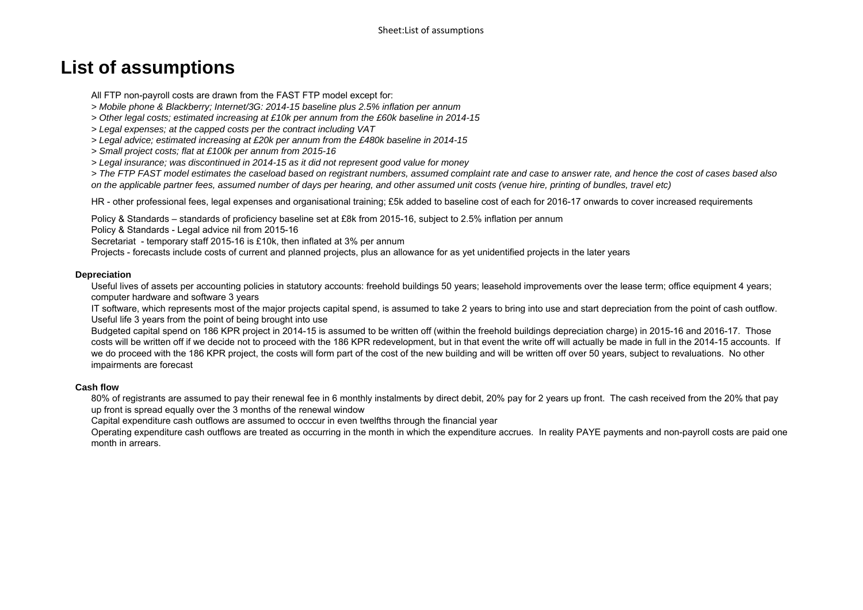### **List of assumptions**

All FTP non-payroll costs are drawn from the FAST FTP model except for:

- *> Mobile phone & Blackberry; Internet/3G: 2014-15 baseline plus 2.5% inflation per annum*
- *> Other legal costs; estimated increasing at £10k per annum from the £60k baseline in 2014-15*
- *> Legal expenses; at the capped costs per the contract including VAT*
- *> Legal advice; estimated increasing at £20k per annum from the £480k baseline in 2014-15*
- *> Small project costs; flat at £100k per annum from 2015-16*
- *> Legal insurance; was discontinued in 2014-15 as it did not represent good value for money*

*> The FTP FAST model estimates the caseload based on registrant numbers, assumed complaint rate and case to answer rate, and hence the cost of cases based also on the applicable partner fees, assumed number of days per hearing, and other assumed unit costs (venue hire, printing of bundles, travel etc)*

HR - other professional fees, legal expenses and organisational training; £5k added to baseline cost of each for 2016-17 onwards to cover increased requirements

Policy & Standards – standards of proficiency baseline set at £8k from 2015-16, subject to 2.5% inflation per annum

Policy & Standards - Legal advice nil from 2015-16

Secretariat - temporary staff 2015-16 is £10k, then inflated at 3% per annum

Projects - forecasts include costs of current and planned projects, plus an allowance for as yet unidentified projects in the later years

#### **Depreciation**

Useful lives of assets per accounting policies in statutory accounts: freehold buildings 50 years; leasehold improvements over the lease term; office equipment 4 years; computer hardware and software 3 years

IT software, which represents most of the major projects capital spend, is assumed to take 2 years to bring into use and start depreciation from the point of cash outflow. Useful life 3 years from the point of being brought into use

Budgeted capital spend on 186 KPR project in 2014-15 is assumed to be written off (within the freehold buildings depreciation charge) in 2015-16 and 2016-17. Those costs will be written off if we decide not to proceed with the 186 KPR redevelopment, but in that event the write off will actually be made in full in the 2014-15 accounts. If we do proceed with the 186 KPR project, the costs will form part of the cost of the new building and will be written off over 50 years, subject to revaluations. No other impairments are forecast

#### **Cash flow**

80% of registrants are assumed to pay their renewal fee in 6 monthly instalments by direct debit, 20% pay for 2 years up front. The cash received from the 20% that pay up front is spread equally over the 3 months of the renewal window

Capital expenditure cash outflows are assumed to occcur in even twelfths through the financial year

Operating expenditure cash outflows are treated as occurring in the month in which the expenditure accrues. In reality PAYE payments and non-payroll costs are paid one month in arrears.